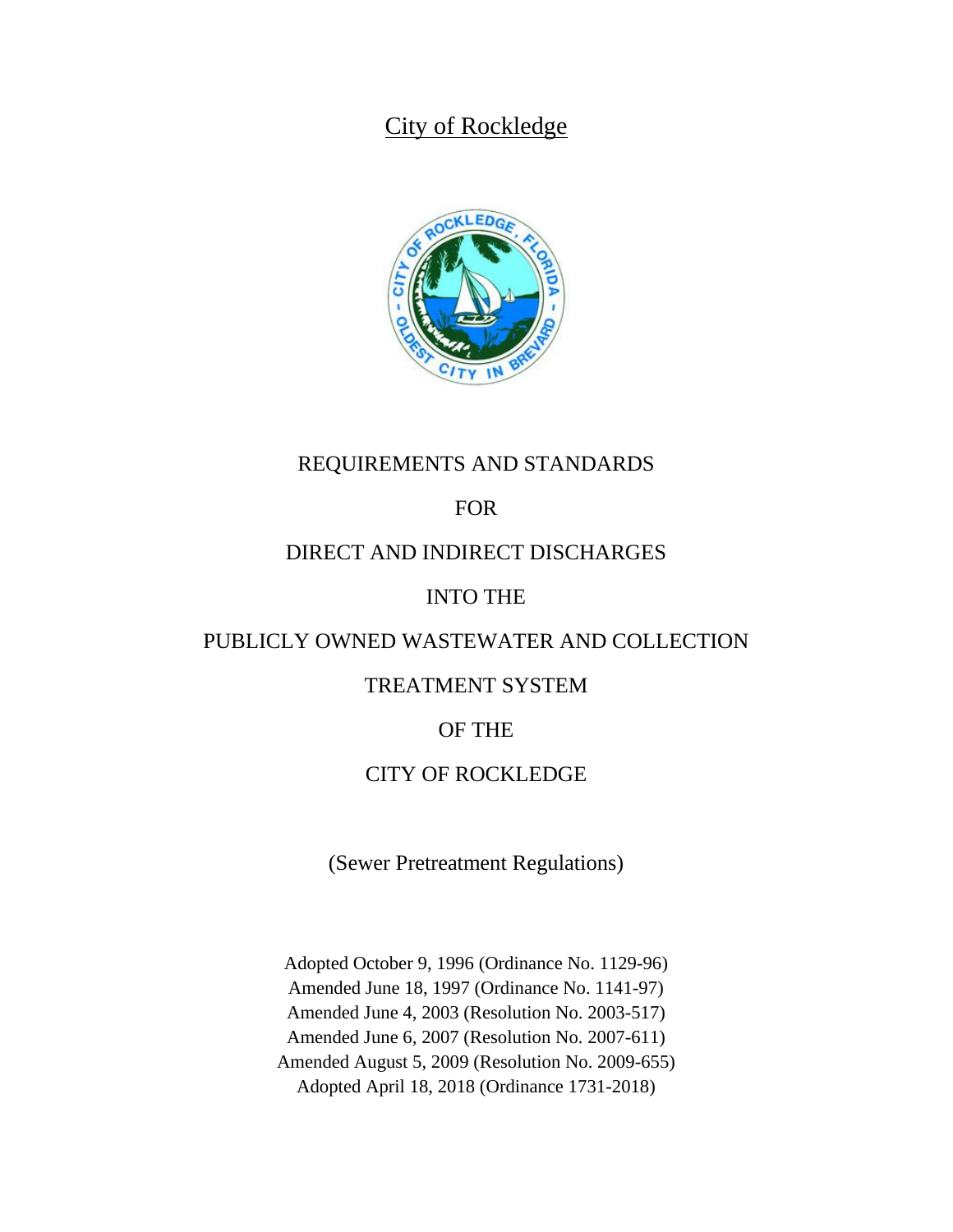# City of Rockledge



# REQUIREMENTS AND STANDARDS

# FOR

## DIRECT AND INDIRECT DISCHARGES

## INTO THE

### PUBLICLY OWNED WASTEWATER AND COLLECTION

## TREATMENT SYSTEM

## OF THE

### CITY OF ROCKLEDGE

(Sewer Pretreatment Regulations)

Adopted October 9, 1996 (Ordinance No. 1129-96) Amended June 18, 1997 (Ordinance No. 1141-97) Amended June 4, 2003 (Resolution No. 2003-517) Amended June 6, 2007 (Resolution No. 2007-611) Amended August 5, 2009 (Resolution No. 2009-655) Adopted April 18, 2018 (Ordinance 1731-2018)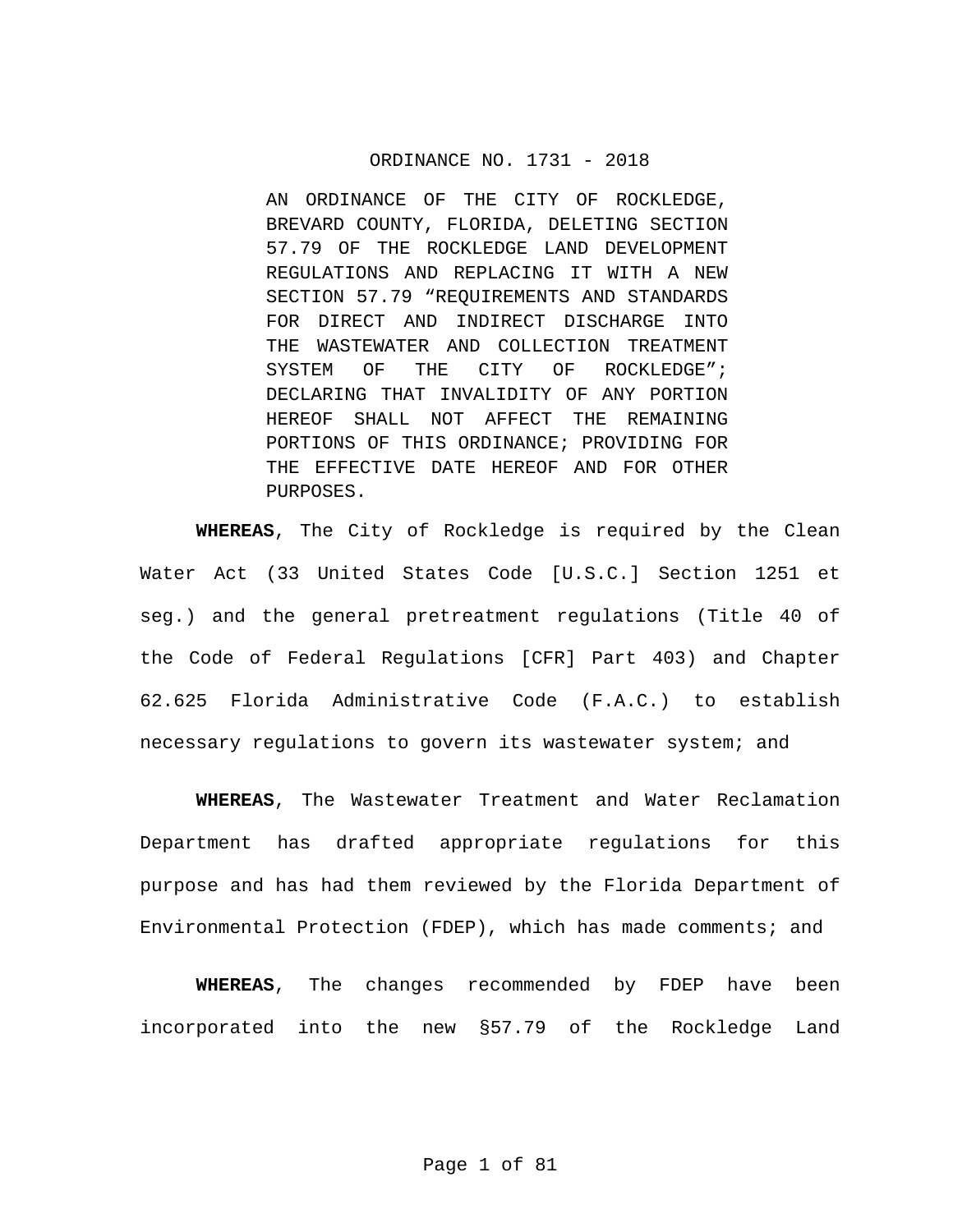#### ORDINANCE NO. 1731 - 2018

AN ORDINANCE OF THE CITY OF ROCKLEDGE, BREVARD COUNTY, FLORIDA, DELETING SECTION 57.79 OF THE ROCKLEDGE LAND DEVELOPMENT REGULATIONS AND REPLACING IT WITH A NEW SECTION 57.79 "REQUIREMENTS AND STANDARDS FOR DIRECT AND INDIRECT DISCHARGE INTO THE WASTEWATER AND COLLECTION TREATMENT SYSTEM OF THE CITY OF ROCKLEDGE"; DECLARING THAT INVALIDITY OF ANY PORTION HEREOF SHALL NOT AFFECT THE REMAINING PORTIONS OF THIS ORDINANCE; PROVIDING FOR THE EFFECTIVE DATE HEREOF AND FOR OTHER PURPOSES.

**WHEREAS**, The City of Rockledge is required by the Clean Water Act (33 United States Code [U.S.C.] Section 1251 et seg.) and the general pretreatment regulations (Title 40 of the Code of Federal Regulations [CFR] Part 403) and Chapter 62.625 Florida Administrative Code (F.A.C.) to establish necessary regulations to govern its wastewater system; and

**WHEREAS**, The Wastewater Treatment and Water Reclamation Department has drafted appropriate regulations for this purpose and has had them reviewed by the Florida Department of Environmental Protection (FDEP), which has made comments; and

**WHEREAS**, The changes recommended by FDEP have been incorporated into the new §57.79 of the Rockledge Land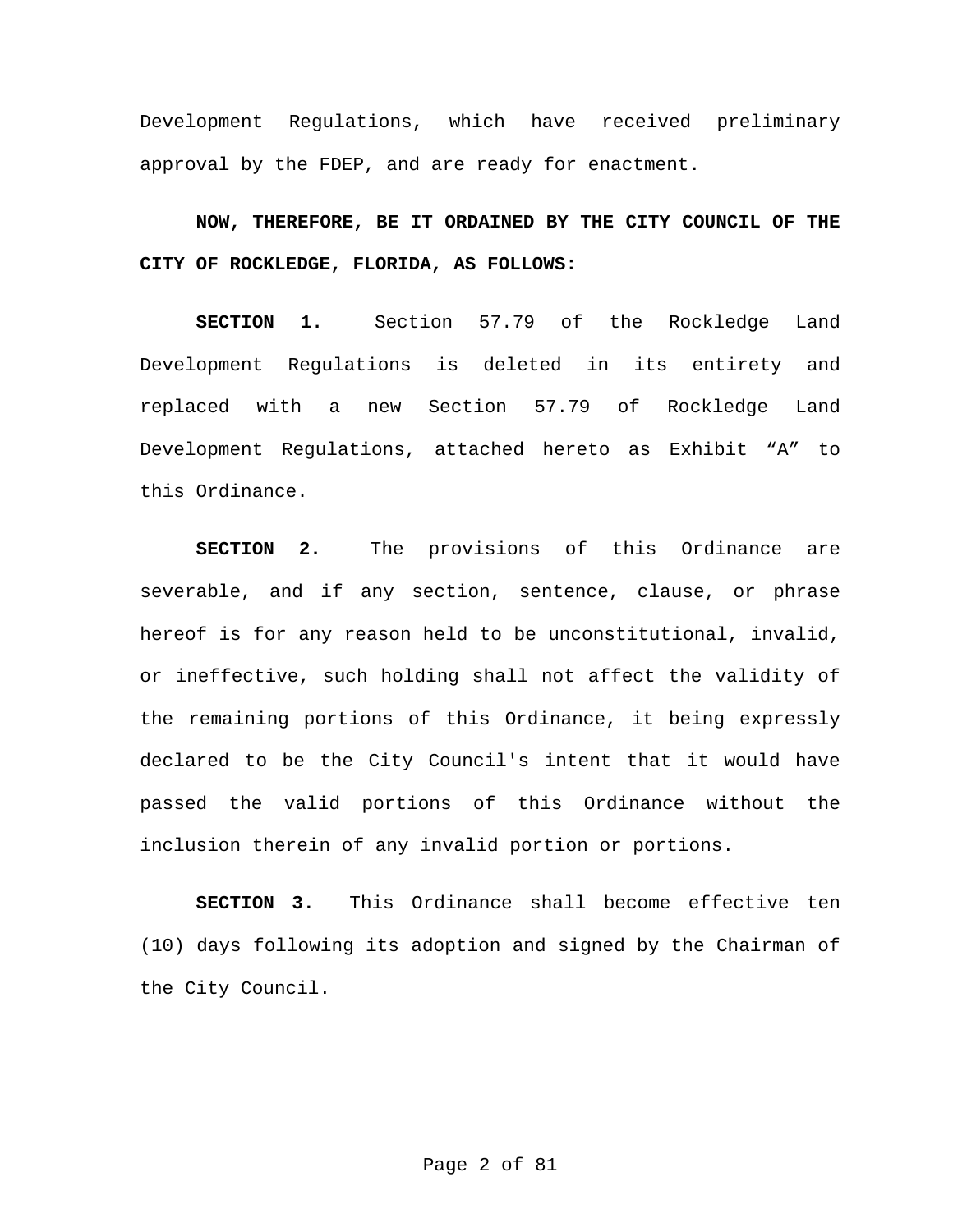Development Regulations, which have received preliminary approval by the FDEP, and are ready for enactment.

**NOW, THEREFORE, BE IT ORDAINED BY THE CITY COUNCIL OF THE CITY OF ROCKLEDGE, FLORIDA, AS FOLLOWS:**

**SECTION 1.** Section 57.79 of the Rockledge Land Development Regulations is deleted in its entirety and replaced with a new Section 57.79 of Rockledge Land Development Regulations, attached hereto as Exhibit "A" to this Ordinance.

**SECTION 2.** The provisions of this Ordinance are severable, and if any section, sentence, clause, or phrase hereof is for any reason held to be unconstitutional, invalid, or ineffective, such holding shall not affect the validity of the remaining portions of this Ordinance, it being expressly declared to be the City Council's intent that it would have passed the valid portions of this Ordinance without the inclusion therein of any invalid portion or portions.

**SECTION 3.** This Ordinance shall become effective ten (10) days following its adoption and signed by the Chairman of the City Council.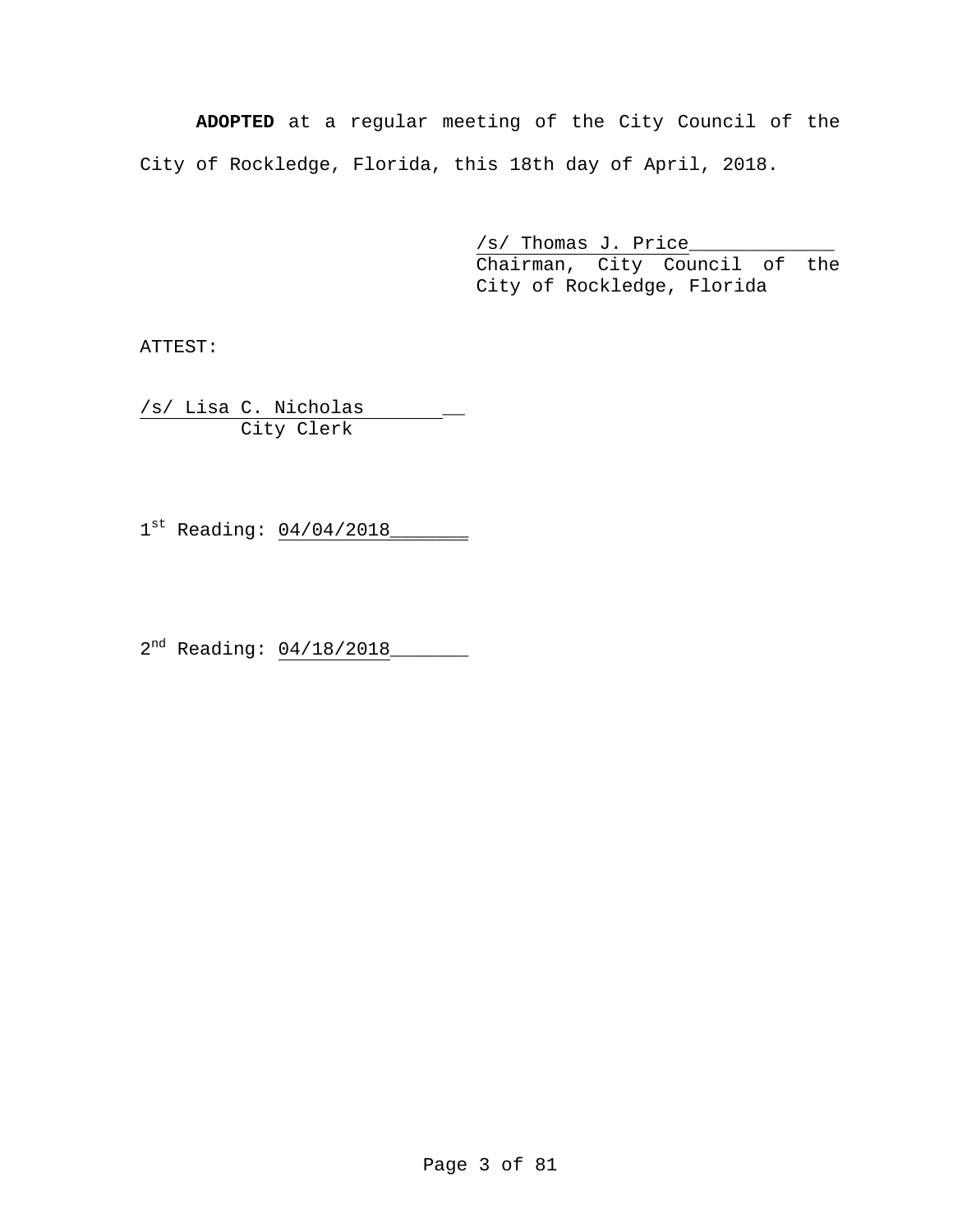**ADOPTED** at a regular meeting of the City Council of the City of Rockledge, Florida, this 18th day of April, 2018.

> /s/ Thomas J. Price\_\_\_\_\_\_\_\_\_\_\_\_\_ Chairman, City Council of the City of Rockledge, Florida

ATTEST:

/s/ Lisa C. Nicholas \_\_ City Clerk

1st Reading: 04/04/2018\_\_\_\_\_\_\_

2<sup>nd</sup> Reading: 04/18/2018\_\_\_\_\_\_\_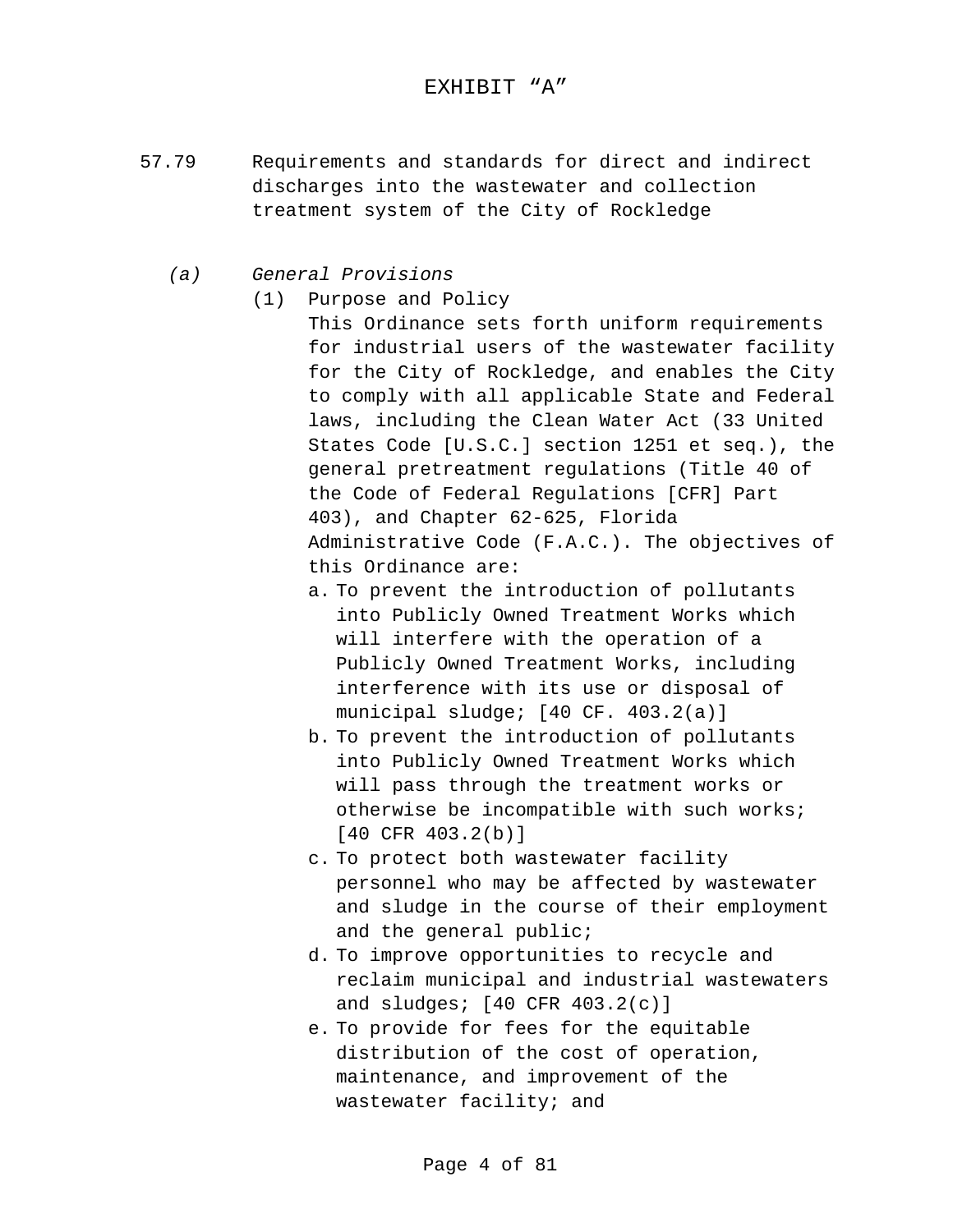#### EXHIBIT "A"

- 57.79 Requirements and standards for direct and indirect discharges into the wastewater and collection treatment system of the City of Rockledge
	- *(a) General Provisions*
		- (1) Purpose and Policy

This Ordinance sets forth uniform requirements for industrial users of the wastewater facility for the City of Rockledge, and enables the City to comply with all applicable State and Federal laws, including the Clean Water Act (33 United States Code [U.S.C.] section 1251 et seq.), the general pretreatment regulations (Title 40 of the Code of Federal Regulations [CFR] Part 403), and Chapter 62-625, Florida Administrative Code (F.A.C.). The objectives of this Ordinance are:

- a. To prevent the introduction of pollutants into Publicly Owned Treatment Works which will interfere with the operation of a Publicly Owned Treatment Works, including interference with its use or disposal of municipal sludge; [40 CF. 403.2(a)]
- b. To prevent the introduction of pollutants into Publicly Owned Treatment Works which will pass through the treatment works or otherwise be incompatible with such works; [40 CFR 403.2(b)]
- c. To protect both wastewater facility personnel who may be affected by wastewater and sludge in the course of their employment and the general public;
- d. To improve opportunities to recycle and reclaim municipal and industrial wastewaters and sludges; [40 CFR 403.2(c)]
- e. To provide for fees for the equitable distribution of the cost of operation, maintenance, and improvement of the wastewater facility; and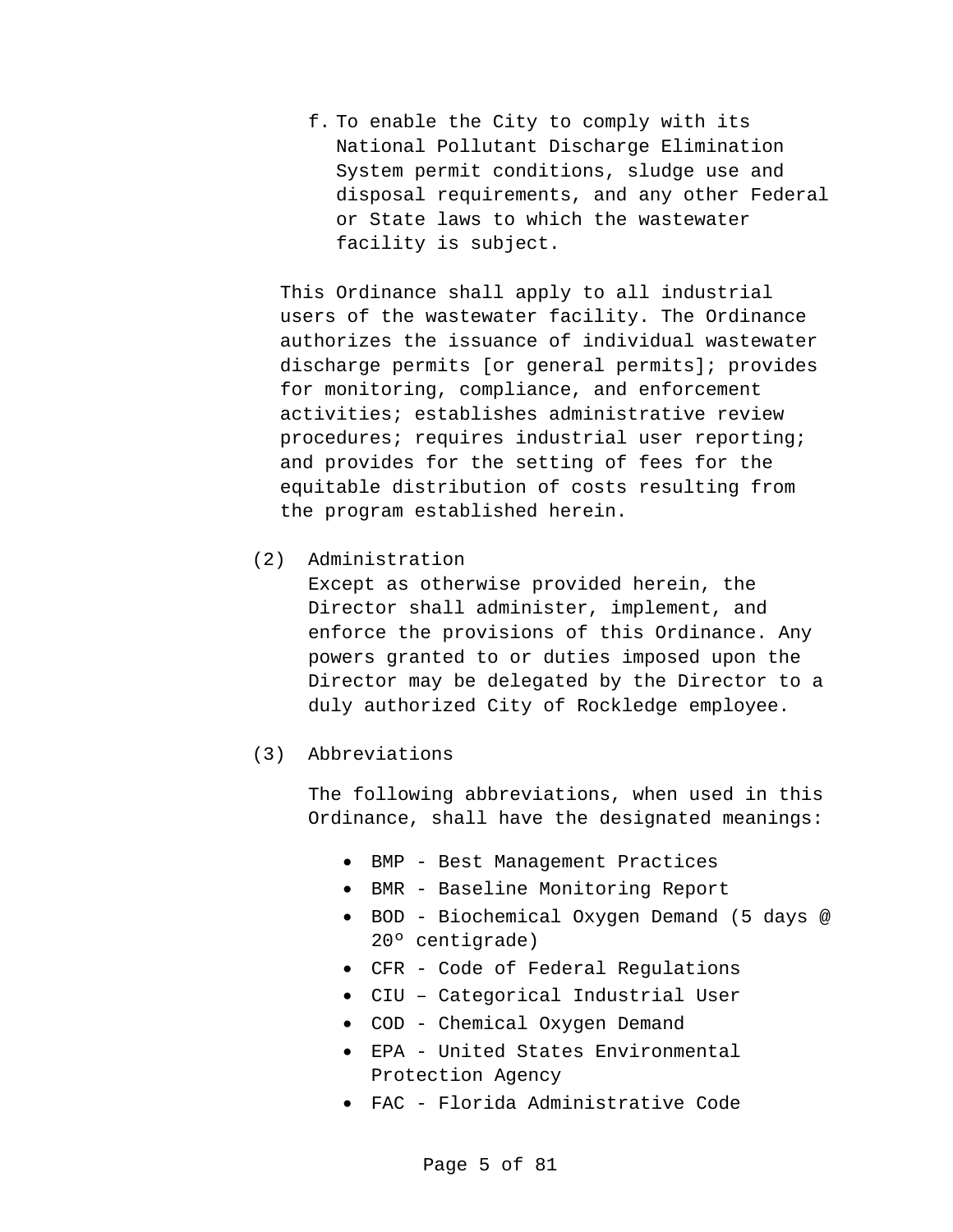f. To enable the City to comply with its National Pollutant Discharge Elimination System permit conditions, sludge use and disposal requirements, and any other Federal or State laws to which the wastewater facility is subject.

This Ordinance shall apply to all industrial users of the wastewater facility. The Ordinance authorizes the issuance of individual wastewater discharge permits [or general permits]; provides for monitoring, compliance, and enforcement activities; establishes administrative review procedures; requires industrial user reporting; and provides for the setting of fees for the equitable distribution of costs resulting from the program established herein.

(2) Administration

Except as otherwise provided herein, the Director shall administer, implement, and enforce the provisions of this Ordinance. Any powers granted to or duties imposed upon the Director may be delegated by the Director to a duly authorized City of Rockledge employee.

#### (3) Abbreviations

The following abbreviations, when used in this Ordinance, shall have the designated meanings:

- BMP Best Management Practices
- BMR Baseline Monitoring Report
- BOD Biochemical Oxygen Demand (5 days @ 20º centigrade)
- CFR Code of Federal Regulations
- CIU Categorical Industrial User
- COD Chemical Oxygen Demand
- EPA United States Environmental Protection Agency
- FAC Florida Administrative Code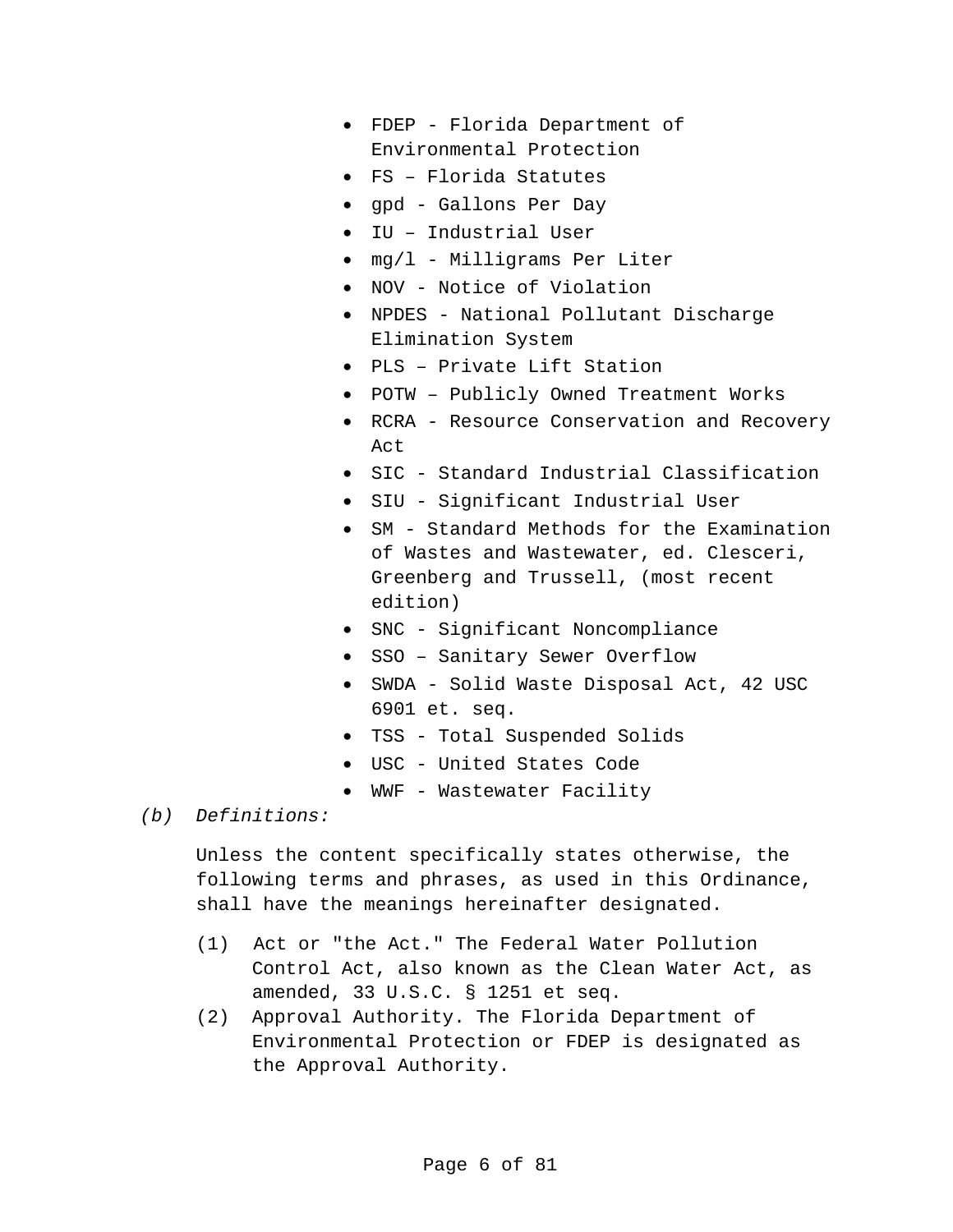- FDEP Florida Department of Environmental Protection
- FS Florida Statutes
- gpd Gallons Per Day
- IU Industrial User
- mg/l Milligrams Per Liter
- NOV Notice of Violation
- NPDES National Pollutant Discharge Elimination System
- PLS Private Lift Station
- POTW Publicly Owned Treatment Works
- RCRA Resource Conservation and Recovery Act
- SIC Standard Industrial Classification
- SIU Significant Industrial User
- SM Standard Methods for the Examination of Wastes and Wastewater, ed. Clesceri, Greenberg and Trussell, (most recent edition)
- SNC Significant Noncompliance
- SSO Sanitary Sewer Overflow
- SWDA Solid Waste Disposal Act, 42 USC 6901 et. seq.
- TSS Total Suspended Solids
- USC United States Code
- WWF Wastewater Facility
- *(b) Definitions:*

Unless the content specifically states otherwise, the following terms and phrases, as used in this Ordinance, shall have the meanings hereinafter designated.

- (1) Act or "the Act." The Federal Water Pollution Control Act, also known as the Clean Water Act, as amended, 33 U.S.C. § 1251 et seq.
- (2) Approval Authority. The Florida Department of Environmental Protection or FDEP is designated as the Approval Authority.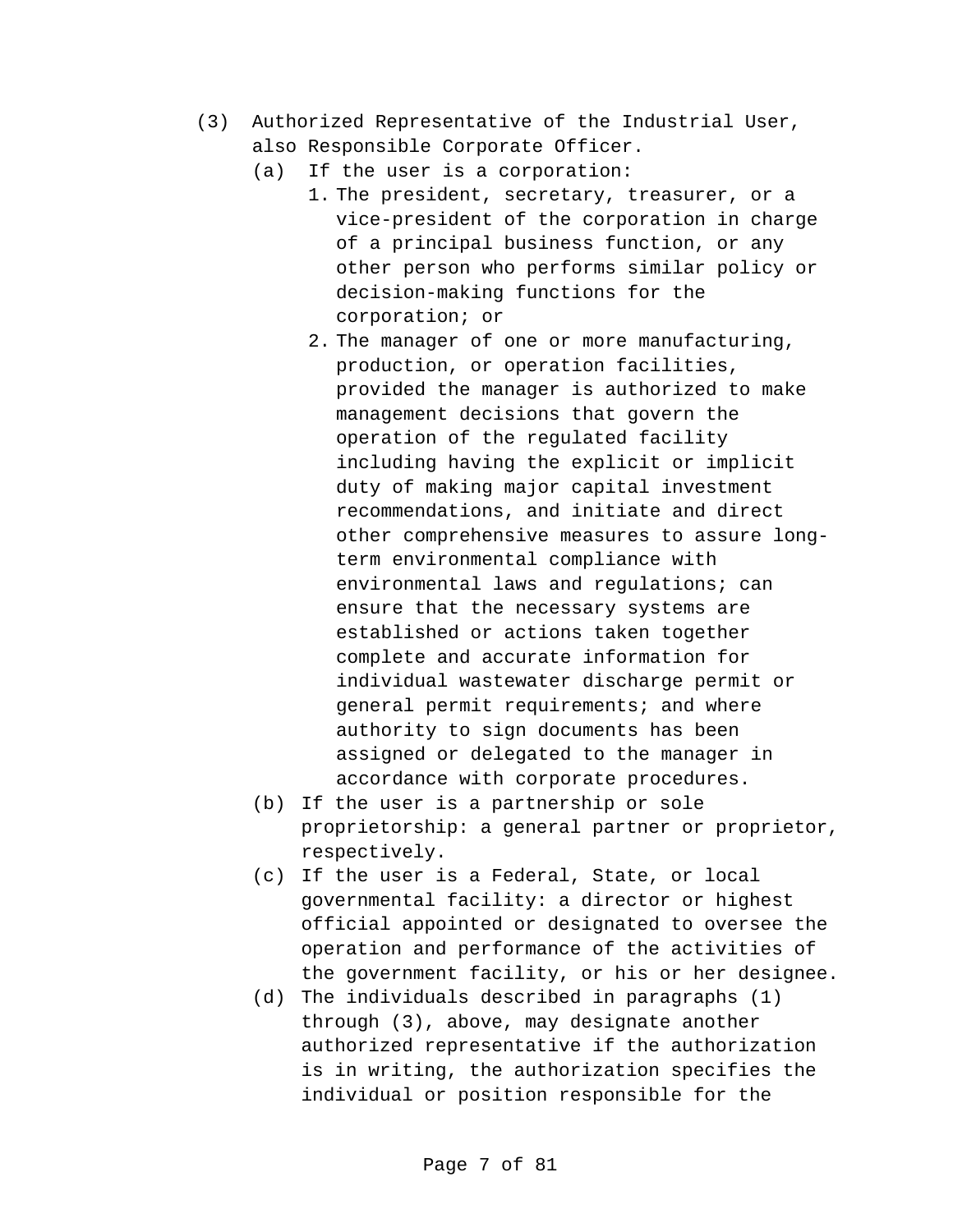- (3) Authorized Representative of the Industrial User, also Responsible Corporate Officer.
	- (a) If the user is a corporation:
		- 1. The president, secretary, treasurer, or a vice-president of the corporation in charge of a principal business function, or any other person who performs similar policy or decision-making functions for the corporation; or
			- 2. The manager of one or more manufacturing, production, or operation facilities, provided the manager is authorized to make management decisions that govern the operation of the regulated facility including having the explicit or implicit duty of making major capital investment recommendations, and initiate and direct other comprehensive measures to assure longterm environmental compliance with environmental laws and regulations; can ensure that the necessary systems are established or actions taken together complete and accurate information for individual wastewater discharge permit or general permit requirements; and where authority to sign documents has been assigned or delegated to the manager in accordance with corporate procedures.
	- (b) If the user is a partnership or sole proprietorship: a general partner or proprietor, respectively.
	- (c) If the user is a Federal, State, or local governmental facility: a director or highest official appointed or designated to oversee the operation and performance of the activities of the government facility, or his or her designee.
	- (d) The individuals described in paragraphs (1) through (3), above, may designate another authorized representative if the authorization is in writing, the authorization specifies the individual or position responsible for the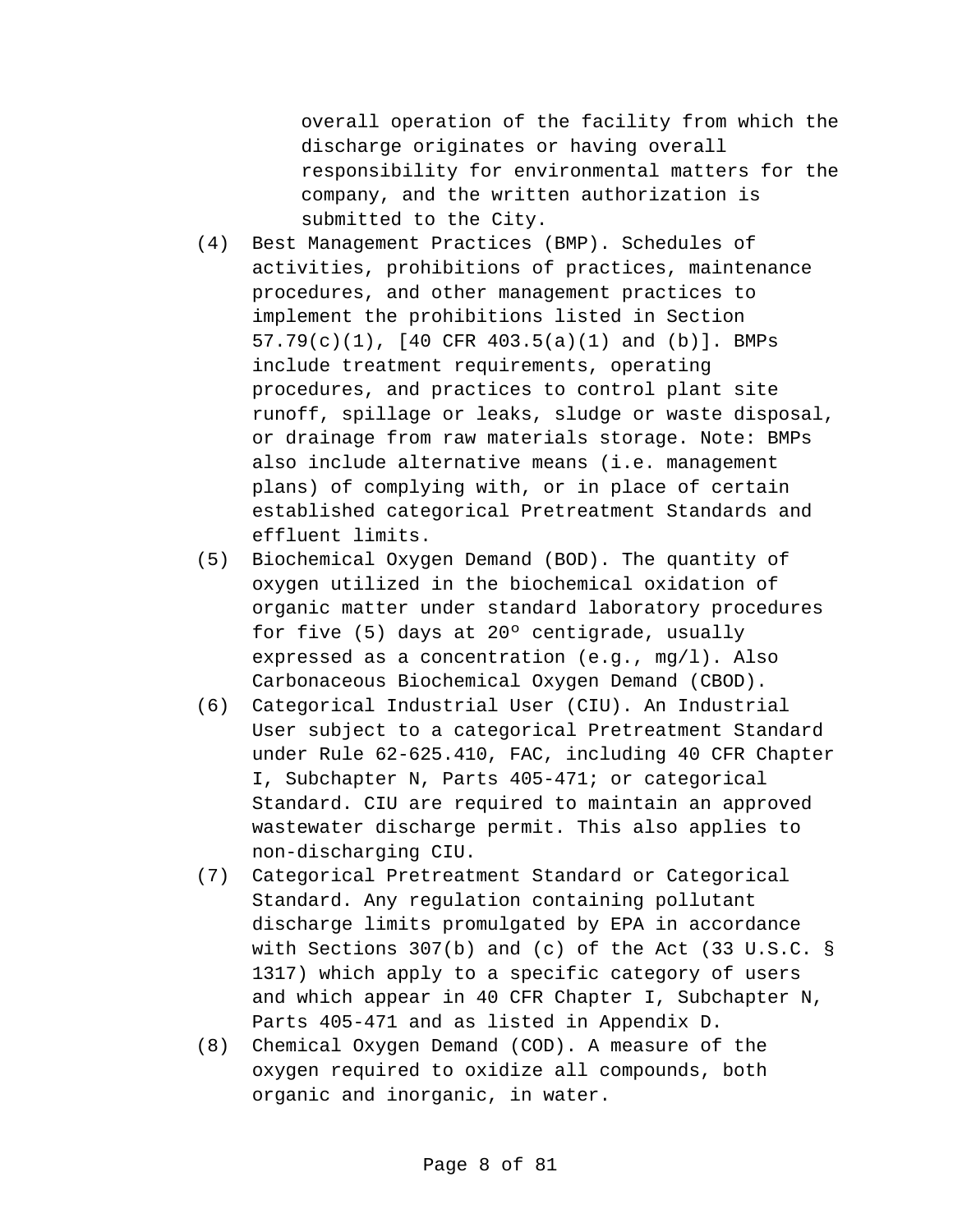overall operation of the facility from which the discharge originates or having overall responsibility for environmental matters for the company, and the written authorization is submitted to the City.

- (4) Best Management Practices (BMP). Schedules of activities, prohibitions of practices, maintenance procedures, and other management practices to implement the prohibitions listed in Section 57.79(c)(1), [40 CFR 403.5(a)(1) and (b)]. BMPs include treatment requirements, operating procedures, and practices to control plant site runoff, spillage or leaks, sludge or waste disposal, or drainage from raw materials storage. Note: BMPs also include alternative means (i.e. management plans) of complying with, or in place of certain established categorical Pretreatment Standards and effluent limits.
- (5) Biochemical Oxygen Demand (BOD). The quantity of oxygen utilized in the biochemical oxidation of organic matter under standard laboratory procedures for five (5) days at 20º centigrade, usually expressed as a concentration (e.g., mg/l). Also Carbonaceous Biochemical Oxygen Demand (CBOD).
- (6) Categorical Industrial User (CIU). An Industrial User subject to a categorical Pretreatment Standard under Rule 62-625.410, FAC, including 40 CFR Chapter I, Subchapter N, Parts 405-471; or categorical Standard. CIU are required to maintain an approved wastewater discharge permit. This also applies to non-discharging CIU.
- (7) Categorical Pretreatment Standard or Categorical Standard. Any regulation containing pollutant discharge limits promulgated by EPA in accordance with Sections 307(b) and (c) of the Act (33 U.S.C. § 1317) which apply to a specific category of users and which appear in 40 CFR Chapter I, Subchapter N, Parts 405-471 and as listed in Appendix D.
- (8) Chemical Oxygen Demand (COD). A measure of the oxygen required to oxidize all compounds, both organic and inorganic, in water.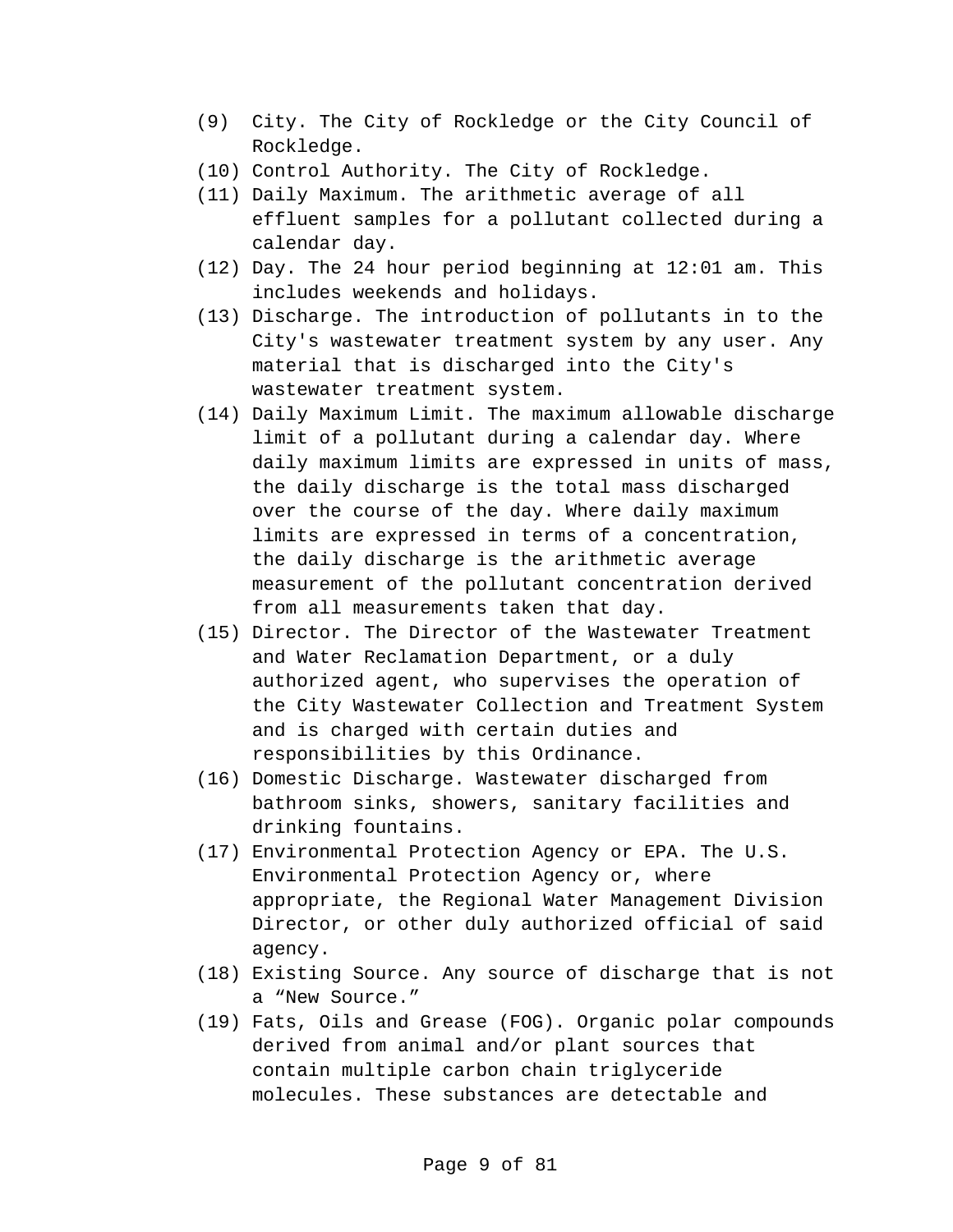- (9) City. The City of Rockledge or the City Council of Rockledge.
- (10) Control Authority. The City of Rockledge.
- (11) Daily Maximum. The arithmetic average of all effluent samples for a pollutant collected during a calendar day.
- (12) Day. The 24 hour period beginning at 12:01 am. This includes weekends and holidays.
- (13) Discharge. The introduction of pollutants in to the City's wastewater treatment system by any user. Any material that is discharged into the City's wastewater treatment system.
- (14) Daily Maximum Limit. The maximum allowable discharge limit of a pollutant during a calendar day. Where daily maximum limits are expressed in units of mass, the daily discharge is the total mass discharged over the course of the day. Where daily maximum limits are expressed in terms of a concentration, the daily discharge is the arithmetic average measurement of the pollutant concentration derived from all measurements taken that day.
- (15) Director. The Director of the Wastewater Treatment and Water Reclamation Department, or a duly authorized agent, who supervises the operation of the City Wastewater Collection and Treatment System and is charged with certain duties and responsibilities by this Ordinance.
- (16) Domestic Discharge. Wastewater discharged from bathroom sinks, showers, sanitary facilities and drinking fountains.
- (17) Environmental Protection Agency or EPA. The U.S. Environmental Protection Agency or, where appropriate, the Regional Water Management Division Director, or other duly authorized official of said agency.
- (18) Existing Source. Any source of discharge that is not a "New Source."
- (19) Fats, Oils and Grease (FOG). Organic polar compounds derived from animal and/or plant sources that contain multiple carbon chain triglyceride molecules. These substances are detectable and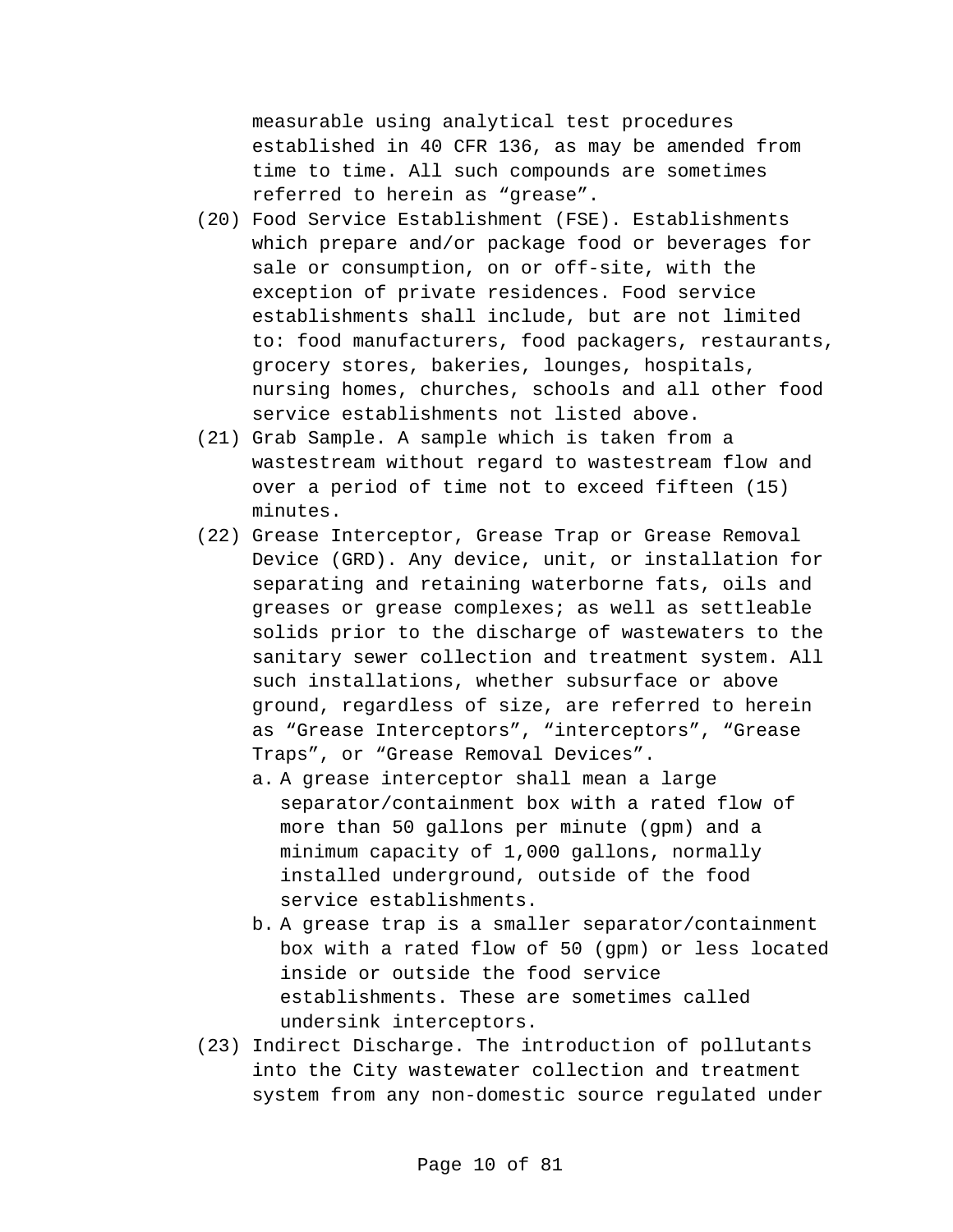measurable using analytical test procedures established in 40 CFR 136, as may be amended from time to time. All such compounds are sometimes referred to herein as "grease".

- (20) Food Service Establishment (FSE). Establishments which prepare and/or package food or beverages for sale or consumption, on or off-site, with the exception of private residences. Food service establishments shall include, but are not limited to: food manufacturers, food packagers, restaurants, grocery stores, bakeries, lounges, hospitals, nursing homes, churches, schools and all other food service establishments not listed above.
- (21) Grab Sample. A sample which is taken from a wastestream without regard to wastestream flow and over a period of time not to exceed fifteen (15) minutes.
- (22) Grease Interceptor, Grease Trap or Grease Removal Device (GRD). Any device, unit, or installation for separating and retaining waterborne fats, oils and greases or grease complexes; as well as settleable solids prior to the discharge of wastewaters to the sanitary sewer collection and treatment system. All such installations, whether subsurface or above ground, regardless of size, are referred to herein as "Grease Interceptors", "interceptors", "Grease Traps", or "Grease Removal Devices".
	- a. A grease interceptor shall mean a large separator/containment box with a rated flow of more than 50 gallons per minute (gpm) and a minimum capacity of 1,000 gallons, normally installed underground, outside of the food service establishments.
	- b. A grease trap is a smaller separator/containment box with a rated flow of 50 (gpm) or less located inside or outside the food service establishments. These are sometimes called undersink interceptors.
- (23) Indirect Discharge. The introduction of pollutants into the City wastewater collection and treatment system from any non-domestic source regulated under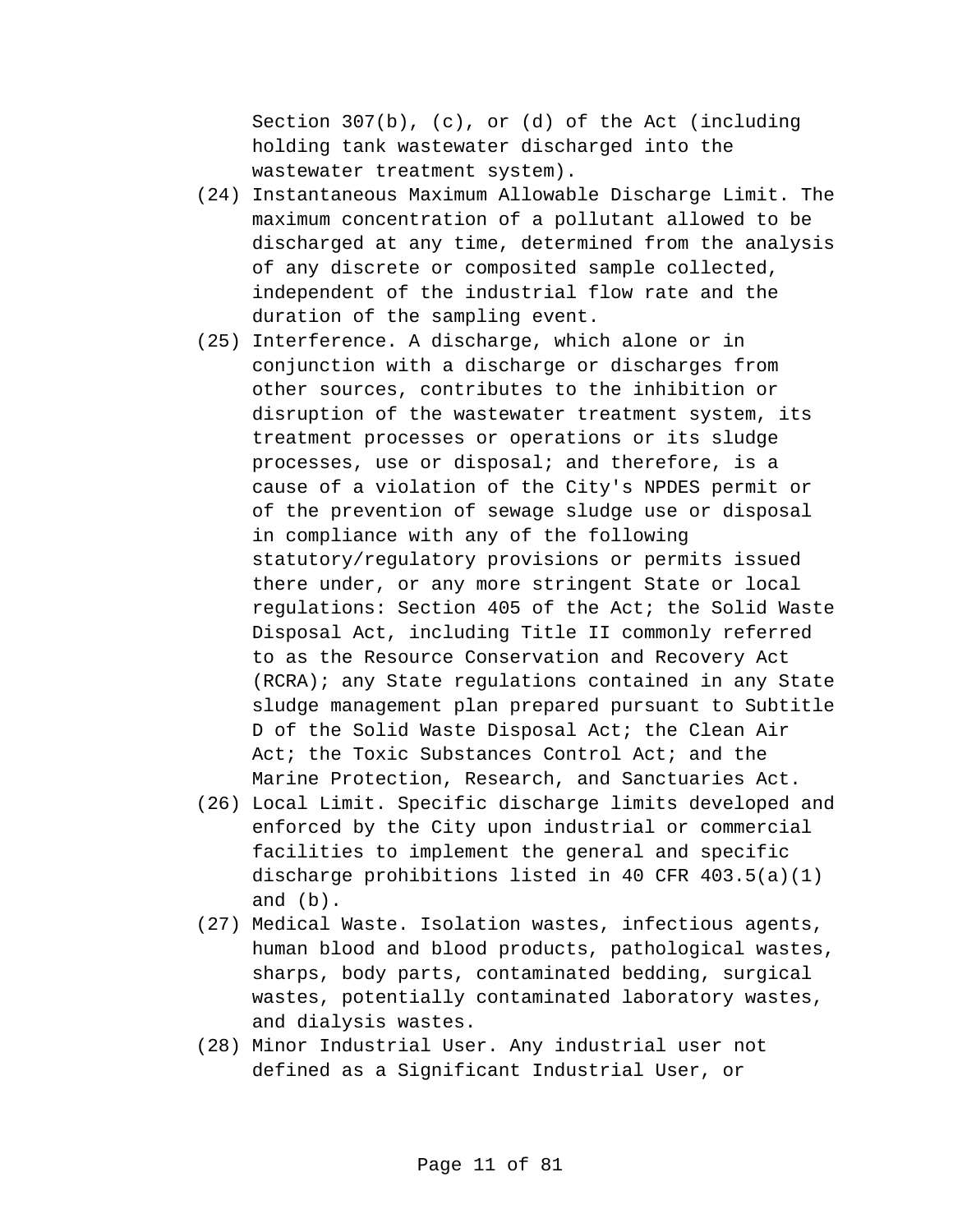Section 307(b), (c), or (d) of the Act (including holding tank wastewater discharged into the wastewater treatment system).

- (24) Instantaneous Maximum Allowable Discharge Limit. The maximum concentration of a pollutant allowed to be discharged at any time, determined from the analysis of any discrete or composited sample collected, independent of the industrial flow rate and the duration of the sampling event.
- (25) Interference. A discharge, which alone or in conjunction with a discharge or discharges from other sources, contributes to the inhibition or disruption of the wastewater treatment system, its treatment processes or operations or its sludge processes, use or disposal; and therefore, is a cause of a violation of the City's NPDES permit or of the prevention of sewage sludge use or disposal in compliance with any of the following statutory/regulatory provisions or permits issued there under, or any more stringent State or local regulations: Section 405 of the Act; the Solid Waste Disposal Act, including Title II commonly referred to as the Resource Conservation and Recovery Act (RCRA); any State regulations contained in any State sludge management plan prepared pursuant to Subtitle D of the Solid Waste Disposal Act; the Clean Air Act; the Toxic Substances Control Act; and the Marine Protection, Research, and Sanctuaries Act.
- (26) Local Limit. Specific discharge limits developed and enforced by the City upon industrial or commercial facilities to implement the general and specific discharge prohibitions listed in 40 CFR 403.5(a)(1) and (b).
- (27) Medical Waste. Isolation wastes, infectious agents, human blood and blood products, pathological wastes, sharps, body parts, contaminated bedding, surgical wastes, potentially contaminated laboratory wastes, and dialysis wastes.
- (28) Minor Industrial User. Any industrial user not defined as a Significant Industrial User, or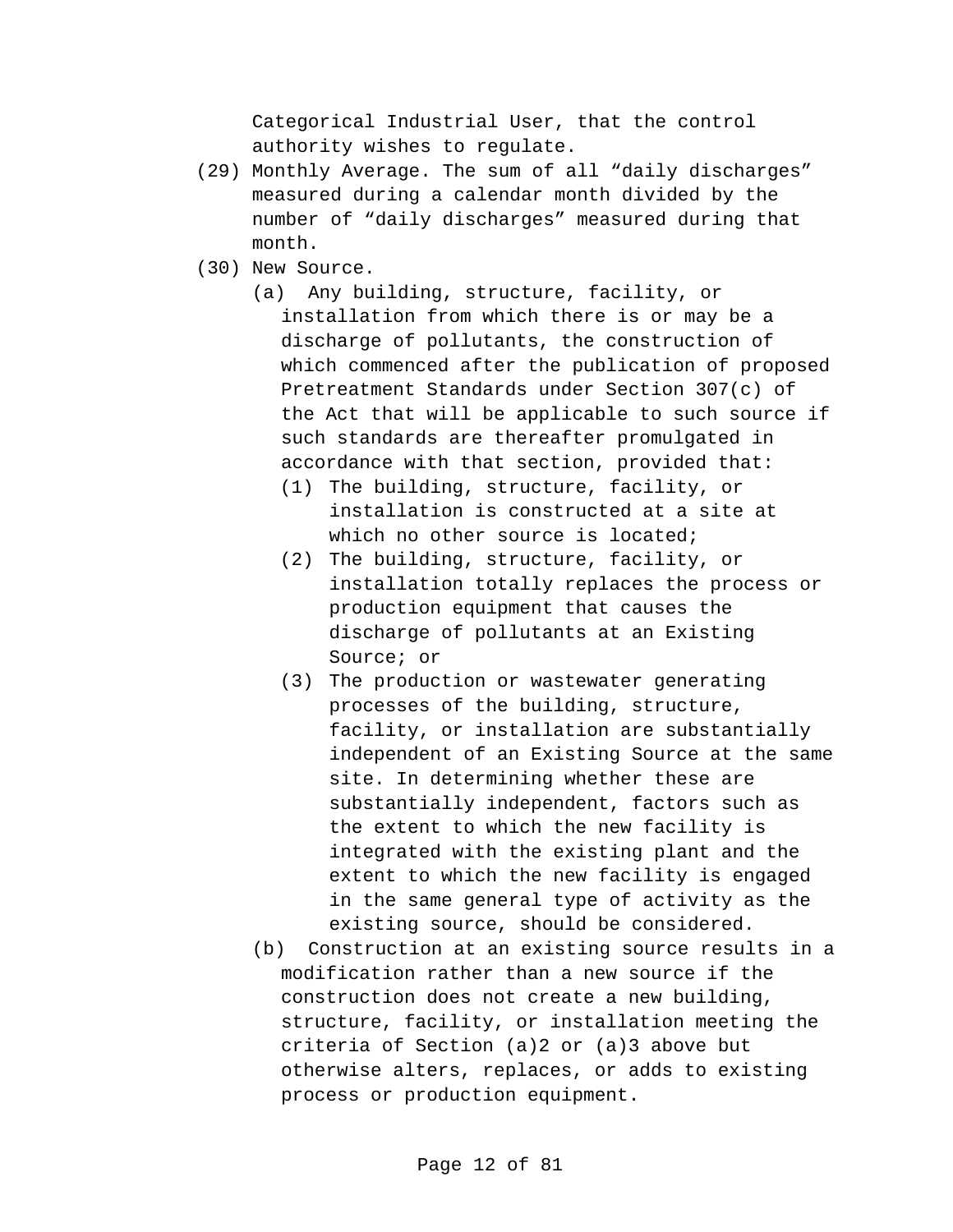Categorical Industrial User, that the control authority wishes to regulate.

- (29) Monthly Average. The sum of all "daily discharges" measured during a calendar month divided by the number of "daily discharges" measured during that month.
- (30) New Source.
	- (a) Any building, structure, facility, or installation from which there is or may be a discharge of pollutants, the construction of which commenced after the publication of proposed Pretreatment Standards under Section 307(c) of the Act that will be applicable to such source if such standards are thereafter promulgated in accordance with that section, provided that:
		- (1) The building, structure, facility, or installation is constructed at a site at which no other source is located;
		- (2) The building, structure, facility, or installation totally replaces the process or production equipment that causes the discharge of pollutants at an Existing Source; or
		- (3) The production or wastewater generating processes of the building, structure, facility, or installation are substantially independent of an Existing Source at the same site. In determining whether these are substantially independent, factors such as the extent to which the new facility is integrated with the existing plant and the extent to which the new facility is engaged in the same general type of activity as the existing source, should be considered.
	- (b) Construction at an existing source results in a modification rather than a new source if the construction does not create a new building, structure, facility, or installation meeting the criteria of Section (a)2 or (a)3 above but otherwise alters, replaces, or adds to existing process or production equipment.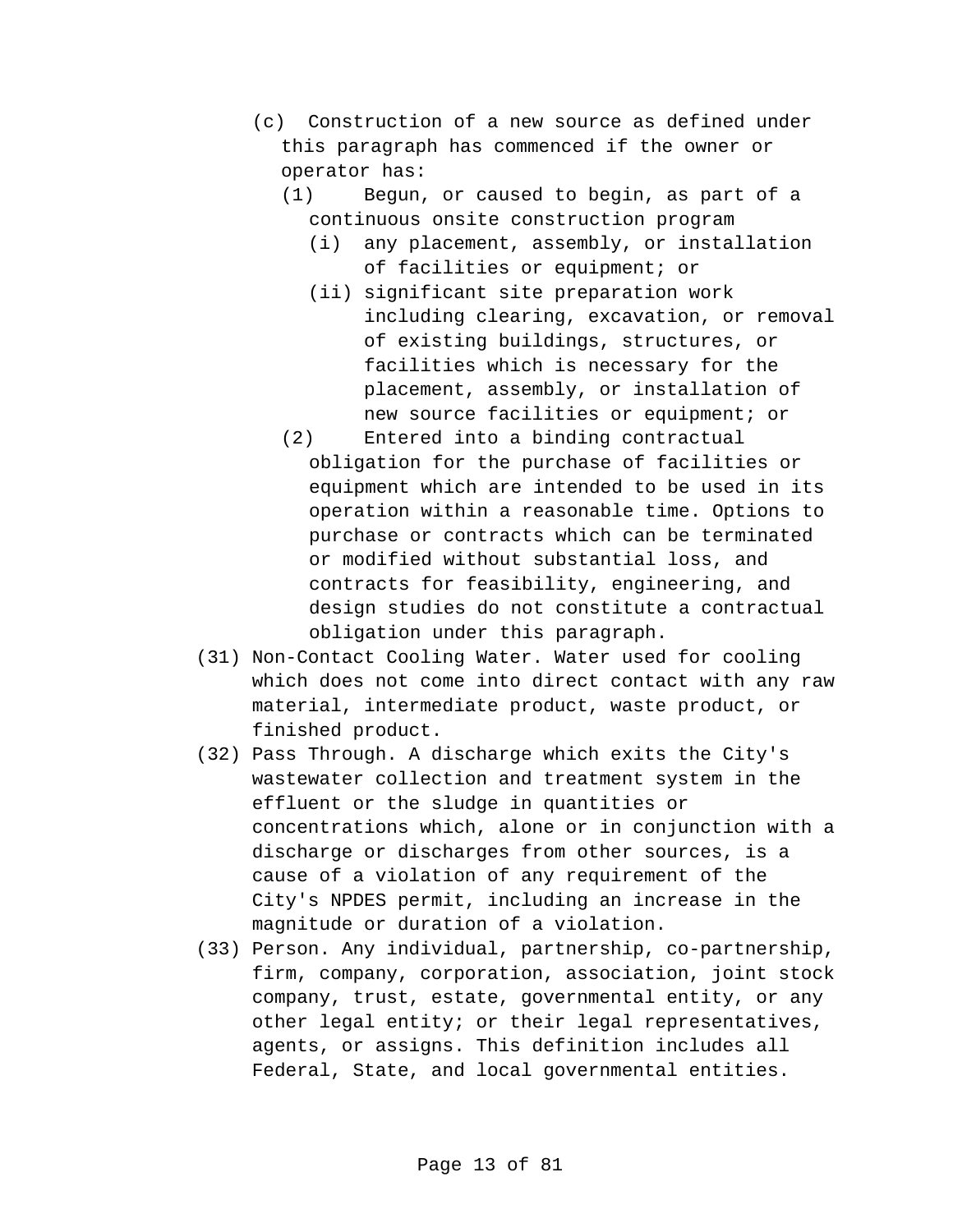- (c) Construction of a new source as defined under this paragraph has commenced if the owner or operator has:
	- (1) Begun, or caused to begin, as part of a continuous onsite construction program
		- (i) any placement, assembly, or installation of facilities or equipment; or
		- (ii) significant site preparation work including clearing, excavation, or removal of existing buildings, structures, or facilities which is necessary for the placement, assembly, or installation of new source facilities or equipment; or
	- (2) Entered into a binding contractual obligation for the purchase of facilities or equipment which are intended to be used in its operation within a reasonable time. Options to purchase or contracts which can be terminated or modified without substantial loss, and contracts for feasibility, engineering, and design studies do not constitute a contractual obligation under this paragraph.
- (31) Non-Contact Cooling Water. Water used for cooling which does not come into direct contact with any raw material, intermediate product, waste product, or finished product.
- (32) Pass Through. A discharge which exits the City's wastewater collection and treatment system in the effluent or the sludge in quantities or concentrations which, alone or in conjunction with a discharge or discharges from other sources, is a cause of a violation of any requirement of the City's NPDES permit, including an increase in the magnitude or duration of a violation.
- (33) Person. Any individual, partnership, co-partnership, firm, company, corporation, association, joint stock company, trust, estate, governmental entity, or any other legal entity; or their legal representatives, agents, or assigns. This definition includes all Federal, State, and local governmental entities.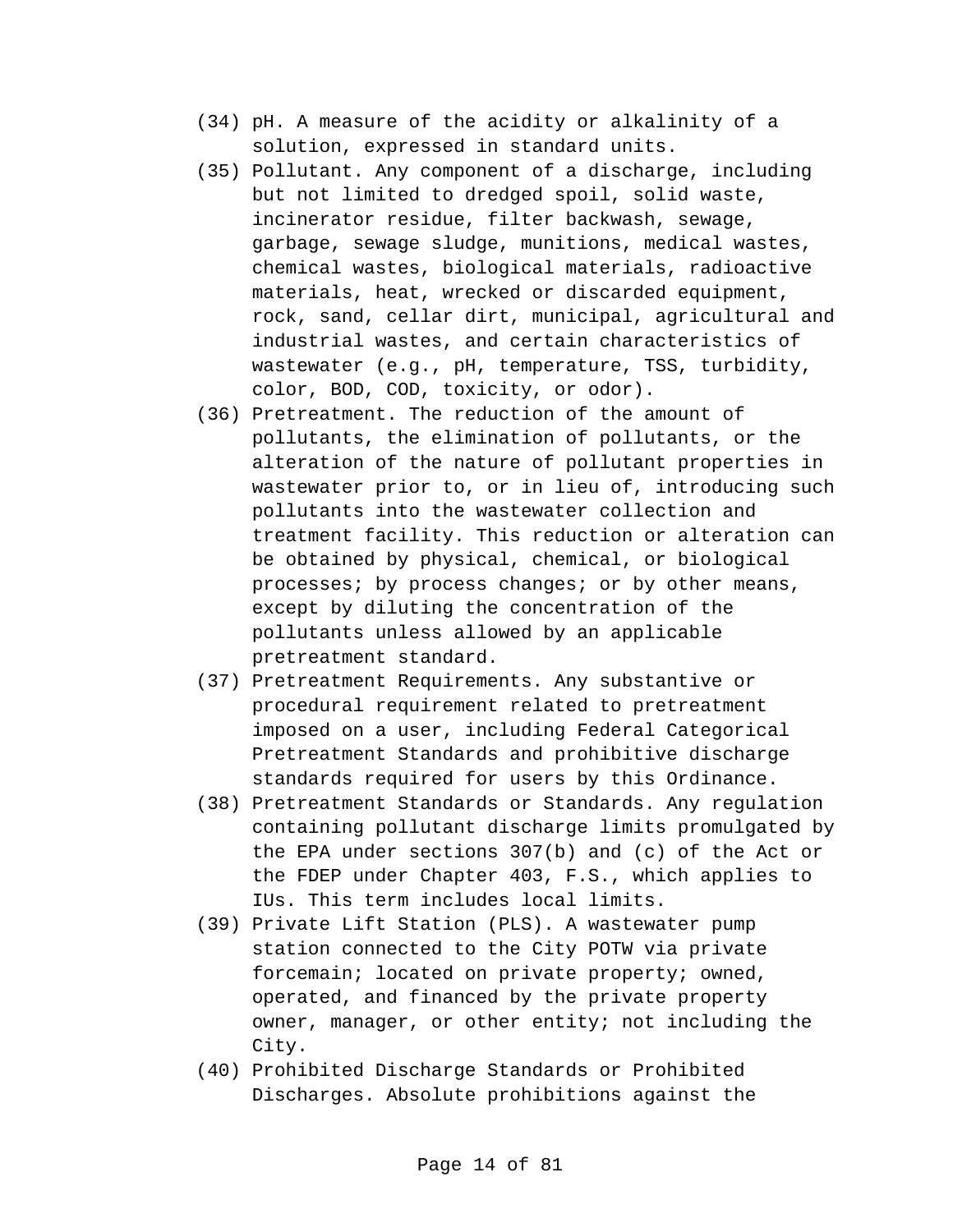- (34) pH. A measure of the acidity or alkalinity of a solution, expressed in standard units.
- (35) Pollutant. Any component of a discharge, including but not limited to dredged spoil, solid waste, incinerator residue, filter backwash, sewage, garbage, sewage sludge, munitions, medical wastes, chemical wastes, biological materials, radioactive materials, heat, wrecked or discarded equipment, rock, sand, cellar dirt, municipal, agricultural and industrial wastes, and certain characteristics of wastewater (e.g., pH, temperature, TSS, turbidity, color, BOD, COD, toxicity, or odor).
- (36) Pretreatment. The reduction of the amount of pollutants, the elimination of pollutants, or the alteration of the nature of pollutant properties in wastewater prior to, or in lieu of, introducing such pollutants into the wastewater collection and treatment facility. This reduction or alteration can be obtained by physical, chemical, or biological processes; by process changes; or by other means, except by diluting the concentration of the pollutants unless allowed by an applicable pretreatment standard.
- (37) Pretreatment Requirements. Any substantive or procedural requirement related to pretreatment imposed on a user, including Federal Categorical Pretreatment Standards and prohibitive discharge standards required for users by this Ordinance.
- (38) Pretreatment Standards or Standards. Any regulation containing pollutant discharge limits promulgated by the EPA under sections 307(b) and (c) of the Act or the FDEP under Chapter 403, F.S., which applies to IUs. This term includes local limits.
- (39) Private Lift Station (PLS). A wastewater pump station connected to the City POTW via private forcemain; located on private property; owned, operated, and financed by the private property owner, manager, or other entity; not including the City.
- (40) Prohibited Discharge Standards or Prohibited Discharges. Absolute prohibitions against the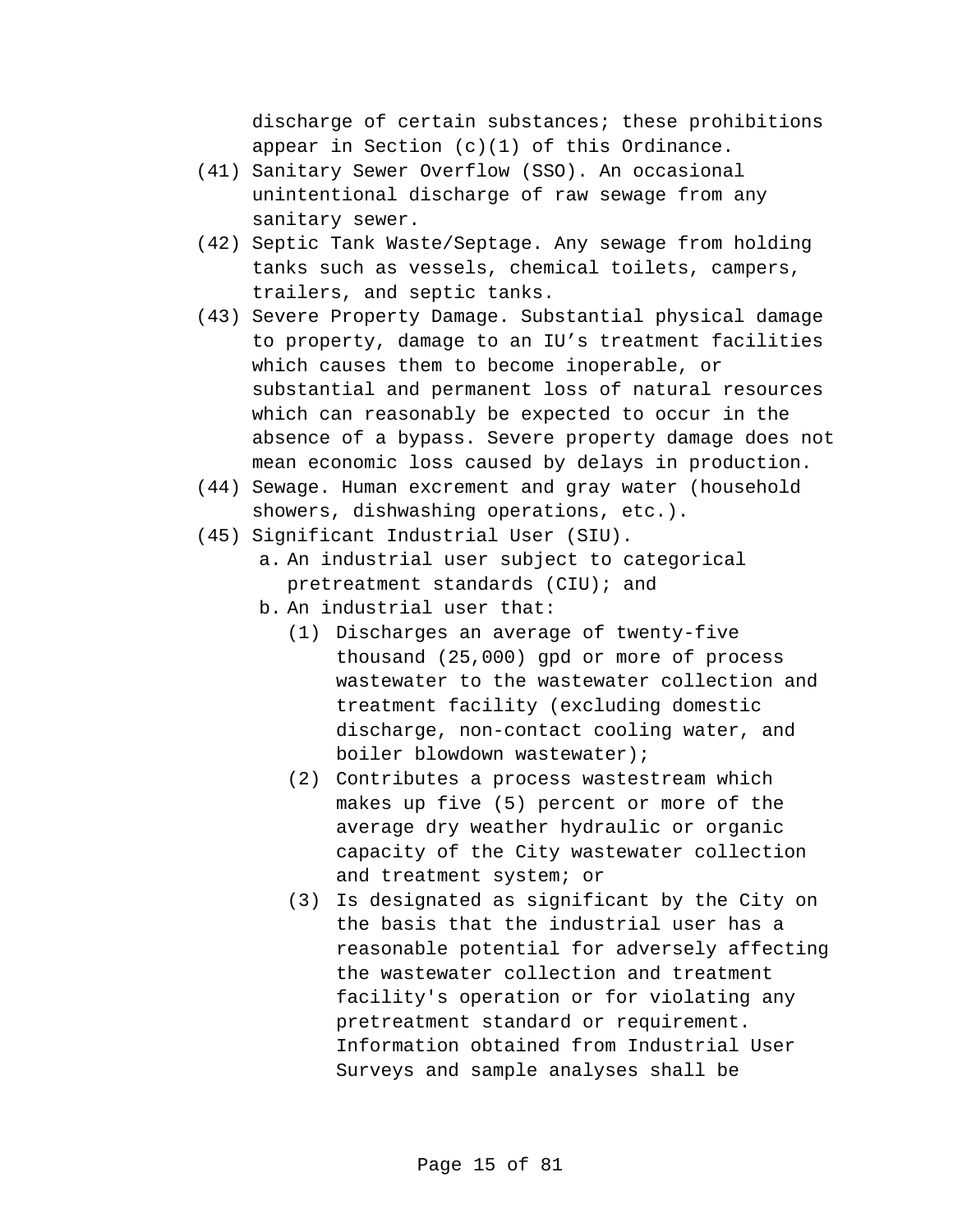discharge of certain substances; these prohibitions appear in Section (c)(1) of this Ordinance.

- (41) Sanitary Sewer Overflow (SSO). An occasional unintentional discharge of raw sewage from any sanitary sewer.
- (42) Septic Tank Waste/Septage. Any sewage from holding tanks such as vessels, chemical toilets, campers, trailers, and septic tanks.
- (43) Severe Property Damage. Substantial physical damage to property, damage to an IU's treatment facilities which causes them to become inoperable, or substantial and permanent loss of natural resources which can reasonably be expected to occur in the absence of a bypass. Severe property damage does not mean economic loss caused by delays in production.
- (44) Sewage. Human excrement and gray water (household showers, dishwashing operations, etc.).
- (45) Significant Industrial User (SIU).
	- a. An industrial user subject to categorical pretreatment standards (CIU); and
	- b. An industrial user that:
		- (1) Discharges an average of twenty-five thousand (25,000) gpd or more of process wastewater to the wastewater collection and treatment facility (excluding domestic discharge, non-contact cooling water, and boiler blowdown wastewater);
		- (2) Contributes a process wastestream which makes up five (5) percent or more of the average dry weather hydraulic or organic capacity of the City wastewater collection and treatment system; or
		- (3) Is designated as significant by the City on the basis that the industrial user has a reasonable potential for adversely affecting the wastewater collection and treatment facility's operation or for violating any pretreatment standard or requirement. Information obtained from Industrial User Surveys and sample analyses shall be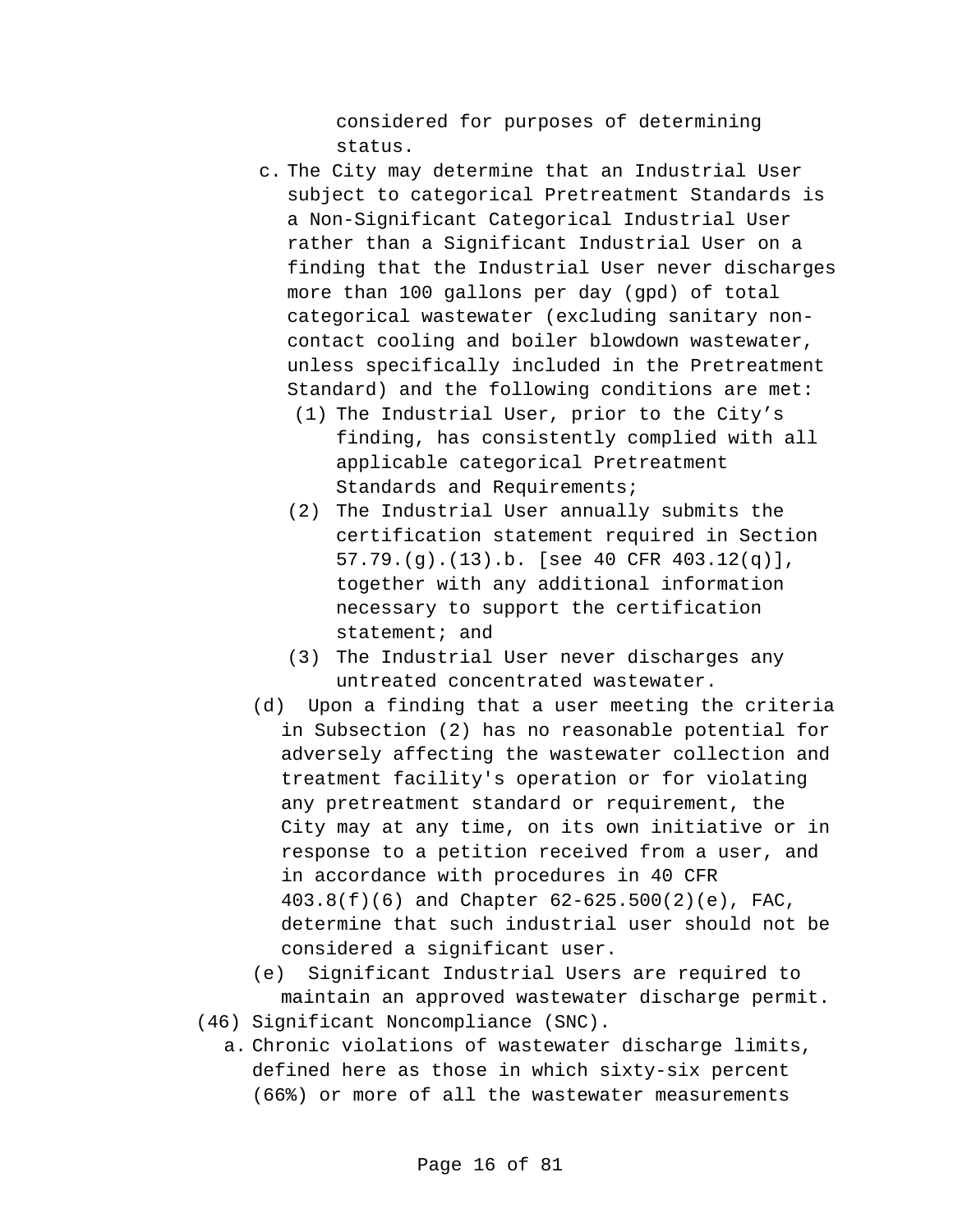considered for purposes of determining status.

- c. The City may determine that an Industrial User subject to categorical Pretreatment Standards is a Non-Significant Categorical Industrial User rather than a Significant Industrial User on a finding that the Industrial User never discharges more than 100 gallons per day (gpd) of total categorical wastewater (excluding sanitary noncontact cooling and boiler blowdown wastewater, unless specifically included in the Pretreatment Standard) and the following conditions are met:
	- (1) The Industrial User, prior to the City's finding, has consistently complied with all applicable categorical Pretreatment Standards and Requirements;
	- (2) The Industrial User annually submits the certification statement required in Section 57.79.(g).(13).b. [see 40 CFR 403.12(q)], together with any additional information necessary to support the certification statement; and
	- (3) The Industrial User never discharges any untreated concentrated wastewater.
- (d) Upon a finding that a user meeting the criteria in Subsection (2) has no reasonable potential for adversely affecting the wastewater collection and treatment facility's operation or for violating any pretreatment standard or requirement, the City may at any time, on its own initiative or in response to a petition received from a user, and in accordance with procedures in 40 CFR 403.8(f)(6) and Chapter 62-625.500(2)(e), FAC, determine that such industrial user should not be considered a significant user.

(e) Significant Industrial Users are required to maintain an approved wastewater discharge permit.

- (46) Significant Noncompliance (SNC).
	- a. Chronic violations of wastewater discharge limits, defined here as those in which sixty-six percent (66%) or more of all the wastewater measurements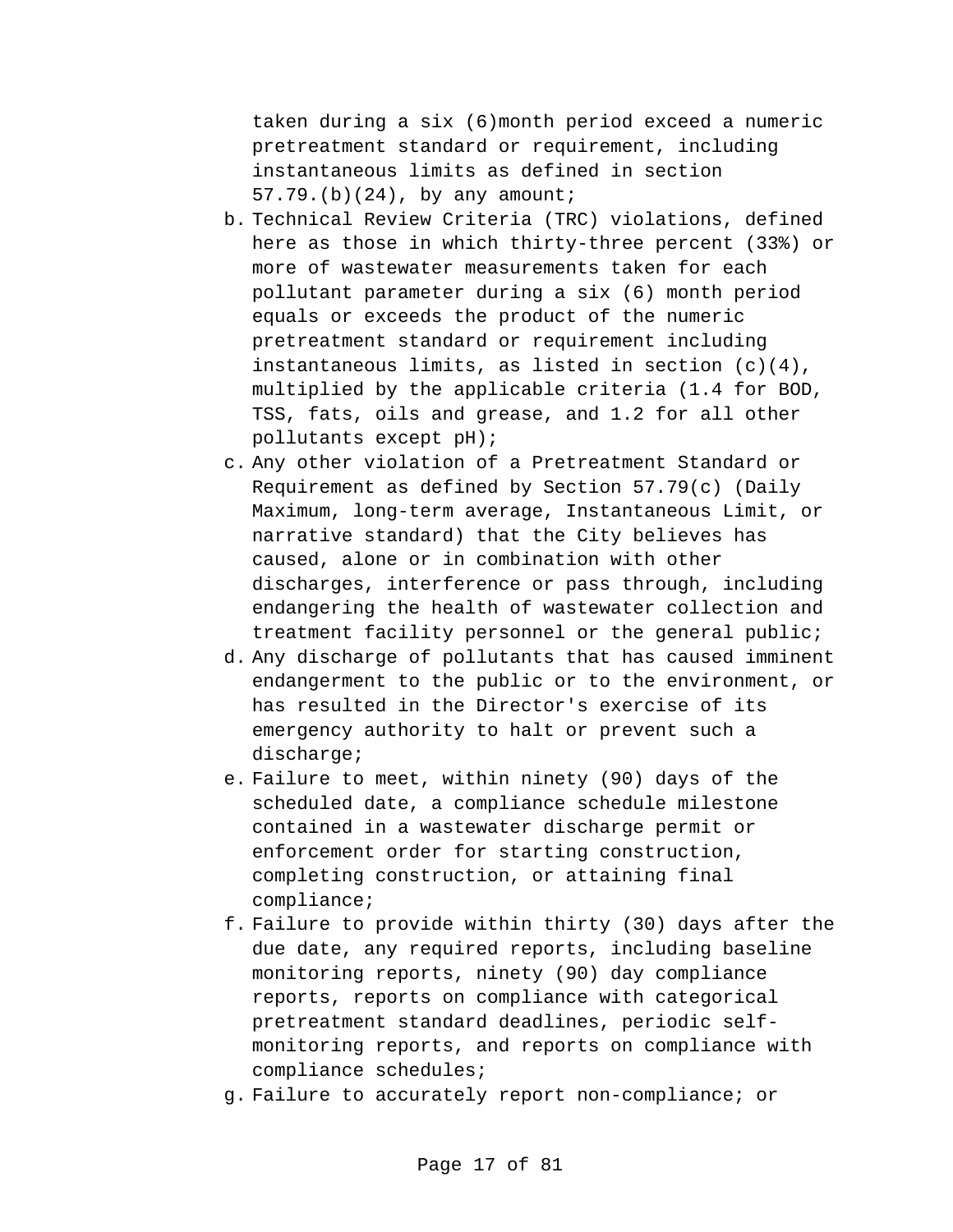taken during a six (6)month period exceed a numeric pretreatment standard or requirement, including instantaneous limits as defined in section 57.79.(b)(24), by any amount;

- b. Technical Review Criteria (TRC) violations, defined here as those in which thirty-three percent (33%) or more of wastewater measurements taken for each pollutant parameter during a six (6) month period equals or exceeds the product of the numeric pretreatment standard or requirement including instantaneous limits, as listed in section (c)(4), multiplied by the applicable criteria (1.4 for BOD, TSS, fats, oils and grease, and 1.2 for all other pollutants except pH);
- c. Any other violation of a Pretreatment Standard or Requirement as defined by Section 57.79(c) (Daily Maximum, long-term average, Instantaneous Limit, or narrative standard) that the City believes has caused, alone or in combination with other discharges, interference or pass through, including endangering the health of wastewater collection and treatment facility personnel or the general public;
- d. Any discharge of pollutants that has caused imminent endangerment to the public or to the environment, or has resulted in the Director's exercise of its emergency authority to halt or prevent such a discharge;
- e. Failure to meet, within ninety (90) days of the scheduled date, a compliance schedule milestone contained in a wastewater discharge permit or enforcement order for starting construction, completing construction, or attaining final compliance;
- f. Failure to provide within thirty (30) days after the due date, any required reports, including baseline monitoring reports, ninety (90) day compliance reports, reports on compliance with categorical pretreatment standard deadlines, periodic selfmonitoring reports, and reports on compliance with compliance schedules;
- g. Failure to accurately report non-compliance; or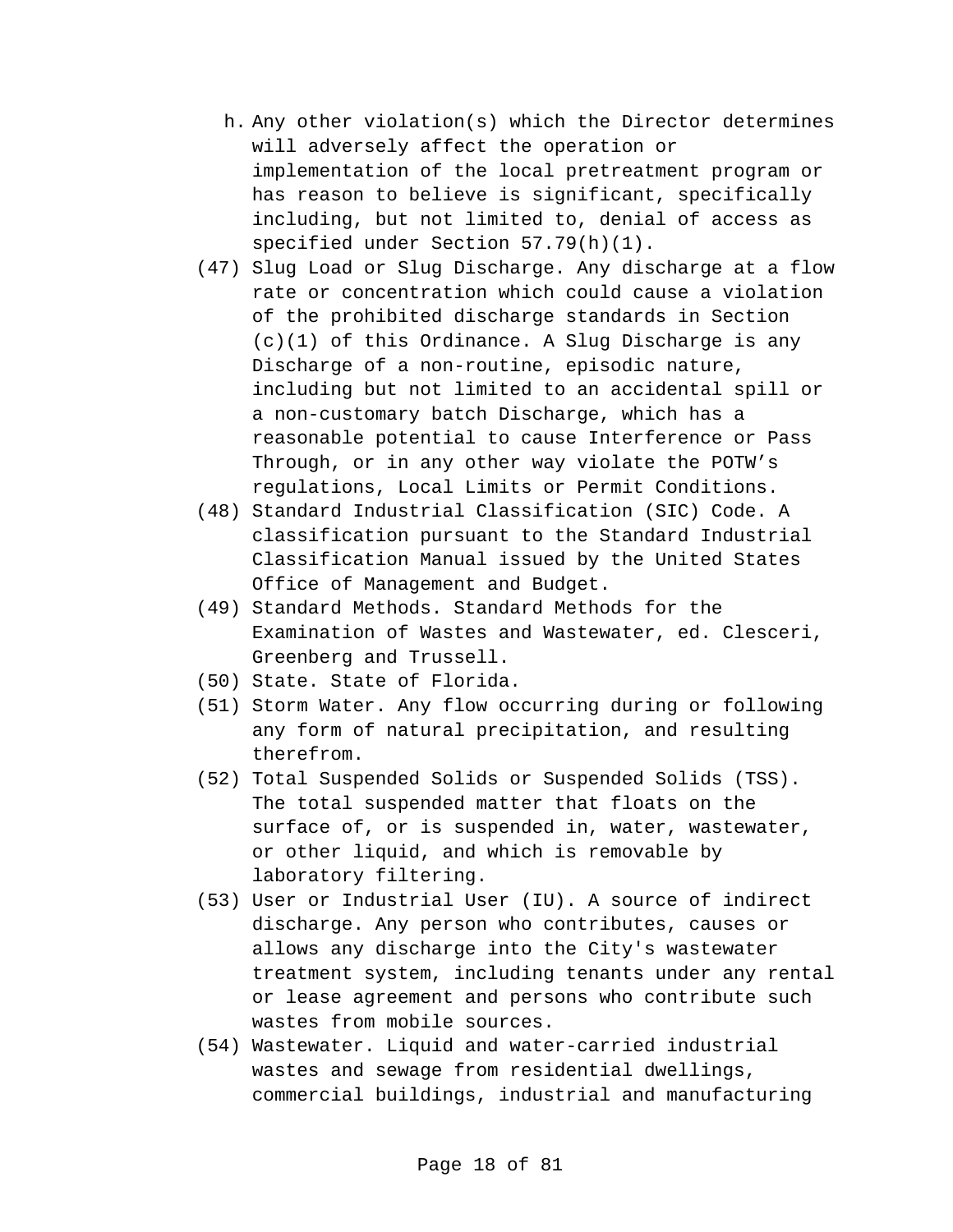- h. Any other violation(s) which the Director determines will adversely affect the operation or implementation of the local pretreatment program or has reason to believe is significant, specifically including, but not limited to, denial of access as specified under Section 57.79(h)(1).
- (47) Slug Load or Slug Discharge. Any discharge at a flow rate or concentration which could cause a violation of the prohibited discharge standards in Section (c)(1) of this Ordinance. A Slug Discharge is any Discharge of a non-routine, episodic nature, including but not limited to an accidental spill or a non-customary batch Discharge, which has a reasonable potential to cause Interference or Pass Through, or in any other way violate the POTW's regulations, Local Limits or Permit Conditions.
- (48) Standard Industrial Classification (SIC) Code. A classification pursuant to the Standard Industrial Classification Manual issued by the United States Office of Management and Budget.
- (49) Standard Methods. Standard Methods for the Examination of Wastes and Wastewater, ed. Clesceri, Greenberg and Trussell.
- (50) State. State of Florida.
- (51) Storm Water. Any flow occurring during or following any form of natural precipitation, and resulting therefrom.
- (52) Total Suspended Solids or Suspended Solids (TSS). The total suspended matter that floats on the surface of, or is suspended in, water, wastewater, or other liquid, and which is removable by laboratory filtering.
- (53) User or Industrial User (IU). A source of indirect discharge. Any person who contributes, causes or allows any discharge into the City's wastewater treatment system, including tenants under any rental or lease agreement and persons who contribute such wastes from mobile sources.
- (54) Wastewater. Liquid and water-carried industrial wastes and sewage from residential dwellings, commercial buildings, industrial and manufacturing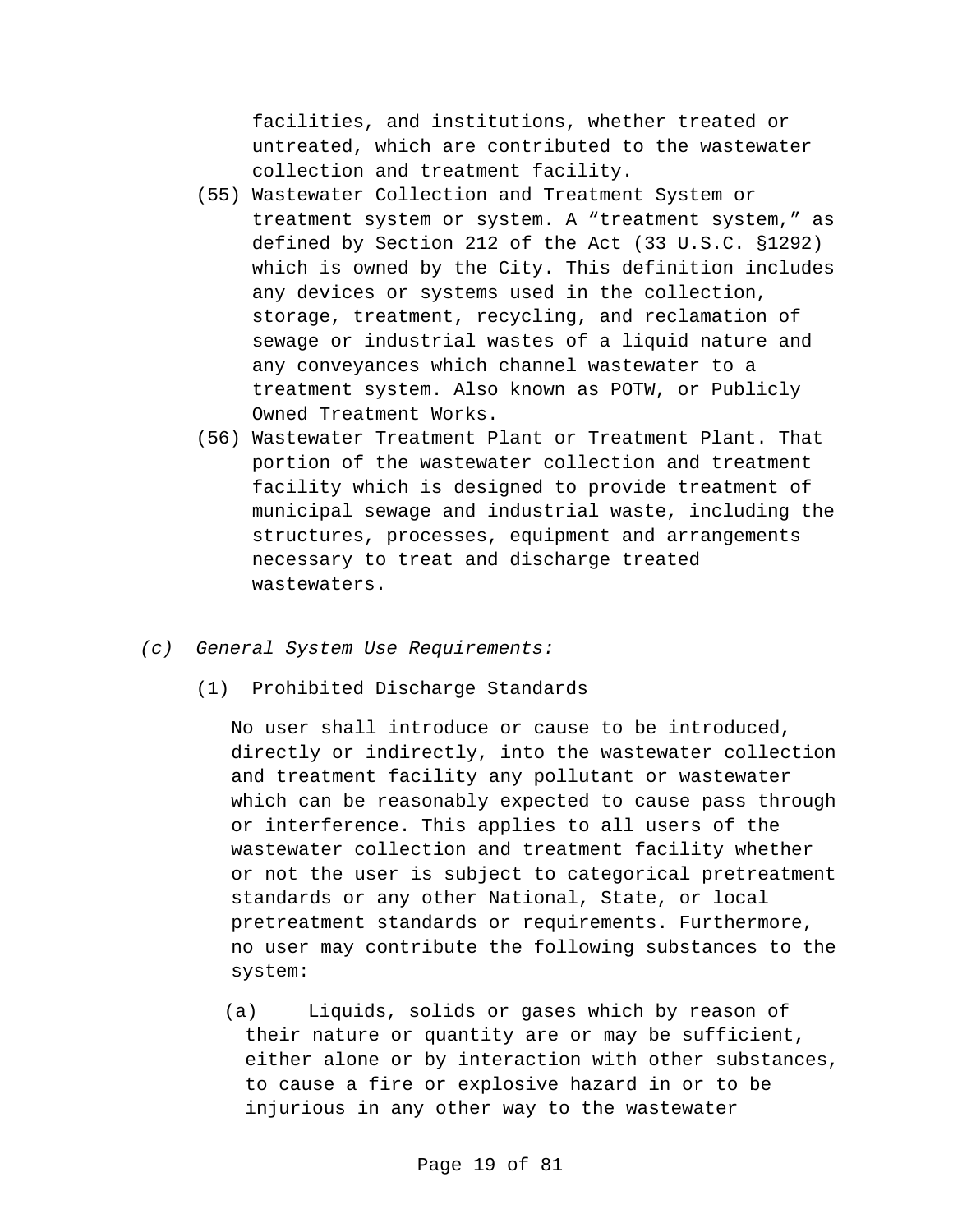facilities, and institutions, whether treated or untreated, which are contributed to the wastewater collection and treatment facility.

- (55) Wastewater Collection and Treatment System or treatment system or system. A "treatment system," as defined by Section 212 of the Act (33 U.S.C. §1292) which is owned by the City. This definition includes any devices or systems used in the collection, storage, treatment, recycling, and reclamation of sewage or industrial wastes of a liquid nature and any conveyances which channel wastewater to a treatment system. Also known as POTW, or Publicly Owned Treatment Works.
- (56) Wastewater Treatment Plant or Treatment Plant. That portion of the wastewater collection and treatment facility which is designed to provide treatment of municipal sewage and industrial waste, including the structures, processes, equipment and arrangements necessary to treat and discharge treated wastewaters.
- *(c) General System Use Requirements:*
	- (1) Prohibited Discharge Standards

No user shall introduce or cause to be introduced, directly or indirectly, into the wastewater collection and treatment facility any pollutant or wastewater which can be reasonably expected to cause pass through or interference. This applies to all users of the wastewater collection and treatment facility whether or not the user is subject to categorical pretreatment standards or any other National, State, or local pretreatment standards or requirements. Furthermore, no user may contribute the following substances to the system:

(a) Liquids, solids or gases which by reason of their nature or quantity are or may be sufficient, either alone or by interaction with other substances, to cause a fire or explosive hazard in or to be injurious in any other way to the wastewater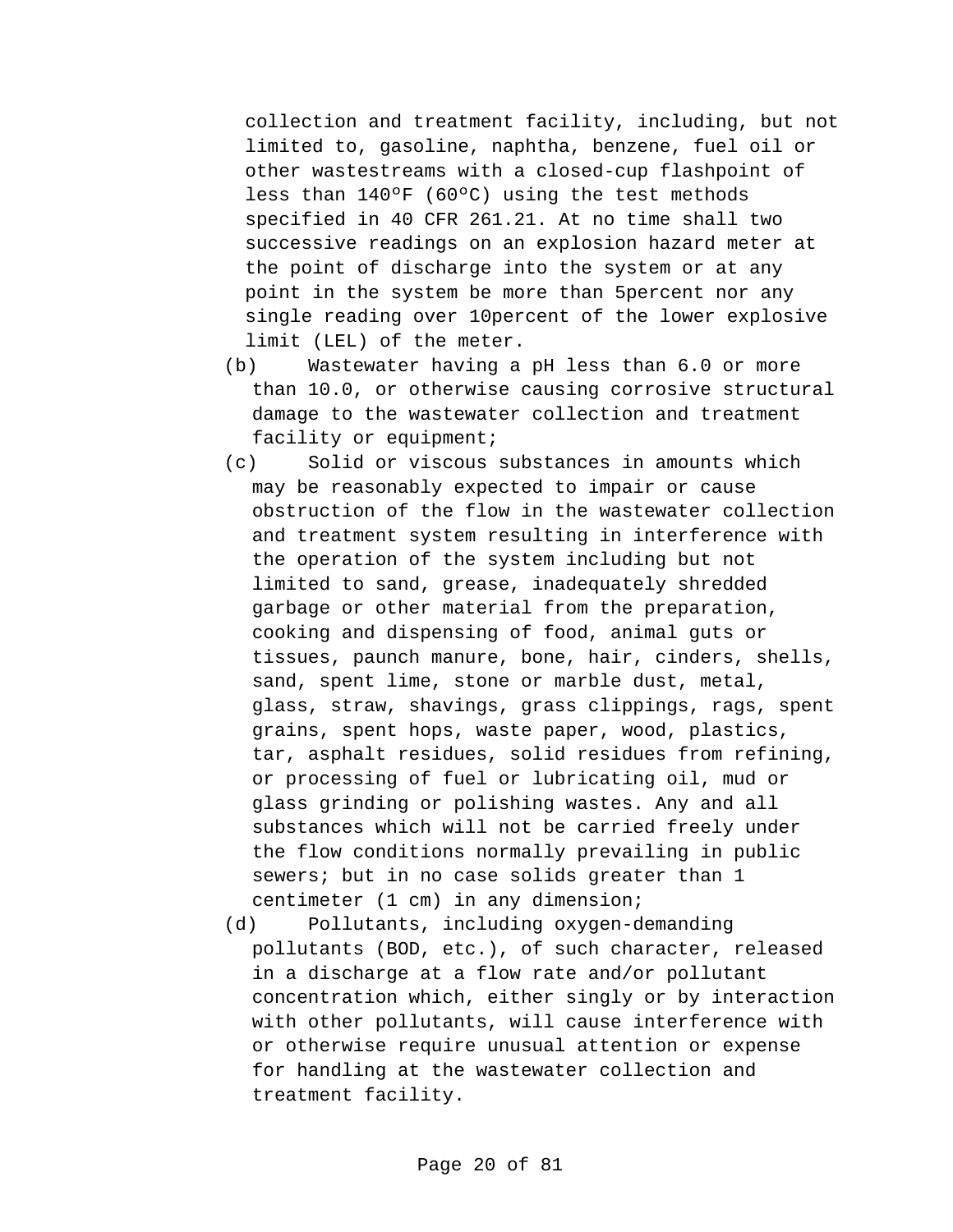collection and treatment facility, including, but not limited to, gasoline, naphtha, benzene, fuel oil or other wastestreams with a closed-cup flashpoint of less than 140ºF (60ºC) using the test methods specified in 40 CFR 261.21. At no time shall two successive readings on an explosion hazard meter at the point of discharge into the system or at any point in the system be more than 5percent nor any single reading over 10percent of the lower explosive limit (LEL) of the meter.

- (b) Wastewater having a pH less than 6.0 or more than 10.0, or otherwise causing corrosive structural damage to the wastewater collection and treatment facility or equipment;
- (c) Solid or viscous substances in amounts which may be reasonably expected to impair or cause obstruction of the flow in the wastewater collection and treatment system resulting in interference with the operation of the system including but not limited to sand, grease, inadequately shredded garbage or other material from the preparation, cooking and dispensing of food, animal guts or tissues, paunch manure, bone, hair, cinders, shells, sand, spent lime, stone or marble dust, metal, glass, straw, shavings, grass clippings, rags, spent grains, spent hops, waste paper, wood, plastics, tar, asphalt residues, solid residues from refining, or processing of fuel or lubricating oil, mud or glass grinding or polishing wastes. Any and all substances which will not be carried freely under the flow conditions normally prevailing in public sewers; but in no case solids greater than 1 centimeter (1 cm) in any dimension;
- (d) Pollutants, including oxygen-demanding pollutants (BOD, etc.), of such character, released in a discharge at a flow rate and/or pollutant concentration which, either singly or by interaction with other pollutants, will cause interference with or otherwise require unusual attention or expense for handling at the wastewater collection and treatment facility.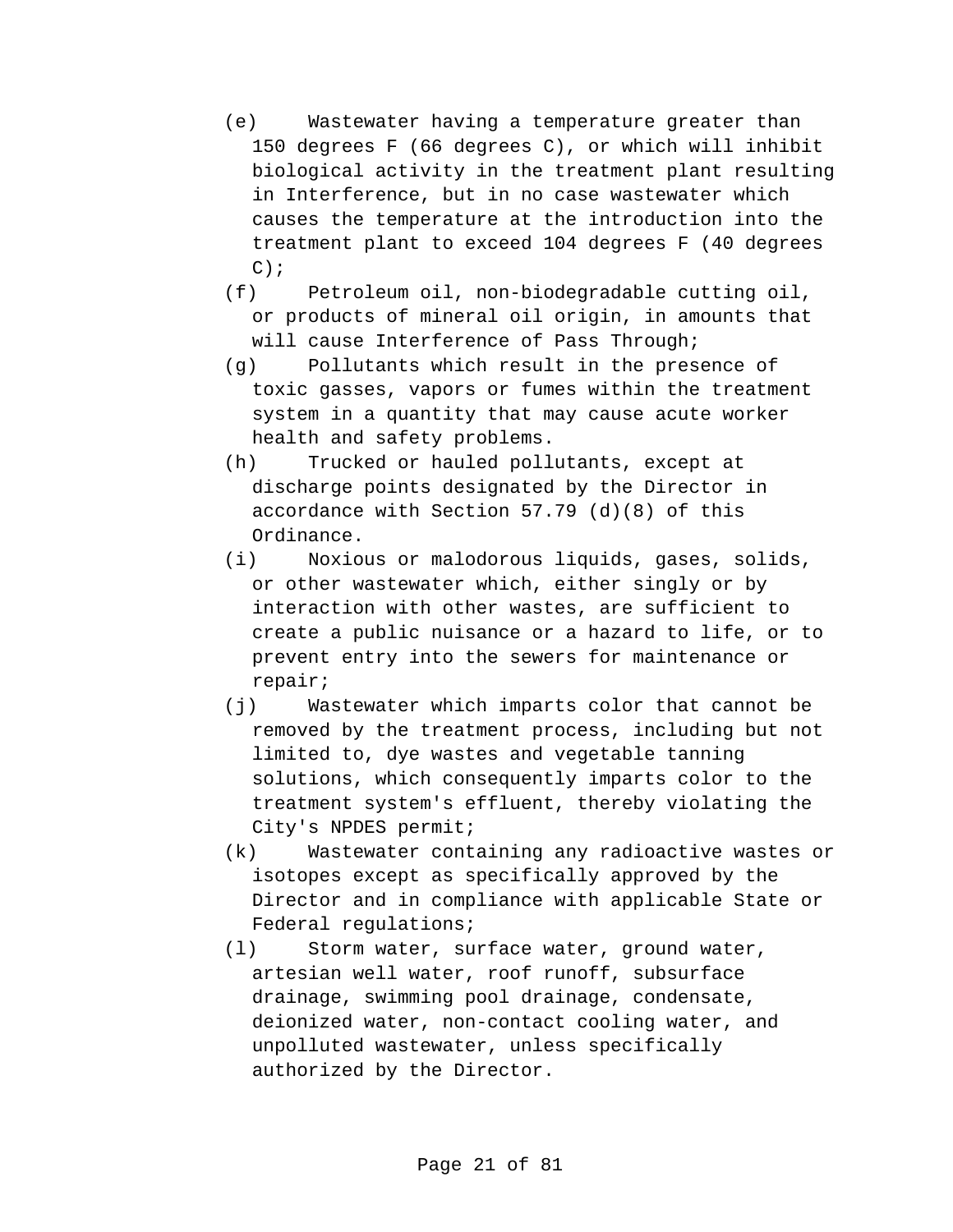- (e) Wastewater having a temperature greater than 150 degrees F (66 degrees C), or which will inhibit biological activity in the treatment plant resulting in Interference, but in no case wastewater which causes the temperature at the introduction into the treatment plant to exceed 104 degrees F (40 degrees  $C$ );
- (f) Petroleum oil, non-biodegradable cutting oil, or products of mineral oil origin, in amounts that will cause Interference of Pass Through;
- (g) Pollutants which result in the presence of toxic gasses, vapors or fumes within the treatment system in a quantity that may cause acute worker health and safety problems.
- (h) Trucked or hauled pollutants, except at discharge points designated by the Director in accordance with Section 57.79 (d)(8) of this Ordinance.
- (i) Noxious or malodorous liquids, gases, solids, or other wastewater which, either singly or by interaction with other wastes, are sufficient to create a public nuisance or a hazard to life, or to prevent entry into the sewers for maintenance or repair;
- (j) Wastewater which imparts color that cannot be removed by the treatment process, including but not limited to, dye wastes and vegetable tanning solutions, which consequently imparts color to the treatment system's effluent, thereby violating the City's NPDES permit;
- (k) Wastewater containing any radioactive wastes or isotopes except as specifically approved by the Director and in compliance with applicable State or Federal regulations;
- (l) Storm water, surface water, ground water, artesian well water, roof runoff, subsurface drainage, swimming pool drainage, condensate, deionized water, non-contact cooling water, and unpolluted wastewater, unless specifically authorized by the Director.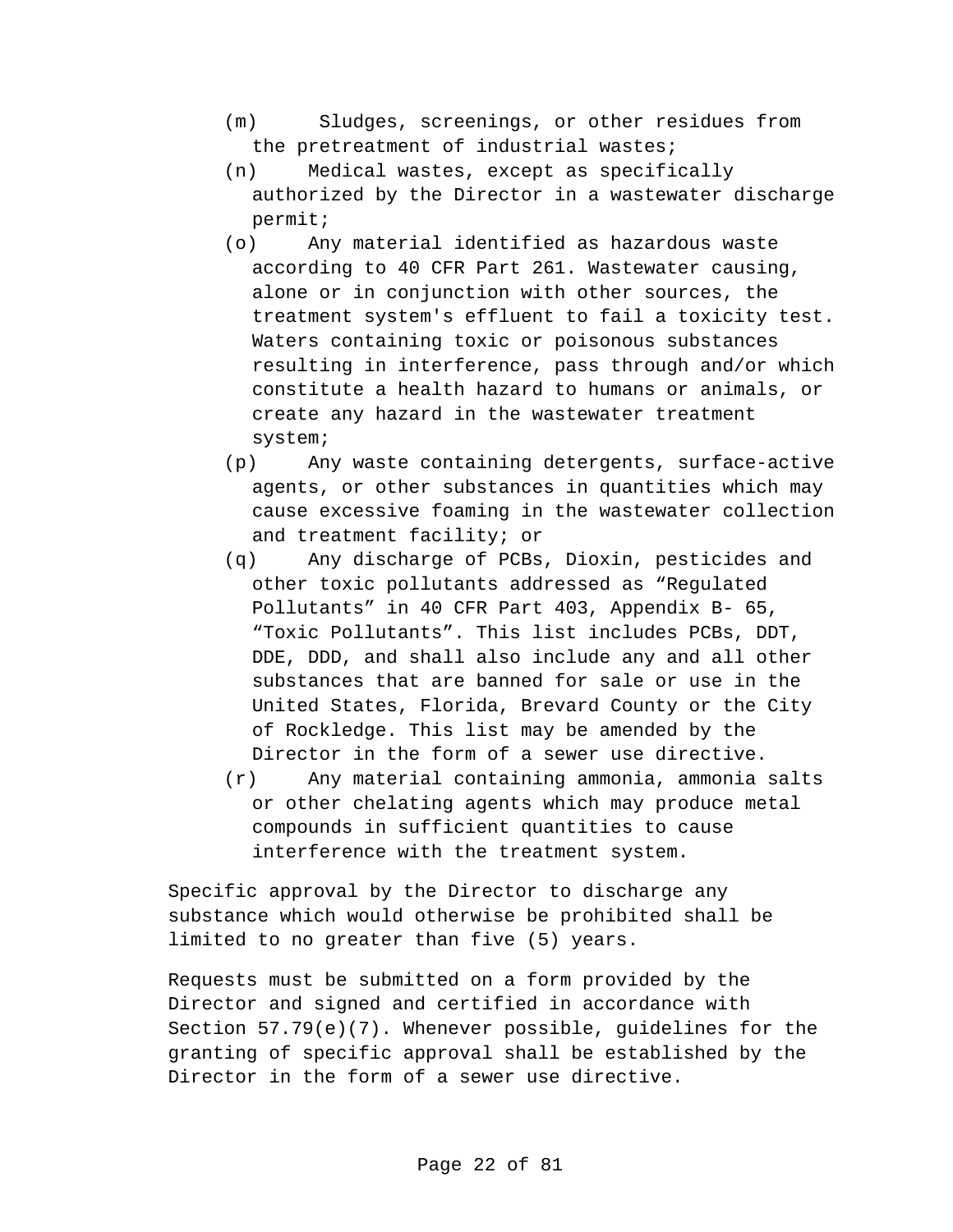- (m) Sludges, screenings, or other residues from the pretreatment of industrial wastes;
- (n) Medical wastes, except as specifically authorized by the Director in a wastewater discharge permit;
- (o) Any material identified as hazardous waste according to 40 CFR Part 261. Wastewater causing, alone or in conjunction with other sources, the treatment system's effluent to fail a toxicity test. Waters containing toxic or poisonous substances resulting in interference, pass through and/or which constitute a health hazard to humans or animals, or create any hazard in the wastewater treatment system;
- (p) Any waste containing detergents, surface-active agents, or other substances in quantities which may cause excessive foaming in the wastewater collection and treatment facility; or
- (q) Any discharge of PCBs, Dioxin, pesticides and other toxic pollutants addressed as "Regulated Pollutants" in 40 CFR Part 403, Appendix B- 65, "Toxic Pollutants". This list includes PCBs, DDT, DDE, DDD, and shall also include any and all other substances that are banned for sale or use in the United States, Florida, Brevard County or the City of Rockledge. This list may be amended by the Director in the form of a sewer use directive.
- (r) Any material containing ammonia, ammonia salts or other chelating agents which may produce metal compounds in sufficient quantities to cause interference with the treatment system.

Specific approval by the Director to discharge any substance which would otherwise be prohibited shall be limited to no greater than five (5) years.

Requests must be submitted on a form provided by the Director and signed and certified in accordance with Section 57.79(e)(7). Whenever possible, guidelines for the granting of specific approval shall be established by the Director in the form of a sewer use directive.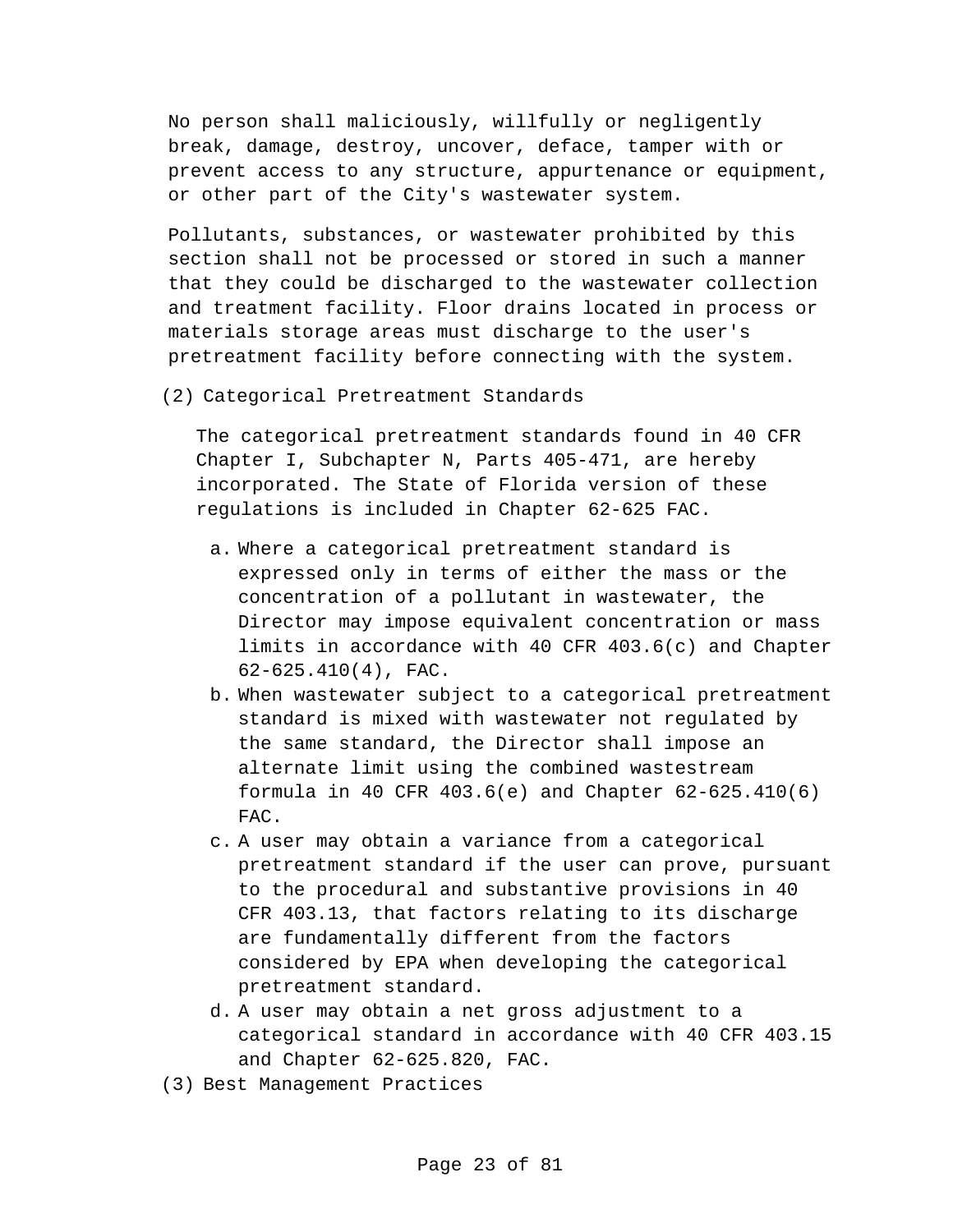No person shall maliciously, willfully or negligently break, damage, destroy, uncover, deface, tamper with or prevent access to any structure, appurtenance or equipment, or other part of the City's wastewater system.

Pollutants, substances, or wastewater prohibited by this section shall not be processed or stored in such a manner that they could be discharged to the wastewater collection and treatment facility. Floor drains located in process or materials storage areas must discharge to the user's pretreatment facility before connecting with the system.

(2) Categorical Pretreatment Standards

The categorical pretreatment standards found in 40 CFR Chapter I, Subchapter N, Parts 405-471, are hereby incorporated. The State of Florida version of these regulations is included in Chapter 62-625 FAC.

- a. Where a categorical pretreatment standard is expressed only in terms of either the mass or the concentration of a pollutant in wastewater, the Director may impose equivalent concentration or mass limits in accordance with 40 CFR 403.6(c) and Chapter 62-625.410(4), FAC.
- b. When wastewater subject to a categorical pretreatment standard is mixed with wastewater not regulated by the same standard, the Director shall impose an alternate limit using the combined wastestream formula in 40 CFR 403.6(e) and Chapter 62-625.410(6) FAC.
- c. A user may obtain a variance from a categorical pretreatment standard if the user can prove, pursuant to the procedural and substantive provisions in 40 CFR 403.13, that factors relating to its discharge are fundamentally different from the factors considered by EPA when developing the categorical pretreatment standard.
- d. A user may obtain a net gross adjustment to a categorical standard in accordance with 40 CFR 403.15 and Chapter 62-625.820, FAC.
- (3) Best Management Practices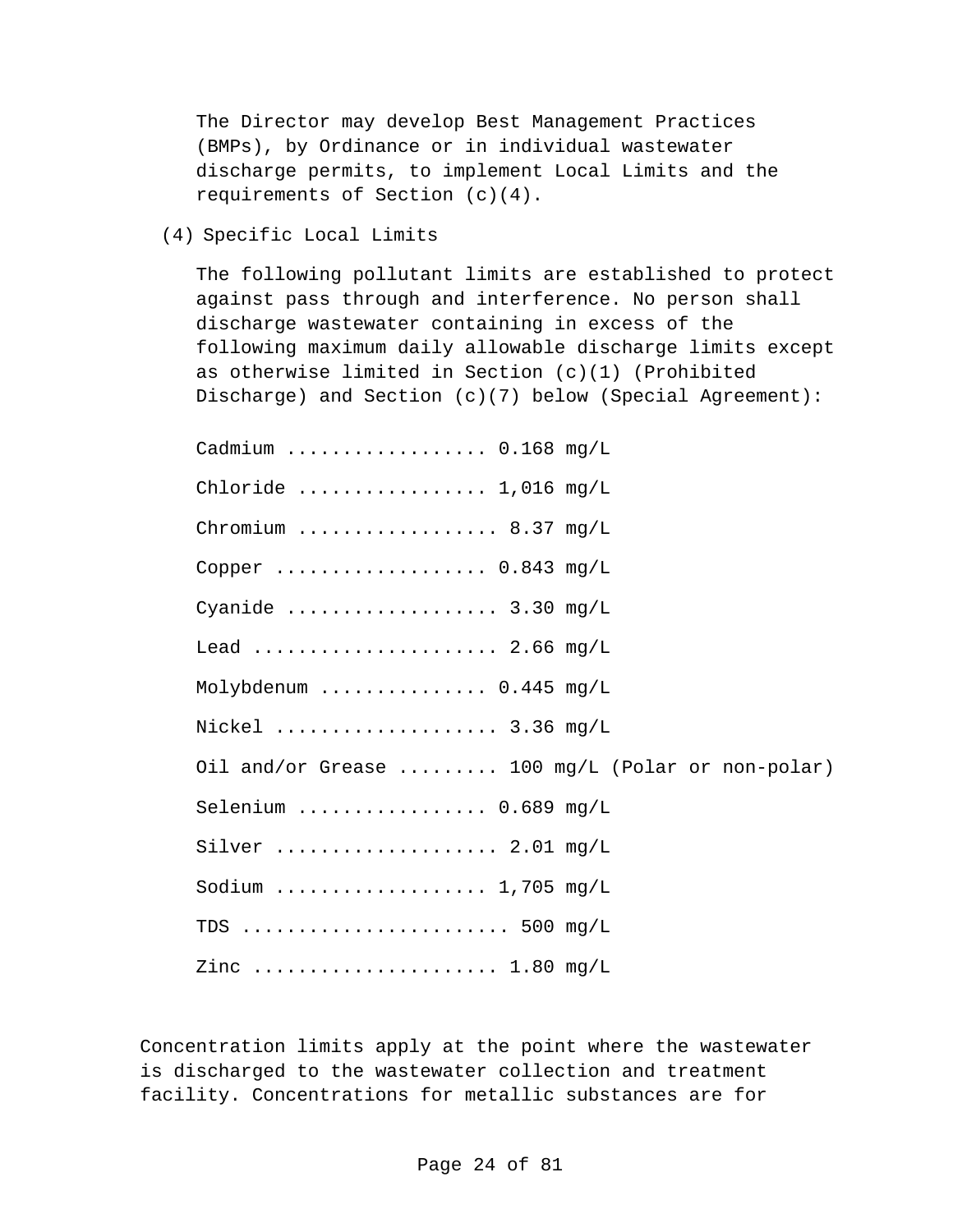The Director may develop Best Management Practices (BMPs), by Ordinance or in individual wastewater discharge permits, to implement Local Limits and the requirements of Section (c)(4).

(4) Specific Local Limits

The following pollutant limits are established to protect against pass through and interference. No person shall discharge wastewater containing in excess of the following maximum daily allowable discharge limits except as otherwise limited in Section (c)(1) (Prohibited Discharge) and Section (c)(7) below (Special Agreement):

Cadmium .................. 0.168 mg/L Chloride ................. 1,016 mg/L Chromium .................. 8.37 mg/L Copper ..................... 0.843 mg/L Cyanide ..................... 3.30 mg/L Lead ...................... 2.66 mg/L Molybdenum ............... 0.445 mg/L Nickel .................... 3.36 mg/L Oil and/or Grease ......... 100 mg/L (Polar or non-polar) Selenium ................. 0.689 mg/L Silver .................... 2.01 mg/L Sodium ................... 1,705 mg/L TDS ........................ 500 mg/L Zinc ...................... 1.80 mg/L

Concentration limits apply at the point where the wastewater is discharged to the wastewater collection and treatment facility. Concentrations for metallic substances are for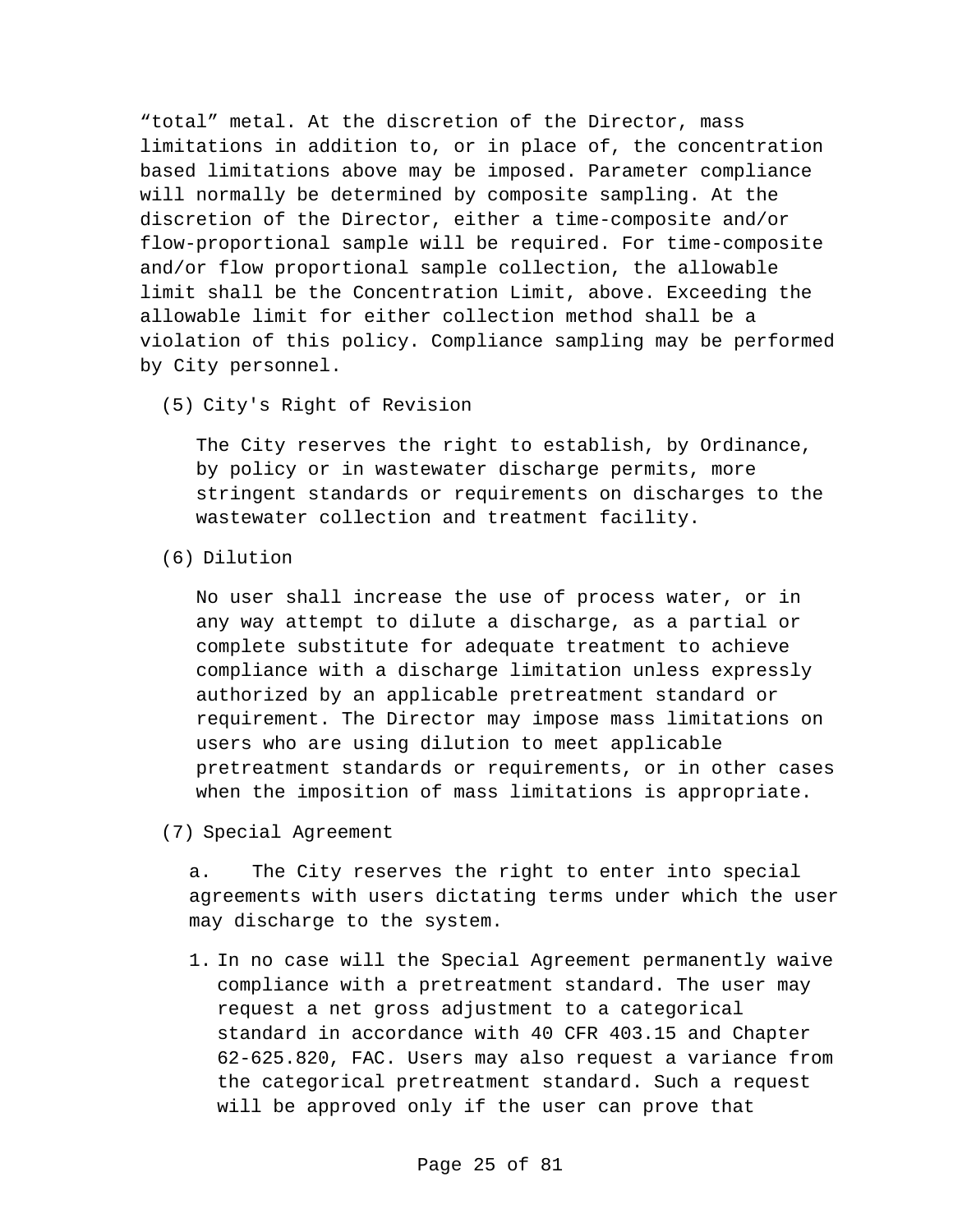"total" metal. At the discretion of the Director, mass limitations in addition to, or in place of, the concentration based limitations above may be imposed. Parameter compliance will normally be determined by composite sampling. At the discretion of the Director, either a time-composite and/or flow-proportional sample will be required. For time-composite and/or flow proportional sample collection, the allowable limit shall be the Concentration Limit, above. Exceeding the allowable limit for either collection method shall be a violation of this policy. Compliance sampling may be performed by City personnel.

(5) City's Right of Revision

The City reserves the right to establish, by Ordinance, by policy or in wastewater discharge permits, more stringent standards or requirements on discharges to the wastewater collection and treatment facility.

(6) Dilution

No user shall increase the use of process water, or in any way attempt to dilute a discharge, as a partial or complete substitute for adequate treatment to achieve compliance with a discharge limitation unless expressly authorized by an applicable pretreatment standard or requirement. The Director may impose mass limitations on users who are using dilution to meet applicable pretreatment standards or requirements, or in other cases when the imposition of mass limitations is appropriate.

(7) Special Agreement

a. The City reserves the right to enter into special agreements with users dictating terms under which the user may discharge to the system.

1. In no case will the Special Agreement permanently waive compliance with a pretreatment standard. The user may request a net gross adjustment to a categorical standard in accordance with 40 CFR 403.15 and Chapter 62-625.820, FAC. Users may also request a variance from the categorical pretreatment standard. Such a request will be approved only if the user can prove that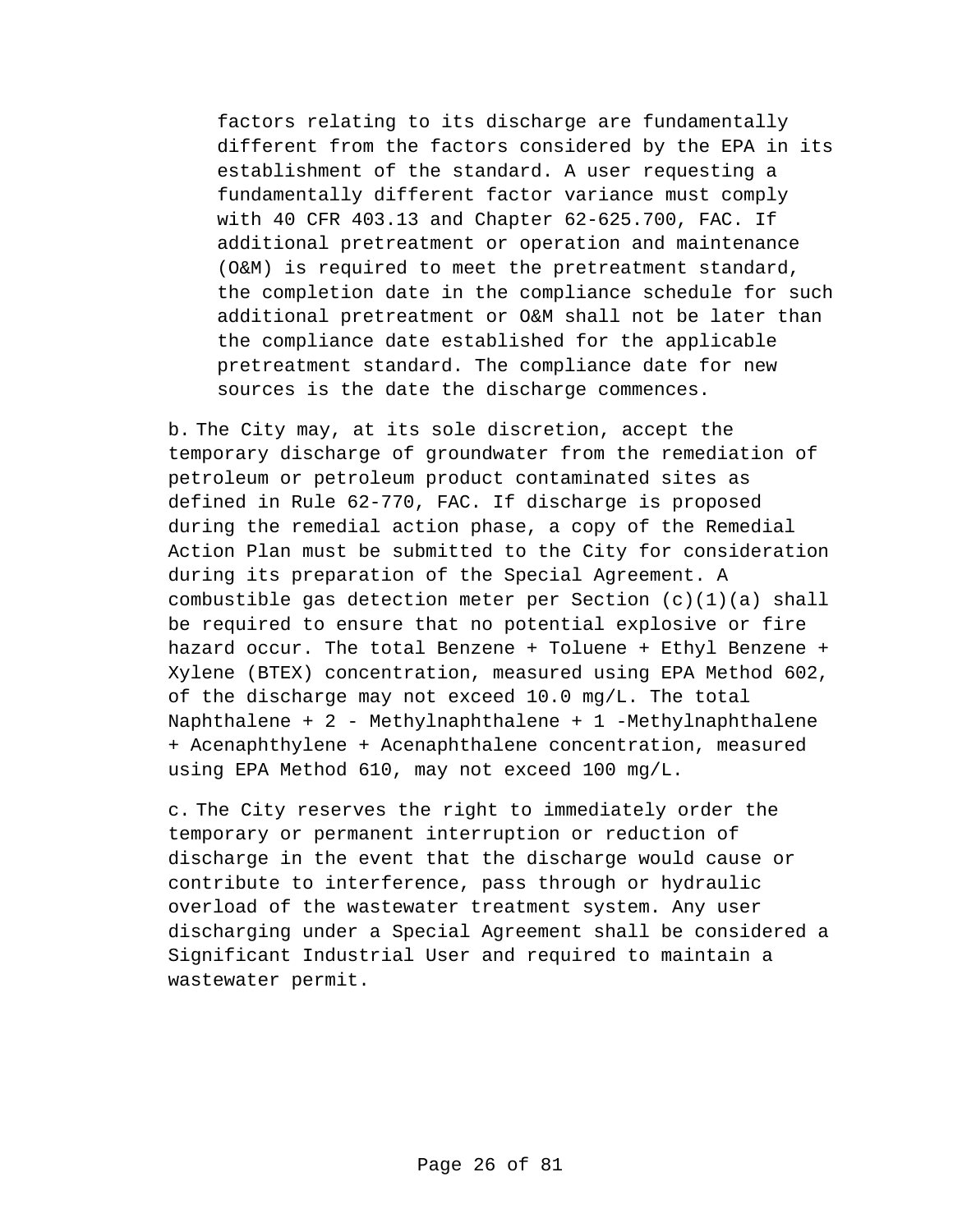factors relating to its discharge are fundamentally different from the factors considered by the EPA in its establishment of the standard. A user requesting a fundamentally different factor variance must comply with 40 CFR 403.13 and Chapter 62-625.700, FAC. If additional pretreatment or operation and maintenance (O&M) is required to meet the pretreatment standard, the completion date in the compliance schedule for such additional pretreatment or O&M shall not be later than the compliance date established for the applicable pretreatment standard. The compliance date for new sources is the date the discharge commences.

b. The City may, at its sole discretion, accept the temporary discharge of groundwater from the remediation of petroleum or petroleum product contaminated sites as defined in Rule 62-770, FAC. If discharge is proposed during the remedial action phase, a copy of the Remedial Action Plan must be submitted to the City for consideration during its preparation of the Special Agreement. A combustible gas detection meter per Section (c)(1)(a) shall be required to ensure that no potential explosive or fire hazard occur. The total Benzene + Toluene + Ethyl Benzene + Xylene (BTEX) concentration, measured using EPA Method 602, of the discharge may not exceed 10.0 mg/L. The total Naphthalene + 2 - Methylnaphthalene + 1 -Methylnaphthalene + Acenaphthylene + Acenaphthalene concentration, measured using EPA Method 610, may not exceed 100 mg/L.

c. The City reserves the right to immediately order the temporary or permanent interruption or reduction of discharge in the event that the discharge would cause or contribute to interference, pass through or hydraulic overload of the wastewater treatment system. Any user discharging under a Special Agreement shall be considered a Significant Industrial User and required to maintain a wastewater permit.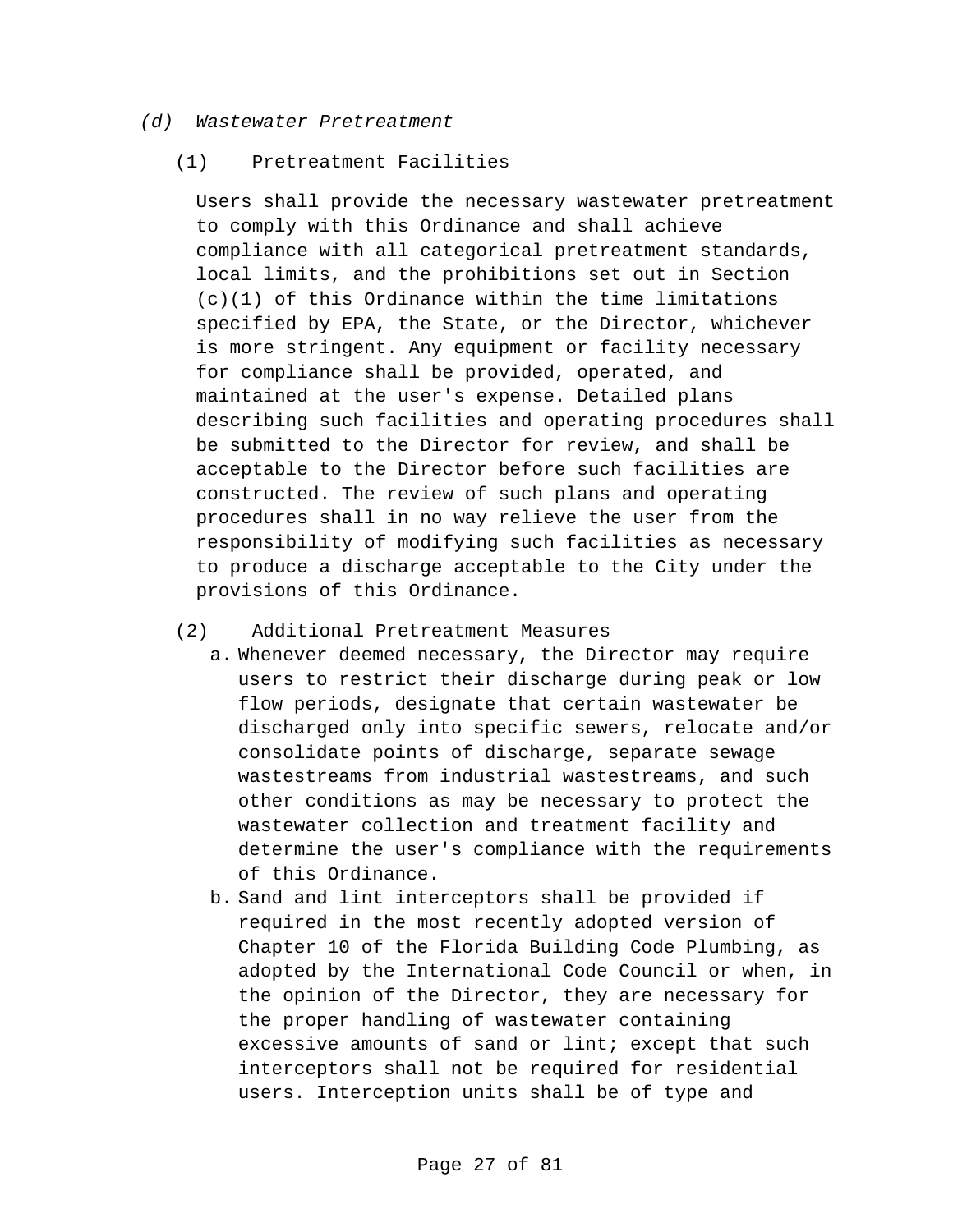#### *(d) Wastewater Pretreatment*

#### (1) Pretreatment Facilities

Users shall provide the necessary wastewater pretreatment to comply with this Ordinance and shall achieve compliance with all categorical pretreatment standards, local limits, and the prohibitions set out in Section (c)(1) of this Ordinance within the time limitations specified by EPA, the State, or the Director, whichever is more stringent. Any equipment or facility necessary for compliance shall be provided, operated, and maintained at the user's expense. Detailed plans describing such facilities and operating procedures shall be submitted to the Director for review, and shall be acceptable to the Director before such facilities are constructed. The review of such plans and operating procedures shall in no way relieve the user from the responsibility of modifying such facilities as necessary to produce a discharge acceptable to the City under the provisions of this Ordinance.

#### (2) Additional Pretreatment Measures

- a. Whenever deemed necessary, the Director may require users to restrict their discharge during peak or low flow periods, designate that certain wastewater be discharged only into specific sewers, relocate and/or consolidate points of discharge, separate sewage wastestreams from industrial wastestreams, and such other conditions as may be necessary to protect the wastewater collection and treatment facility and determine the user's compliance with the requirements of this Ordinance.
- b. Sand and lint interceptors shall be provided if required in the most recently adopted version of Chapter 10 of the Florida Building Code Plumbing, as adopted by the International Code Council or when, in the opinion of the Director, they are necessary for the proper handling of wastewater containing excessive amounts of sand or lint; except that such interceptors shall not be required for residential users. Interception units shall be of type and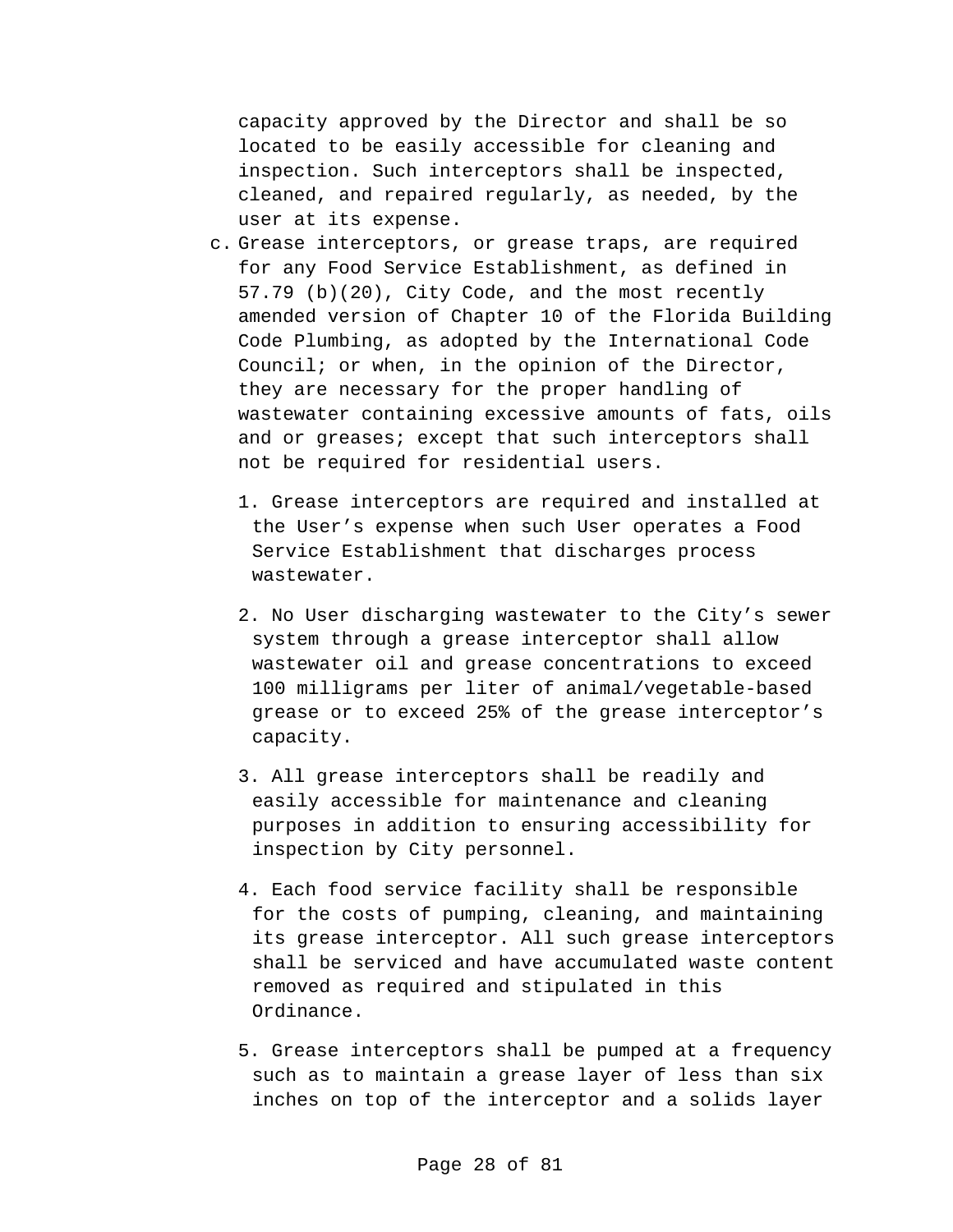capacity approved by the Director and shall be so located to be easily accessible for cleaning and inspection. Such interceptors shall be inspected, cleaned, and repaired regularly, as needed, by the user at its expense.

- c. Grease interceptors, or grease traps, are required for any Food Service Establishment, as defined in 57.79 (b)(20), City Code, and the most recently amended version of Chapter 10 of the Florida Building Code Plumbing, as adopted by the International Code Council; or when, in the opinion of the Director, they are necessary for the proper handling of wastewater containing excessive amounts of fats, oils and or greases; except that such interceptors shall not be required for residential users.
	- 1. Grease interceptors are required and installed at the User's expense when such User operates a Food Service Establishment that discharges process wastewater.
	- 2. No User discharging wastewater to the City's sewer system through a grease interceptor shall allow wastewater oil and grease concentrations to exceed 100 milligrams per liter of animal/vegetable-based grease or to exceed 25% of the grease interceptor's capacity.
	- 3. All grease interceptors shall be readily and easily accessible for maintenance and cleaning purposes in addition to ensuring accessibility for inspection by City personnel.
	- 4. Each food service facility shall be responsible for the costs of pumping, cleaning, and maintaining its grease interceptor. All such grease interceptors shall be serviced and have accumulated waste content removed as required and stipulated in this Ordinance.
	- 5. Grease interceptors shall be pumped at a frequency such as to maintain a grease layer of less than six inches on top of the interceptor and a solids layer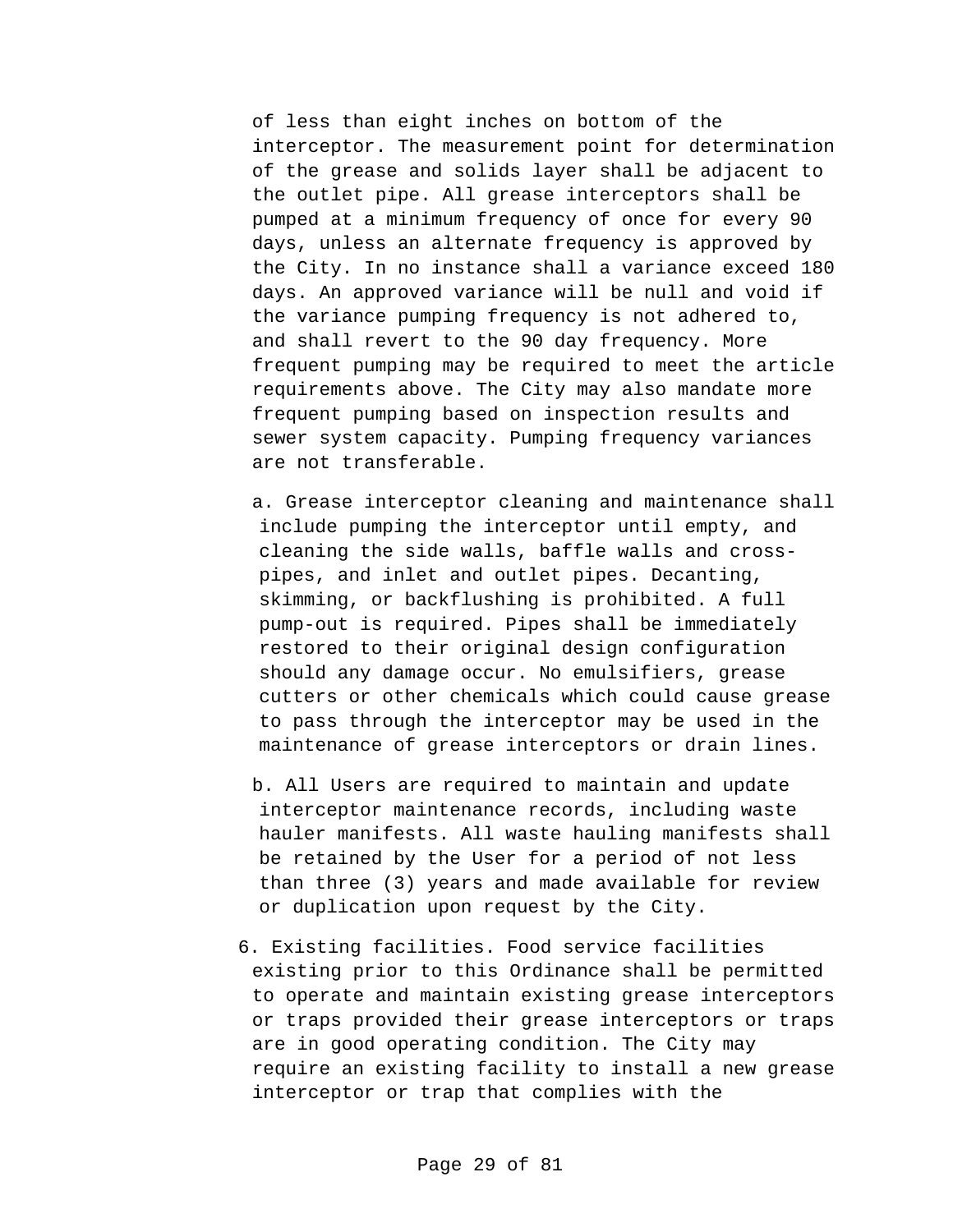of less than eight inches on bottom of the interceptor. The measurement point for determination of the grease and solids layer shall be adjacent to the outlet pipe. All grease interceptors shall be pumped at a minimum frequency of once for every 90 days, unless an alternate frequency is approved by the City. In no instance shall a variance exceed 180 days. An approved variance will be null and void if the variance pumping frequency is not adhered to, and shall revert to the 90 day frequency. More frequent pumping may be required to meet the article requirements above. The City may also mandate more frequent pumping based on inspection results and sewer system capacity. Pumping frequency variances are not transferable.

a. Grease interceptor cleaning and maintenance shall include pumping the interceptor until empty, and cleaning the side walls, baffle walls and crosspipes, and inlet and outlet pipes. Decanting, skimming, or backflushing is prohibited. A full pump-out is required. Pipes shall be immediately restored to their original design configuration should any damage occur. No emulsifiers, grease cutters or other chemicals which could cause grease to pass through the interceptor may be used in the maintenance of grease interceptors or drain lines.

- b. All Users are required to maintain and update interceptor maintenance records, including waste hauler manifests. All waste hauling manifests shall be retained by the User for a period of not less than three (3) years and made available for review or duplication upon request by the City.
- 6. Existing facilities. Food service facilities existing prior to this Ordinance shall be permitted to operate and maintain existing grease interceptors or traps provided their grease interceptors or traps are in good operating condition. The City may require an existing facility to install a new grease interceptor or trap that complies with the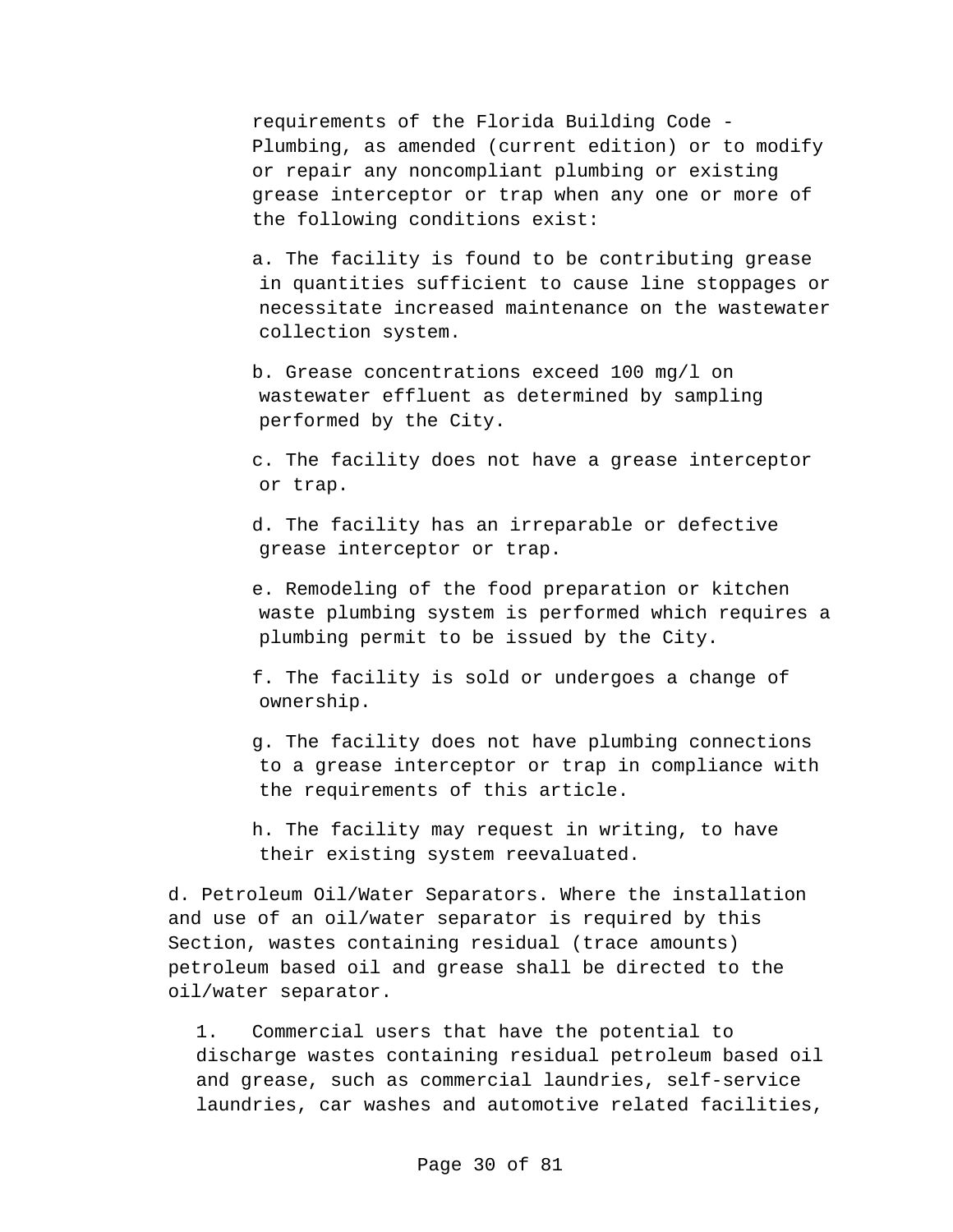requirements of the Florida Building Code - Plumbing, as amended (current edition) or to modify or repair any noncompliant plumbing or existing grease interceptor or trap when any one or more of the following conditions exist:

a. The facility is found to be contributing grease in quantities sufficient to cause line stoppages or necessitate increased maintenance on the wastewater collection system.

b. Grease concentrations exceed 100 mg/l on wastewater effluent as determined by sampling performed by the City.

c. The facility does not have a grease interceptor or trap.

d. The facility has an irreparable or defective grease interceptor or trap.

e. Remodeling of the food preparation or kitchen waste plumbing system is performed which requires a plumbing permit to be issued by the City.

f. The facility is sold or undergoes a change of ownership.

g. The facility does not have plumbing connections to a grease interceptor or trap in compliance with the requirements of this article.

h. The facility may request in writing, to have their existing system reevaluated.

d. Petroleum Oil/Water Separators. Where the installation and use of an oil/water separator is required by this Section, wastes containing residual (trace amounts) petroleum based oil and grease shall be directed to the oil/water separator.

1. Commercial users that have the potential to discharge wastes containing residual petroleum based oil and grease, such as commercial laundries, self-service laundries, car washes and automotive related facilities,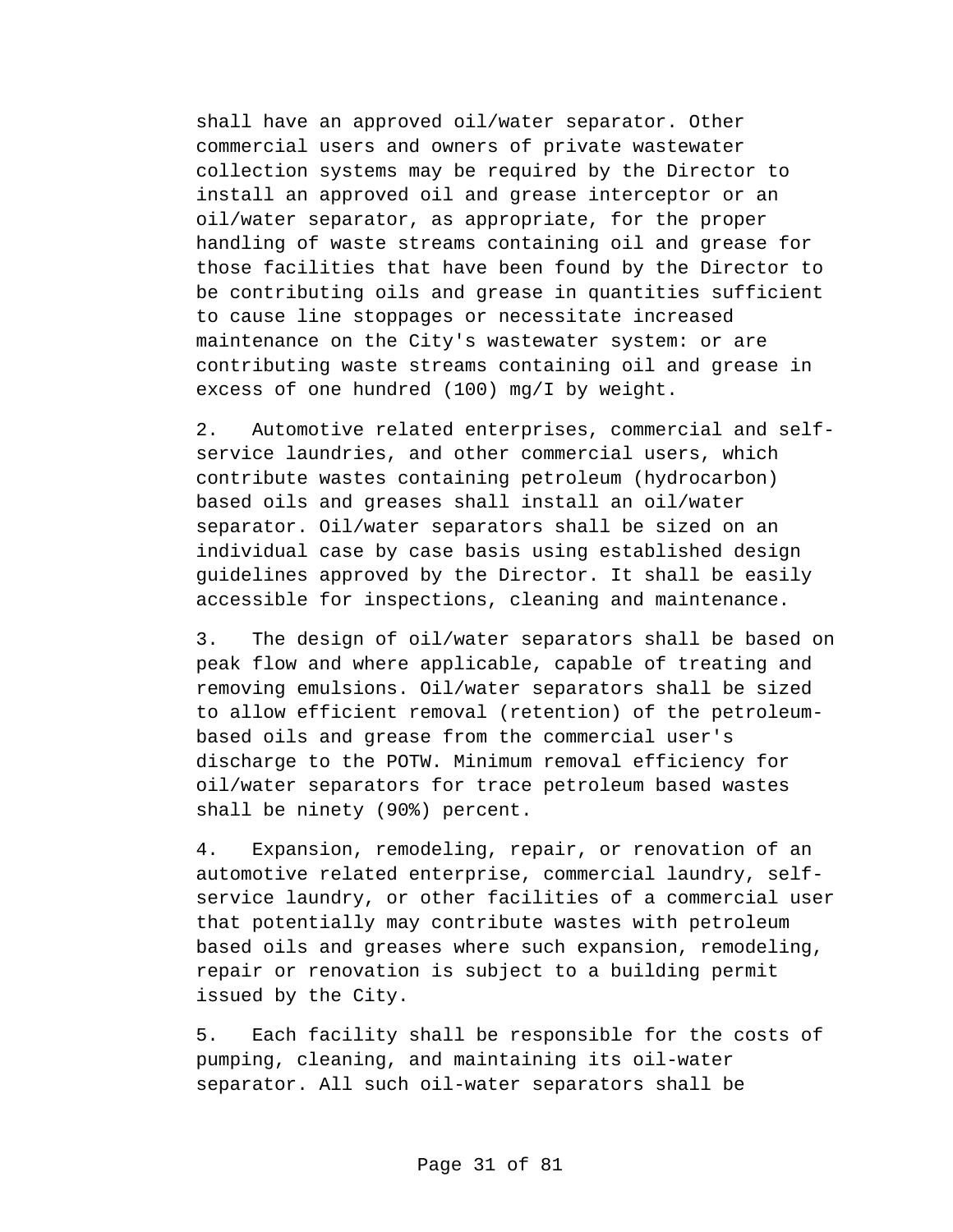shall have an approved oil/water separator. Other commercial users and owners of private wastewater collection systems may be required by the Director to install an approved oil and grease interceptor or an oil/water separator, as appropriate, for the proper handling of waste streams containing oil and grease for those facilities that have been found by the Director to be contributing oils and grease in quantities sufficient to cause line stoppages or necessitate increased maintenance on the City's wastewater system: or are contributing waste streams containing oil and grease in excess of one hundred (100) mg/I by weight.

2. Automotive related enterprises, commercial and selfservice laundries, and other commercial users, which contribute wastes containing petroleum (hydrocarbon) based oils and greases shall install an oil/water separator. Oil/water separators shall be sized on an individual case by case basis using established design guidelines approved by the Director. It shall be easily accessible for inspections, cleaning and maintenance.

3. The design of oil/water separators shall be based on peak flow and where applicable, capable of treating and removing emulsions. Oil/water separators shall be sized to allow efficient removal (retention) of the petroleumbased oils and grease from the commercial user's discharge to the POTW. Minimum removal efficiency for oil/water separators for trace petroleum based wastes shall be ninety (90%) percent.

4. Expansion, remodeling, repair, or renovation of an automotive related enterprise, commercial laundry, selfservice laundry, or other facilities of a commercial user that potentially may contribute wastes with petroleum based oils and greases where such expansion, remodeling, repair or renovation is subject to a building permit issued by the City.

5. Each facility shall be responsible for the costs of pumping, cleaning, and maintaining its oil-water separator. All such oil-water separators shall be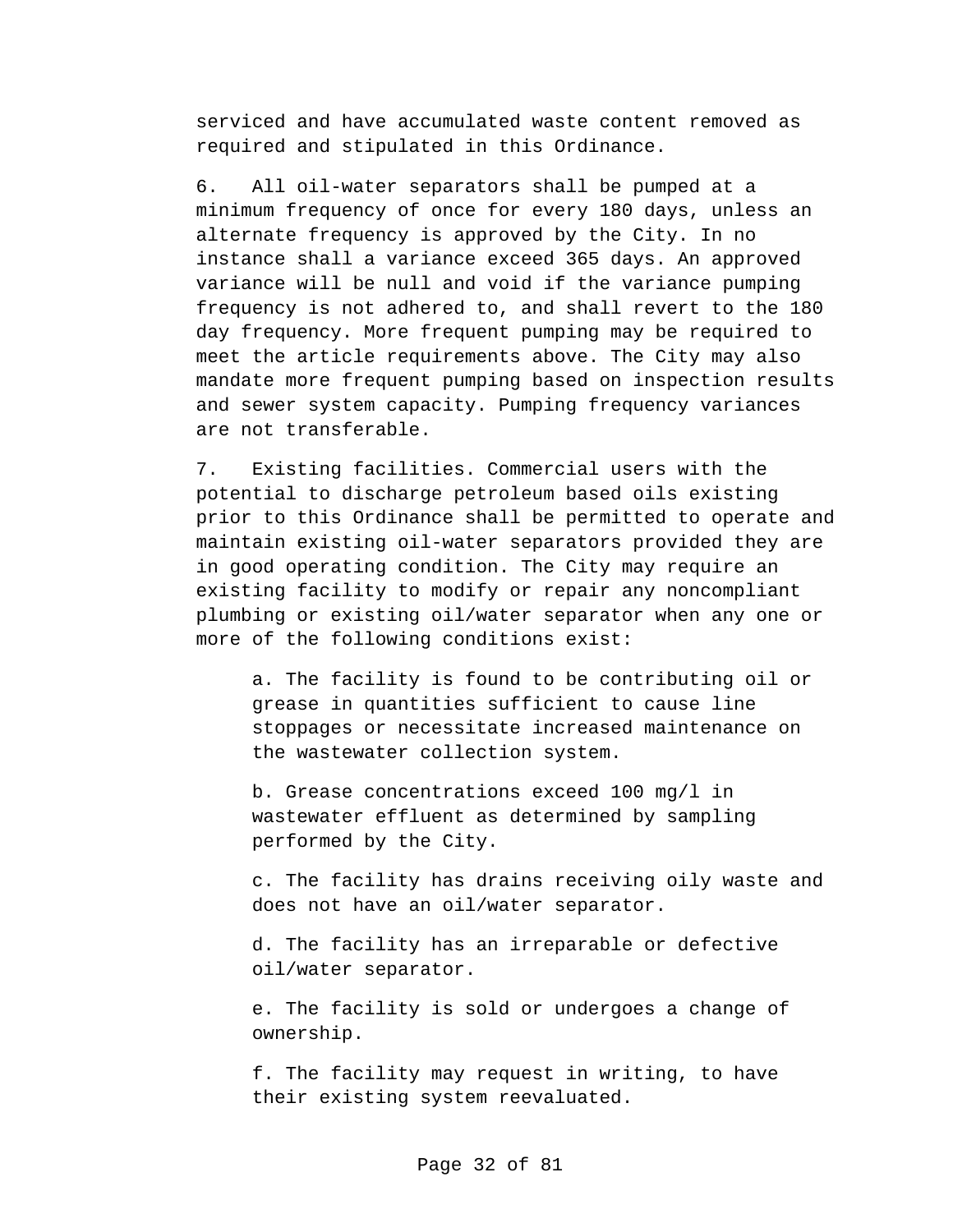serviced and have accumulated waste content removed as required and stipulated in this Ordinance.

6. All oil-water separators shall be pumped at a minimum frequency of once for every 180 days, unless an alternate frequency is approved by the City. In no instance shall a variance exceed 365 days. An approved variance will be null and void if the variance pumping frequency is not adhered to, and shall revert to the 180 day frequency. More frequent pumping may be required to meet the article requirements above. The City may also mandate more frequent pumping based on inspection results and sewer system capacity. Pumping frequency variances are not transferable.

7. Existing facilities. Commercial users with the potential to discharge petroleum based oils existing prior to this Ordinance shall be permitted to operate and maintain existing oil-water separators provided they are in good operating condition. The City may require an existing facility to modify or repair any noncompliant plumbing or existing oil/water separator when any one or more of the following conditions exist:

a. The facility is found to be contributing oil or grease in quantities sufficient to cause line stoppages or necessitate increased maintenance on the wastewater collection system.

b. Grease concentrations exceed 100 mg/l in wastewater effluent as determined by sampling performed by the City.

c. The facility has drains receiving oily waste and does not have an oil/water separator.

d. The facility has an irreparable or defective oil/water separator.

e. The facility is sold or undergoes a change of ownership.

f. The facility may request in writing, to have their existing system reevaluated.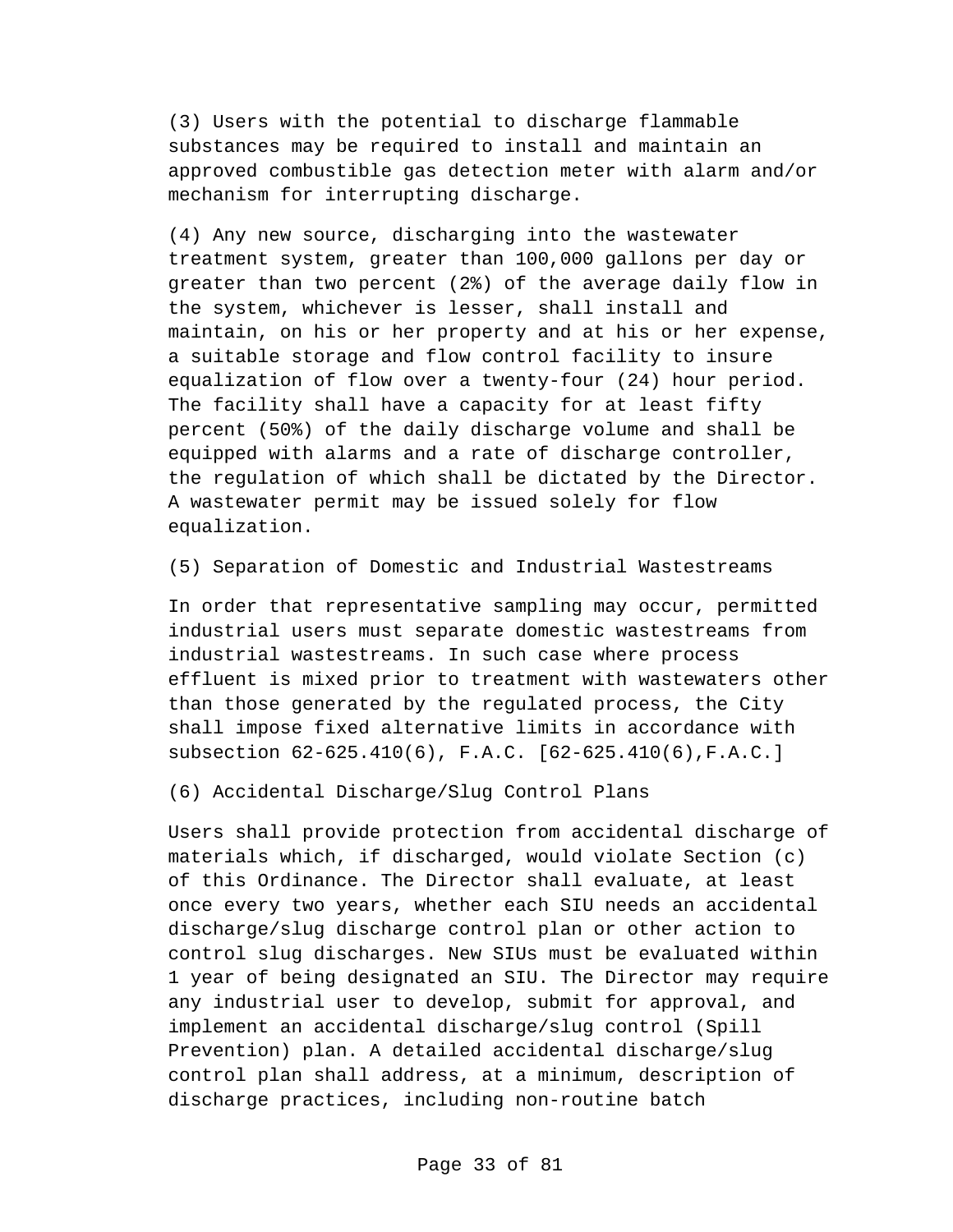(3) Users with the potential to discharge flammable substances may be required to install and maintain an approved combustible gas detection meter with alarm and/or mechanism for interrupting discharge.

(4) Any new source, discharging into the wastewater treatment system, greater than 100,000 gallons per day or greater than two percent (2%) of the average daily flow in the system, whichever is lesser, shall install and maintain, on his or her property and at his or her expense, a suitable storage and flow control facility to insure equalization of flow over a twenty-four (24) hour period. The facility shall have a capacity for at least fifty percent (50%) of the daily discharge volume and shall be equipped with alarms and a rate of discharge controller, the regulation of which shall be dictated by the Director. A wastewater permit may be issued solely for flow equalization.

(5) Separation of Domestic and Industrial Wastestreams

In order that representative sampling may occur, permitted industrial users must separate domestic wastestreams from industrial wastestreams. In such case where process effluent is mixed prior to treatment with wastewaters other than those generated by the regulated process, the City shall impose fixed alternative limits in accordance with subsection 62-625.410(6), F.A.C. [62-625.410(6),F.A.C.]

(6) Accidental Discharge/Slug Control Plans

Users shall provide protection from accidental discharge of materials which, if discharged, would violate Section (c) of this Ordinance. The Director shall evaluate, at least once every two years, whether each SIU needs an accidental discharge/slug discharge control plan or other action to control slug discharges. New SIUs must be evaluated within 1 year of being designated an SIU. The Director may require any industrial user to develop, submit for approval, and implement an accidental discharge/slug control (Spill Prevention) plan. A detailed accidental discharge/slug control plan shall address, at a minimum, description of discharge practices, including non-routine batch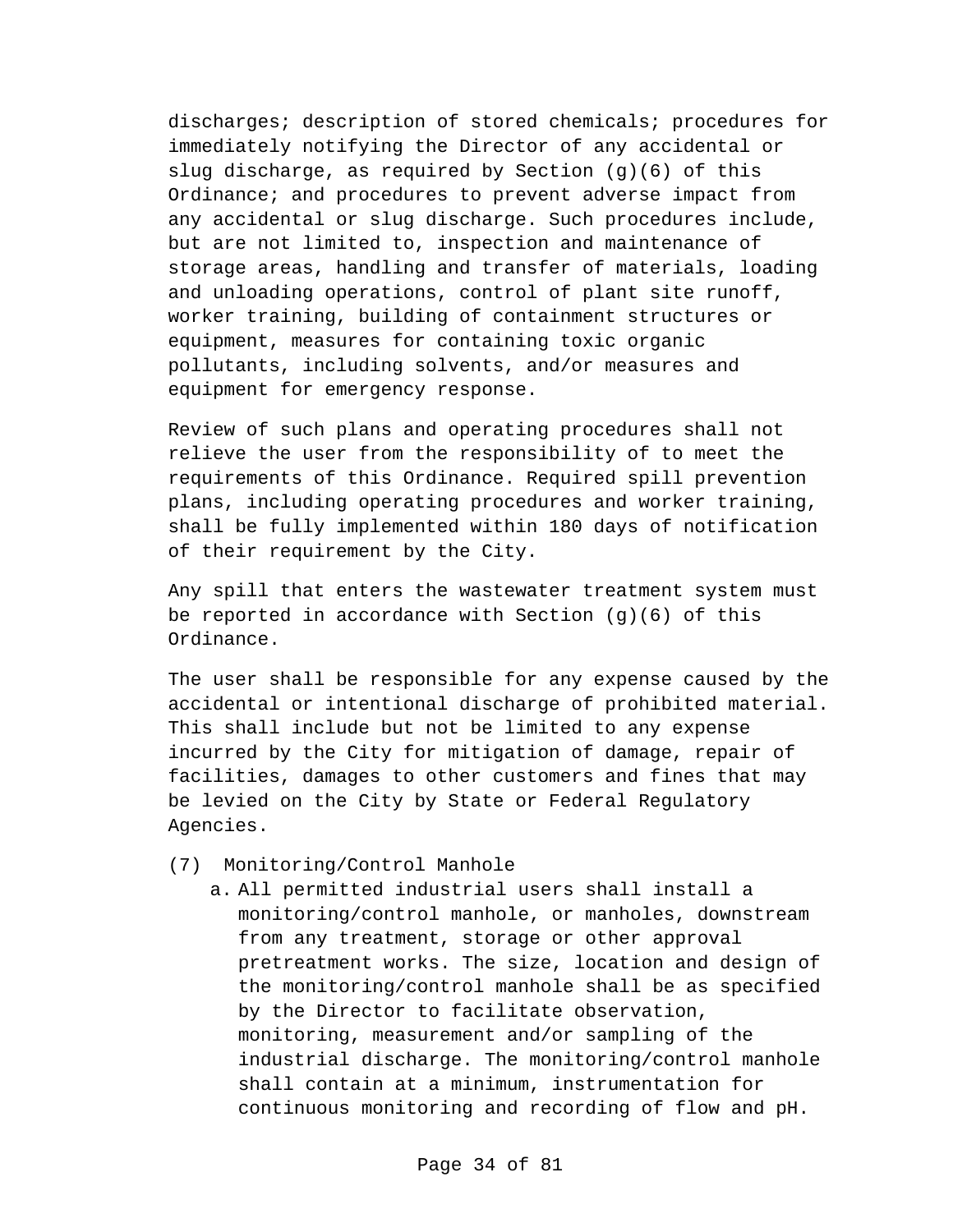discharges; description of stored chemicals; procedures for immediately notifying the Director of any accidental or slug discharge, as required by Section (g)(6) of this Ordinance; and procedures to prevent adverse impact from any accidental or slug discharge. Such procedures include, but are not limited to, inspection and maintenance of storage areas, handling and transfer of materials, loading and unloading operations, control of plant site runoff, worker training, building of containment structures or equipment, measures for containing toxic organic pollutants, including solvents, and/or measures and equipment for emergency response.

Review of such plans and operating procedures shall not relieve the user from the responsibility of to meet the requirements of this Ordinance. Required spill prevention plans, including operating procedures and worker training, shall be fully implemented within 180 days of notification of their requirement by the City.

Any spill that enters the wastewater treatment system must be reported in accordance with Section  $(g)(6)$  of this Ordinance.

The user shall be responsible for any expense caused by the accidental or intentional discharge of prohibited material. This shall include but not be limited to any expense incurred by the City for mitigation of damage, repair of facilities, damages to other customers and fines that may be levied on the City by State or Federal Regulatory Agencies.

- (7) Monitoring/Control Manhole
	- a. All permitted industrial users shall install a monitoring/control manhole, or manholes, downstream from any treatment, storage or other approval pretreatment works. The size, location and design of the monitoring/control manhole shall be as specified by the Director to facilitate observation, monitoring, measurement and/or sampling of the industrial discharge. The monitoring/control manhole shall contain at a minimum, instrumentation for continuous monitoring and recording of flow and pH.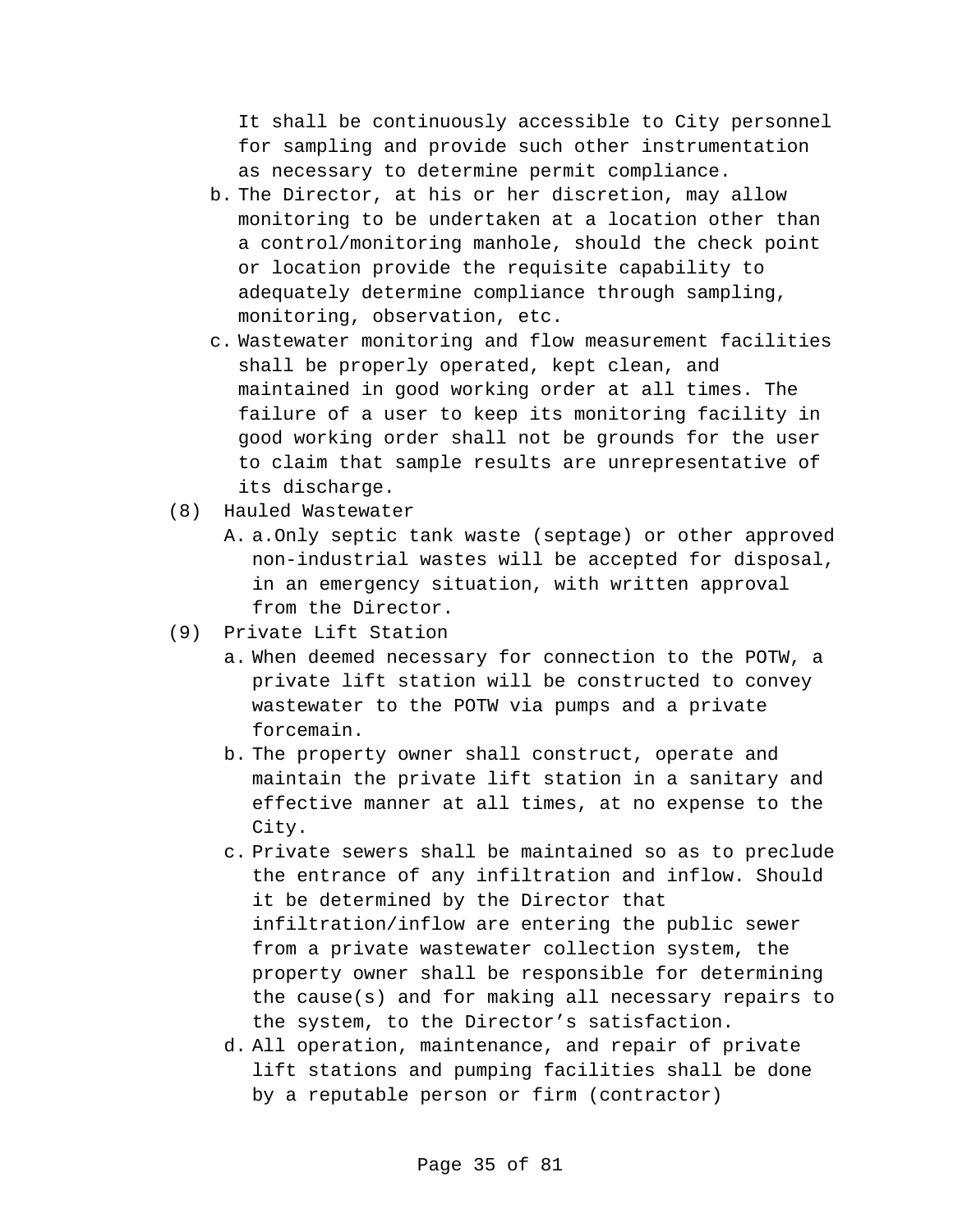It shall be continuously accessible to City personnel for sampling and provide such other instrumentation as necessary to determine permit compliance.

- b. The Director, at his or her discretion, may allow monitoring to be undertaken at a location other than a control/monitoring manhole, should the check point or location provide the requisite capability to adequately determine compliance through sampling, monitoring, observation, etc.
- c. Wastewater monitoring and flow measurement facilities shall be properly operated, kept clean, and maintained in good working order at all times. The failure of a user to keep its monitoring facility in good working order shall not be grounds for the user to claim that sample results are unrepresentative of its discharge.
- (8) Hauled Wastewater
	- A. a.Only septic tank waste (septage) or other approved non-industrial wastes will be accepted for disposal, in an emergency situation, with written approval from the Director.
- (9) Private Lift Station
	- a. When deemed necessary for connection to the POTW, a private lift station will be constructed to convey wastewater to the POTW via pumps and a private forcemain.
	- b. The property owner shall construct, operate and maintain the private lift station in a sanitary and effective manner at all times, at no expense to the City.
	- c. Private sewers shall be maintained so as to preclude the entrance of any infiltration and inflow. Should it be determined by the Director that infiltration/inflow are entering the public sewer from a private wastewater collection system, the property owner shall be responsible for determining the cause(s) and for making all necessary repairs to the system, to the Director's satisfaction.
	- d. All operation, maintenance, and repair of private lift stations and pumping facilities shall be done by a reputable person or firm (contractor)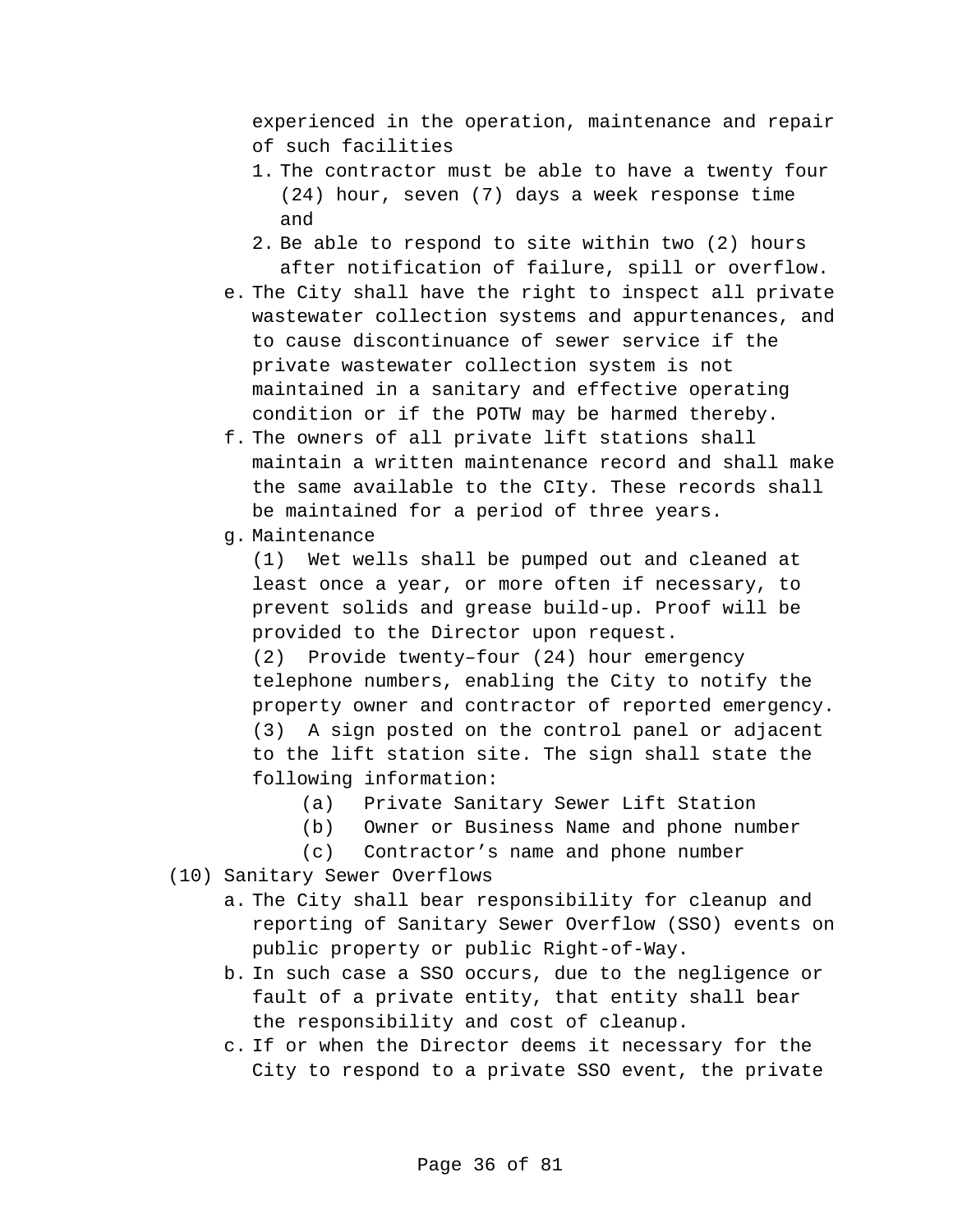experienced in the operation, maintenance and repair of such facilities

- 1. The contractor must be able to have a twenty four (24) hour, seven (7) days a week response time and
- 2. Be able to respond to site within two (2) hours after notification of failure, spill or overflow.
- e. The City shall have the right to inspect all private wastewater collection systems and appurtenances, and to cause discontinuance of sewer service if the private wastewater collection system is not maintained in a sanitary and effective operating condition or if the POTW may be harmed thereby.
- f. The owners of all private lift stations shall maintain a written maintenance record and shall make the same available to the CIty. These records shall be maintained for a period of three years.
- g. Maintenance

(1) Wet wells shall be pumped out and cleaned at least once a year, or more often if necessary, to prevent solids and grease build-up. Proof will be provided to the Director upon request. (2) Provide twenty–four (24) hour emergency

telephone numbers, enabling the City to notify the property owner and contractor of reported emergency. (3) A sign posted on the control panel or adjacent to the lift station site. The sign shall state the following information:

- (a) Private Sanitary Sewer Lift Station
- (b) Owner or Business Name and phone number
- (c) Contractor's name and phone number
- (10) Sanitary Sewer Overflows
	- a. The City shall bear responsibility for cleanup and reporting of Sanitary Sewer Overflow (SSO) events on public property or public Right-of-Way.
	- b. In such case a SSO occurs, due to the negligence or fault of a private entity, that entity shall bear the responsibility and cost of cleanup.
	- c. If or when the Director deems it necessary for the City to respond to a private SSO event, the private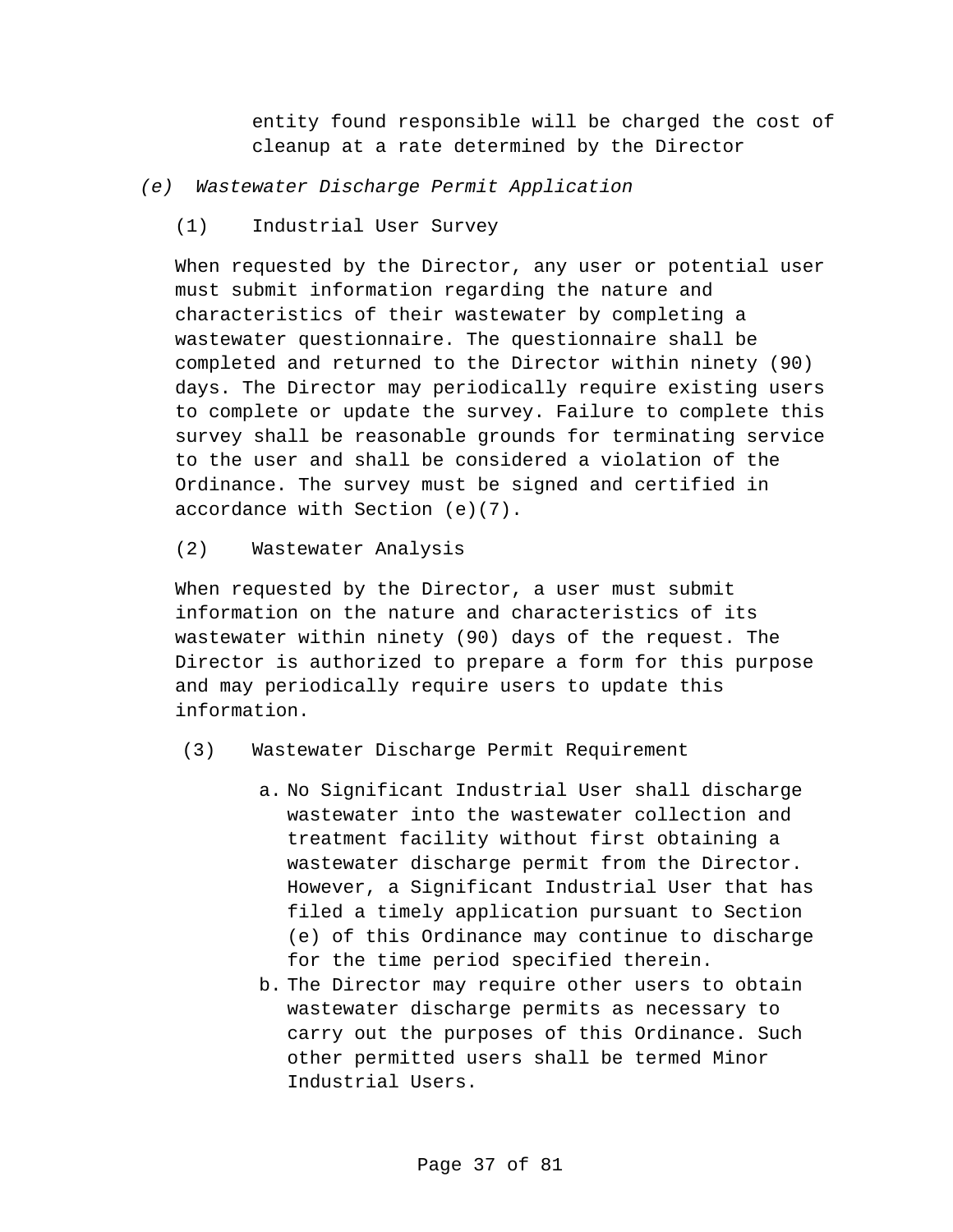entity found responsible will be charged the cost of cleanup at a rate determined by the Director

### *(e) Wastewater Discharge Permit Application*

(1) Industrial User Survey

When requested by the Director, any user or potential user must submit information regarding the nature and characteristics of their wastewater by completing a wastewater questionnaire. The questionnaire shall be completed and returned to the Director within ninety (90) days. The Director may periodically require existing users to complete or update the survey. Failure to complete this survey shall be reasonable grounds for terminating service to the user and shall be considered a violation of the Ordinance. The survey must be signed and certified in accordance with Section (e)(7).

## (2) Wastewater Analysis

When requested by the Director, a user must submit information on the nature and characteristics of its wastewater within ninety (90) days of the request. The Director is authorized to prepare a form for this purpose and may periodically require users to update this information.

- (3) Wastewater Discharge Permit Requirement
	- a. No Significant Industrial User shall discharge wastewater into the wastewater collection and treatment facility without first obtaining a wastewater discharge permit from the Director. However, a Significant Industrial User that has filed a timely application pursuant to Section (e) of this Ordinance may continue to discharge for the time period specified therein.
	- b. The Director may require other users to obtain wastewater discharge permits as necessary to carry out the purposes of this Ordinance. Such other permitted users shall be termed Minor Industrial Users.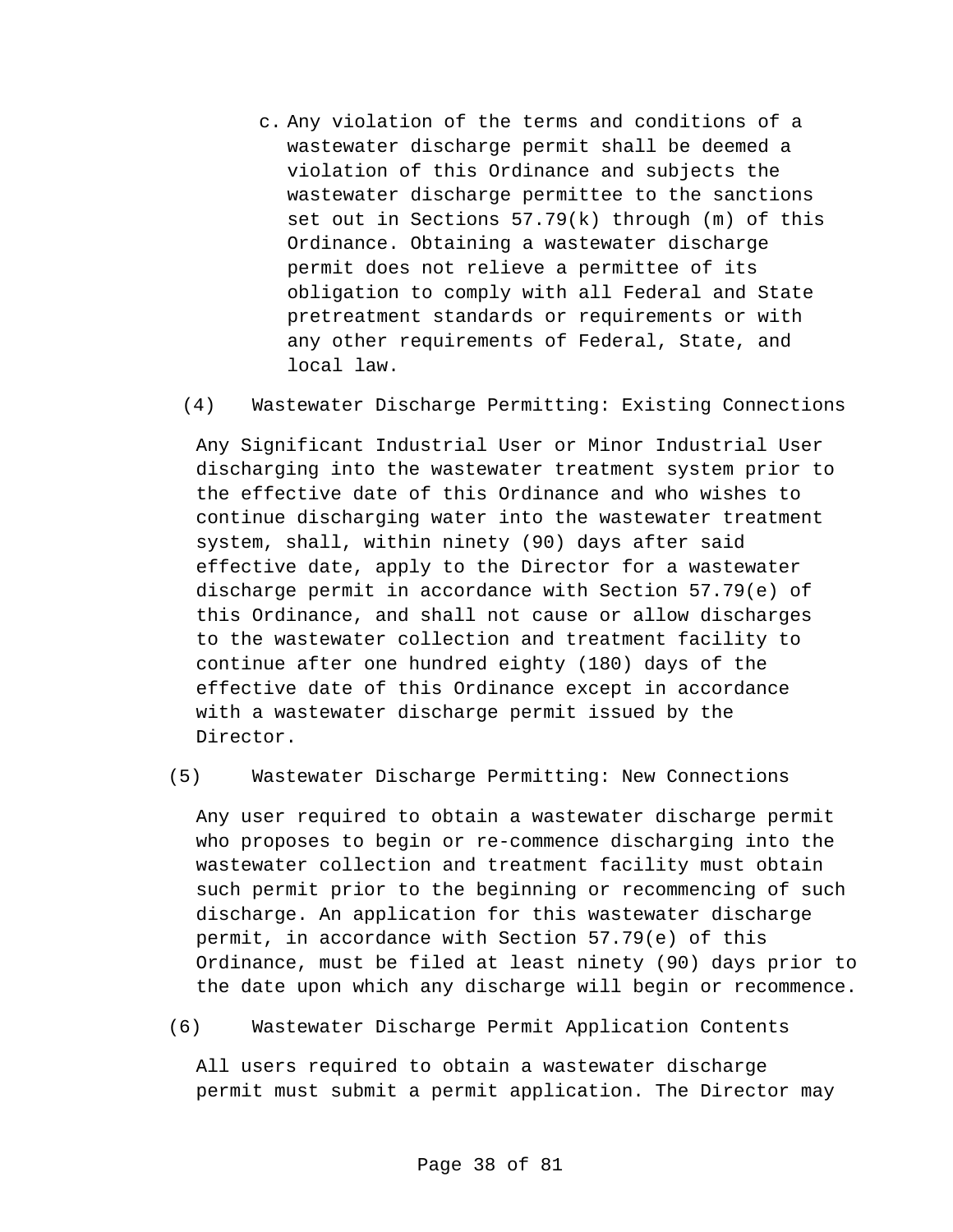c. Any violation of the terms and conditions of a wastewater discharge permit shall be deemed a violation of this Ordinance and subjects the wastewater discharge permittee to the sanctions set out in Sections 57.79(k) through (m) of this Ordinance. Obtaining a wastewater discharge permit does not relieve a permittee of its obligation to comply with all Federal and State pretreatment standards or requirements or with any other requirements of Federal, State, and local law.

#### (4) Wastewater Discharge Permitting: Existing Connections

Any Significant Industrial User or Minor Industrial User discharging into the wastewater treatment system prior to the effective date of this Ordinance and who wishes to continue discharging water into the wastewater treatment system, shall, within ninety (90) days after said effective date, apply to the Director for a wastewater discharge permit in accordance with Section 57.79(e) of this Ordinance, and shall not cause or allow discharges to the wastewater collection and treatment facility to continue after one hundred eighty (180) days of the effective date of this Ordinance except in accordance with a wastewater discharge permit issued by the Director.

## (5) Wastewater Discharge Permitting: New Connections

Any user required to obtain a wastewater discharge permit who proposes to begin or re-commence discharging into the wastewater collection and treatment facility must obtain such permit prior to the beginning or recommencing of such discharge. An application for this wastewater discharge permit, in accordance with Section 57.79(e) of this Ordinance, must be filed at least ninety (90) days prior to the date upon which any discharge will begin or recommence.

# (6) Wastewater Discharge Permit Application Contents

All users required to obtain a wastewater discharge permit must submit a permit application. The Director may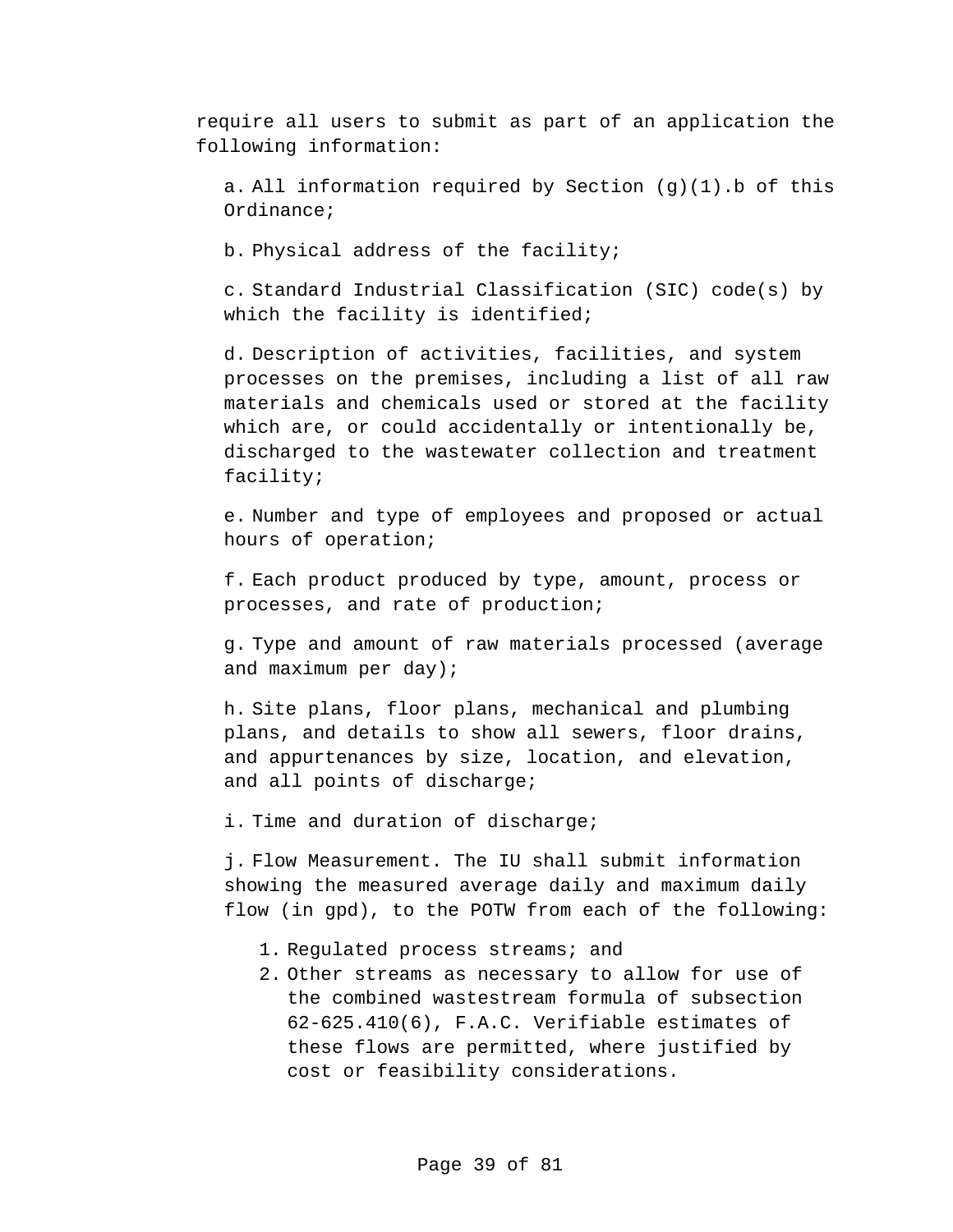require all users to submit as part of an application the following information:

a. All information required by Section  $(g)(1)$ . b of this Ordinance;

b. Physical address of the facility;

c. Standard Industrial Classification (SIC) code(s) by which the facility is identified;

d. Description of activities, facilities, and system processes on the premises, including a list of all raw materials and chemicals used or stored at the facility which are, or could accidentally or intentionally be, discharged to the wastewater collection and treatment facility;

e. Number and type of employees and proposed or actual hours of operation;

f. Each product produced by type, amount, process or processes, and rate of production;

g. Type and amount of raw materials processed (average and maximum per day);

h. Site plans, floor plans, mechanical and plumbing plans, and details to show all sewers, floor drains, and appurtenances by size, location, and elevation, and all points of discharge;

i. Time and duration of discharge;

j. Flow Measurement. The IU shall submit information showing the measured average daily and maximum daily flow (in gpd), to the POTW from each of the following:

- 1. Regulated process streams; and
- 2. Other streams as necessary to allow for use of the combined wastestream formula of subsection 62-625.410(6), F.A.C. Verifiable estimates of these flows are permitted, where justified by cost or feasibility considerations.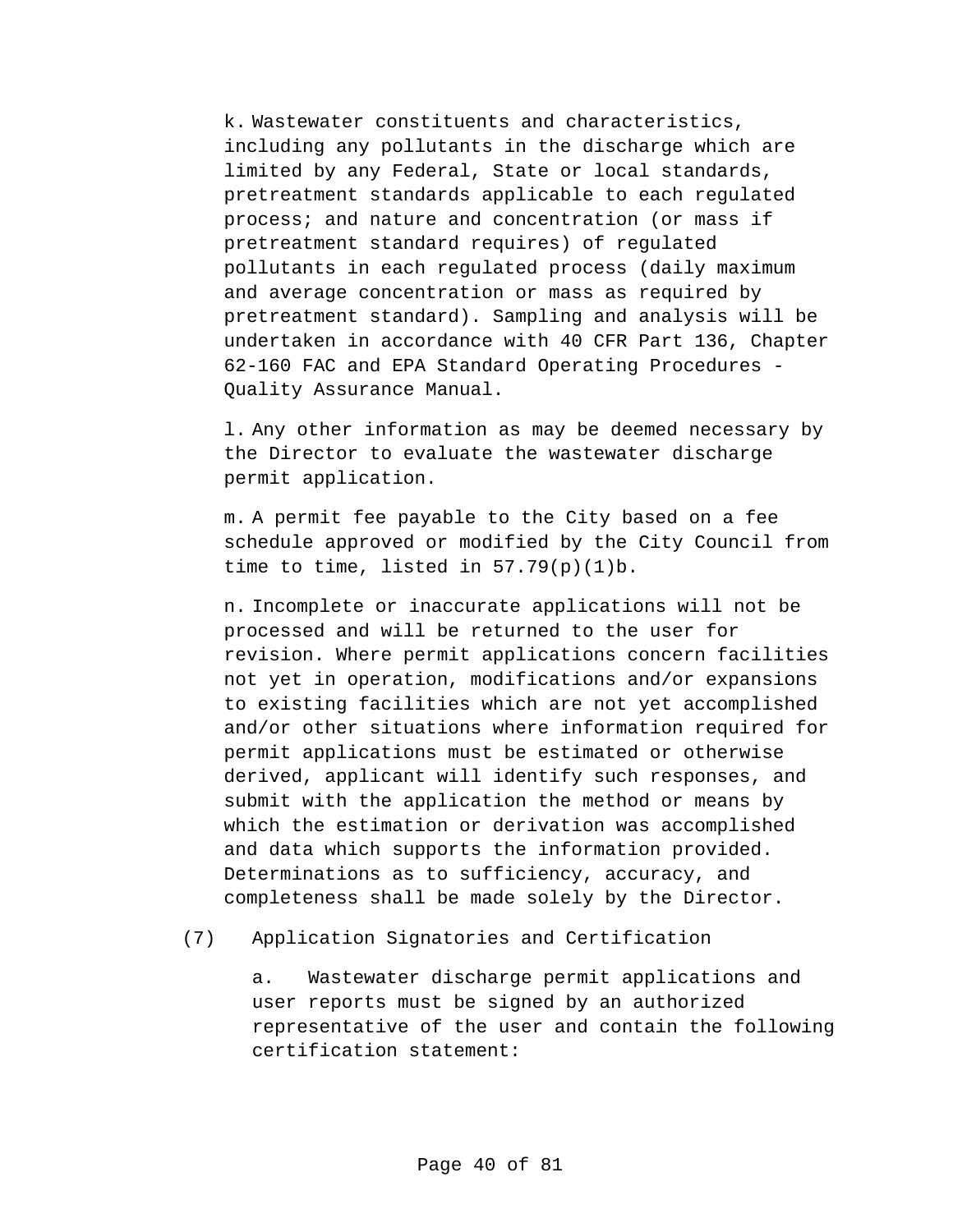k. Wastewater constituents and characteristics, including any pollutants in the discharge which are limited by any Federal, State or local standards, pretreatment standards applicable to each regulated process; and nature and concentration (or mass if pretreatment standard requires) of regulated pollutants in each regulated process (daily maximum and average concentration or mass as required by pretreatment standard). Sampling and analysis will be undertaken in accordance with 40 CFR Part 136, Chapter 62-160 FAC and EPA Standard Operating Procedures - Quality Assurance Manual.

l. Any other information as may be deemed necessary by the Director to evaluate the wastewater discharge permit application.

m. A permit fee payable to the City based on a fee schedule approved or modified by the City Council from time to time, listed in  $57.79(p)(1)b$ .

n. Incomplete or inaccurate applications will not be processed and will be returned to the user for revision. Where permit applications concern facilities not yet in operation, modifications and/or expansions to existing facilities which are not yet accomplished and/or other situations where information required for permit applications must be estimated or otherwise derived, applicant will identify such responses, and submit with the application the method or means by which the estimation or derivation was accomplished and data which supports the information provided. Determinations as to sufficiency, accuracy, and completeness shall be made solely by the Director.

(7) Application Signatories and Certification

a. Wastewater discharge permit applications and user reports must be signed by an authorized representative of the user and contain the following certification statement: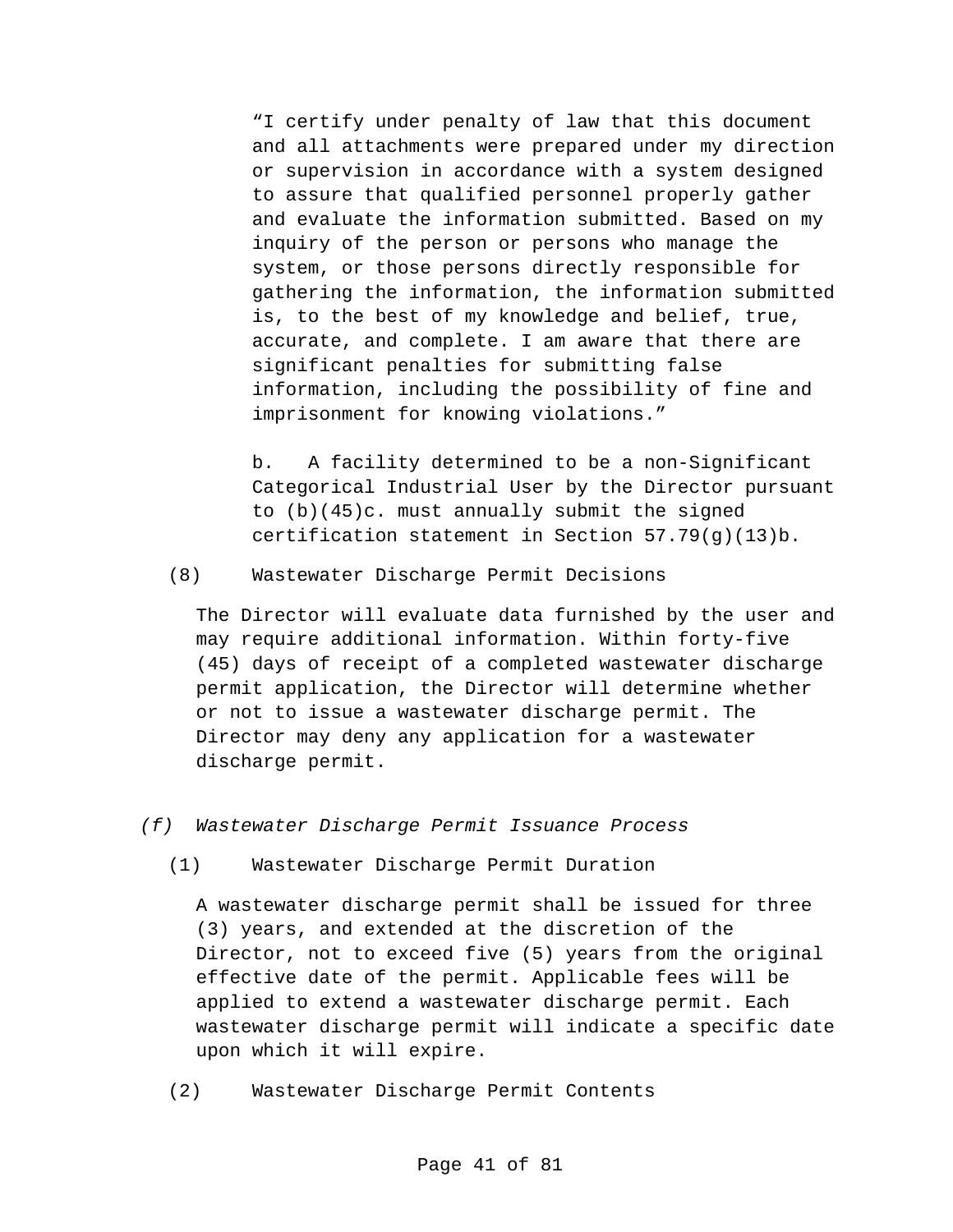"I certify under penalty of law that this document and all attachments were prepared under my direction or supervision in accordance with a system designed to assure that qualified personnel properly gather and evaluate the information submitted. Based on my inquiry of the person or persons who manage the system, or those persons directly responsible for gathering the information, the information submitted is, to the best of my knowledge and belief, true, accurate, and complete. I am aware that there are significant penalties for submitting false information, including the possibility of fine and imprisonment for knowing violations."

b. A facility determined to be a non-Significant Categorical Industrial User by the Director pursuant to (b)(45)c. must annually submit the signed certification statement in Section 57.79(g)(13)b.

(8) Wastewater Discharge Permit Decisions

The Director will evaluate data furnished by the user and may require additional information. Within forty-five (45) days of receipt of a completed wastewater discharge permit application, the Director will determine whether or not to issue a wastewater discharge permit. The Director may deny any application for a wastewater discharge permit.

*(f) Wastewater Discharge Permit Issuance Process*

(1) Wastewater Discharge Permit Duration

A wastewater discharge permit shall be issued for three (3) years, and extended at the discretion of the Director, not to exceed five (5) years from the original effective date of the permit. Applicable fees will be applied to extend a wastewater discharge permit. Each wastewater discharge permit will indicate a specific date upon which it will expire.

(2) Wastewater Discharge Permit Contents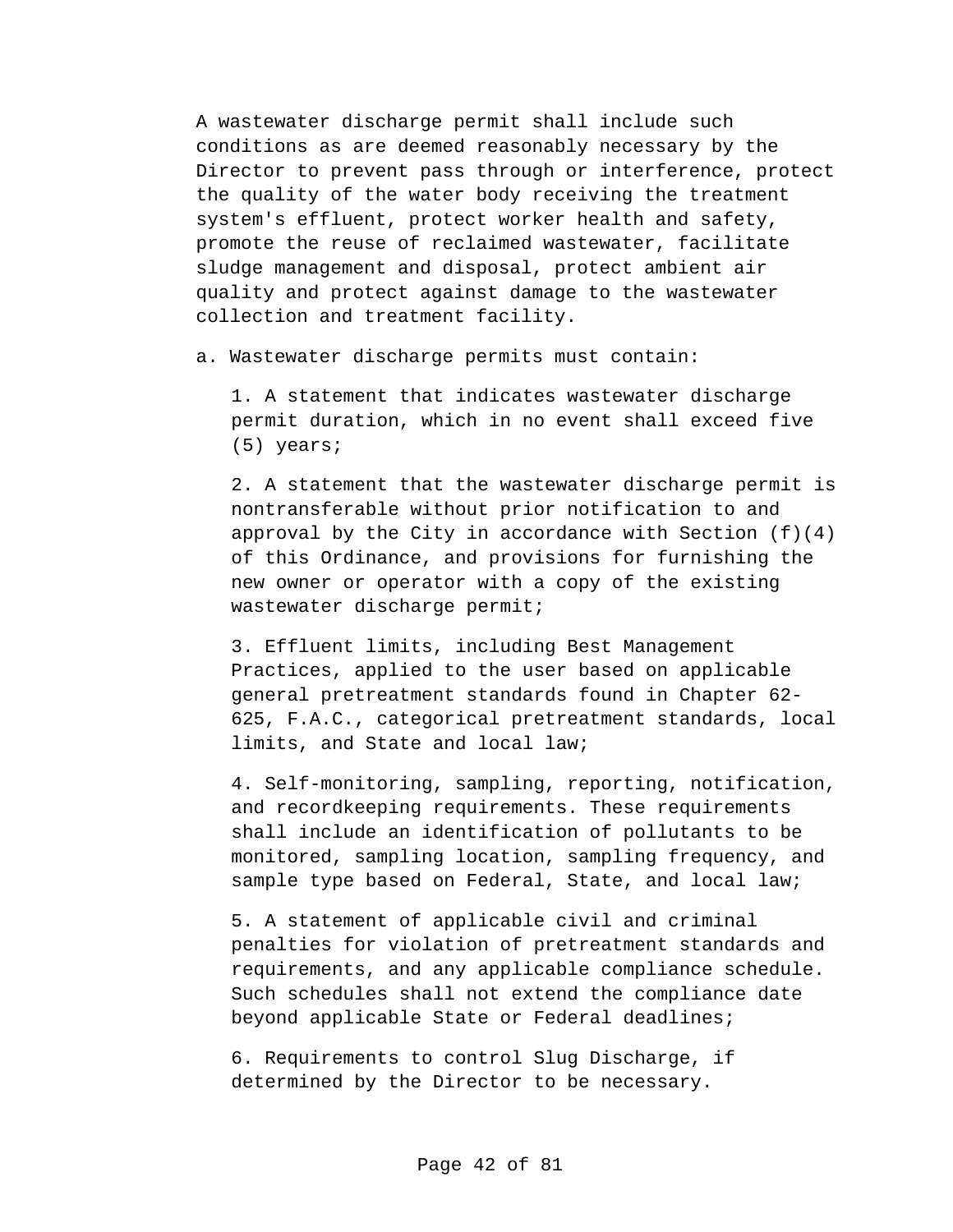A wastewater discharge permit shall include such conditions as are deemed reasonably necessary by the Director to prevent pass through or interference, protect the quality of the water body receiving the treatment system's effluent, protect worker health and safety, promote the reuse of reclaimed wastewater, facilitate sludge management and disposal, protect ambient air quality and protect against damage to the wastewater collection and treatment facility.

a. Wastewater discharge permits must contain:

1. A statement that indicates wastewater discharge permit duration, which in no event shall exceed five (5) years;

2. A statement that the wastewater discharge permit is nontransferable without prior notification to and approval by the City in accordance with Section  $(f)(4)$ of this Ordinance, and provisions for furnishing the new owner or operator with a copy of the existing wastewater discharge permit;

3. Effluent limits, including Best Management Practices, applied to the user based on applicable general pretreatment standards found in Chapter 62- 625, F.A.C., categorical pretreatment standards, local limits, and State and local law;

4. Self-monitoring, sampling, reporting, notification, and recordkeeping requirements. These requirements shall include an identification of pollutants to be monitored, sampling location, sampling frequency, and sample type based on Federal, State, and local law;

5. A statement of applicable civil and criminal penalties for violation of pretreatment standards and requirements, and any applicable compliance schedule. Such schedules shall not extend the compliance date beyond applicable State or Federal deadlines;

6. Requirements to control Slug Discharge, if determined by the Director to be necessary.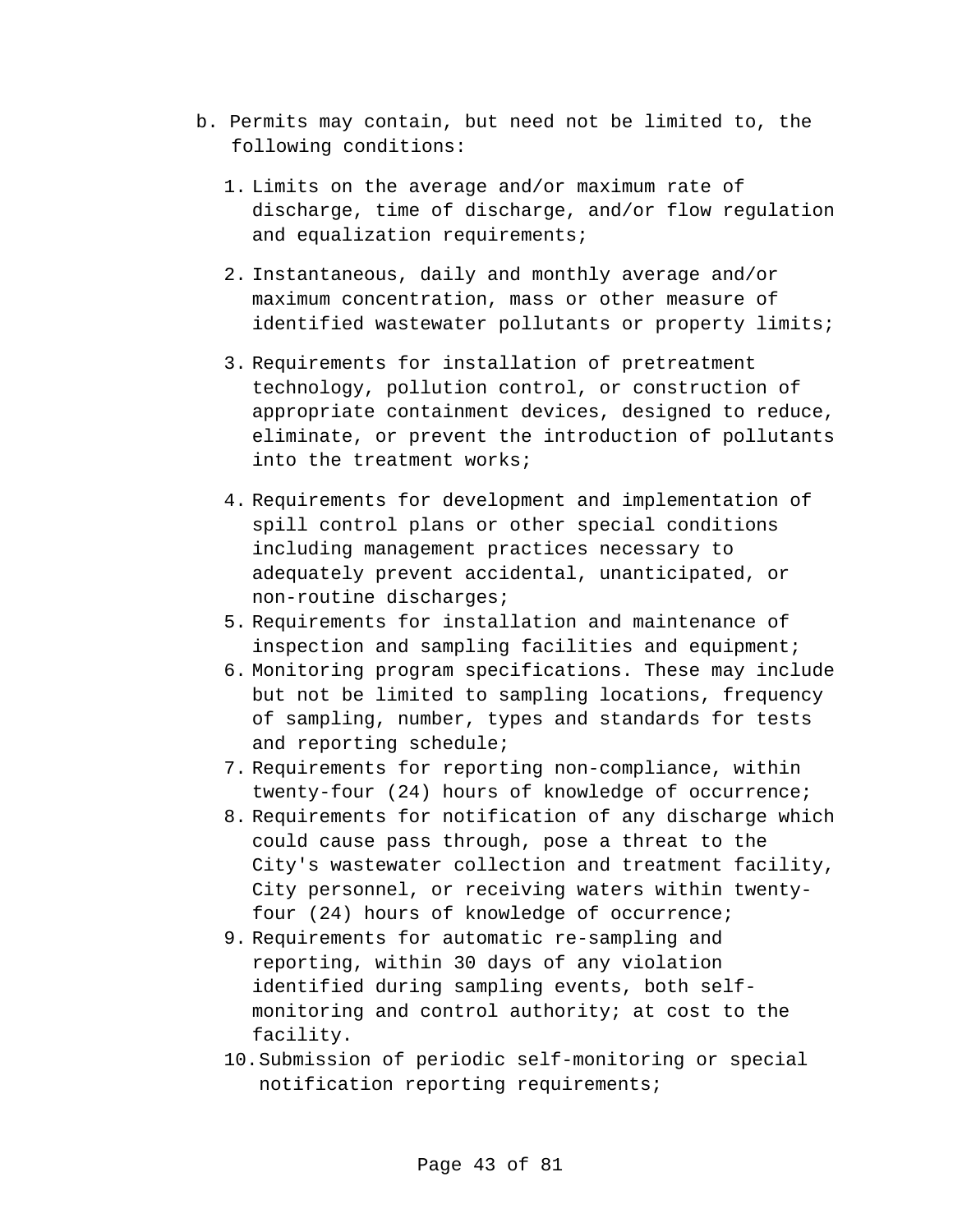- b. Permits may contain, but need not be limited to, the following conditions:
	- 1. Limits on the average and/or maximum rate of discharge, time of discharge, and/or flow regulation and equalization requirements;
	- 2. Instantaneous, daily and monthly average and/or maximum concentration, mass or other measure of identified wastewater pollutants or property limits;
	- 3. Requirements for installation of pretreatment technology, pollution control, or construction of appropriate containment devices, designed to reduce, eliminate, or prevent the introduction of pollutants into the treatment works;
	- 4. Requirements for development and implementation of spill control plans or other special conditions including management practices necessary to adequately prevent accidental, unanticipated, or non-routine discharges;
	- 5. Requirements for installation and maintenance of inspection and sampling facilities and equipment;
	- 6. Monitoring program specifications. These may include but not be limited to sampling locations, frequency of sampling, number, types and standards for tests and reporting schedule;
	- 7. Requirements for reporting non-compliance, within twenty-four (24) hours of knowledge of occurrence;
	- 8. Requirements for notification of any discharge which could cause pass through, pose a threat to the City's wastewater collection and treatment facility, City personnel, or receiving waters within twentyfour (24) hours of knowledge of occurrence;
	- 9. Requirements for automatic re-sampling and reporting, within 30 days of any violation identified during sampling events, both selfmonitoring and control authority; at cost to the facility.
	- 10.Submission of periodic self-monitoring or special notification reporting requirements;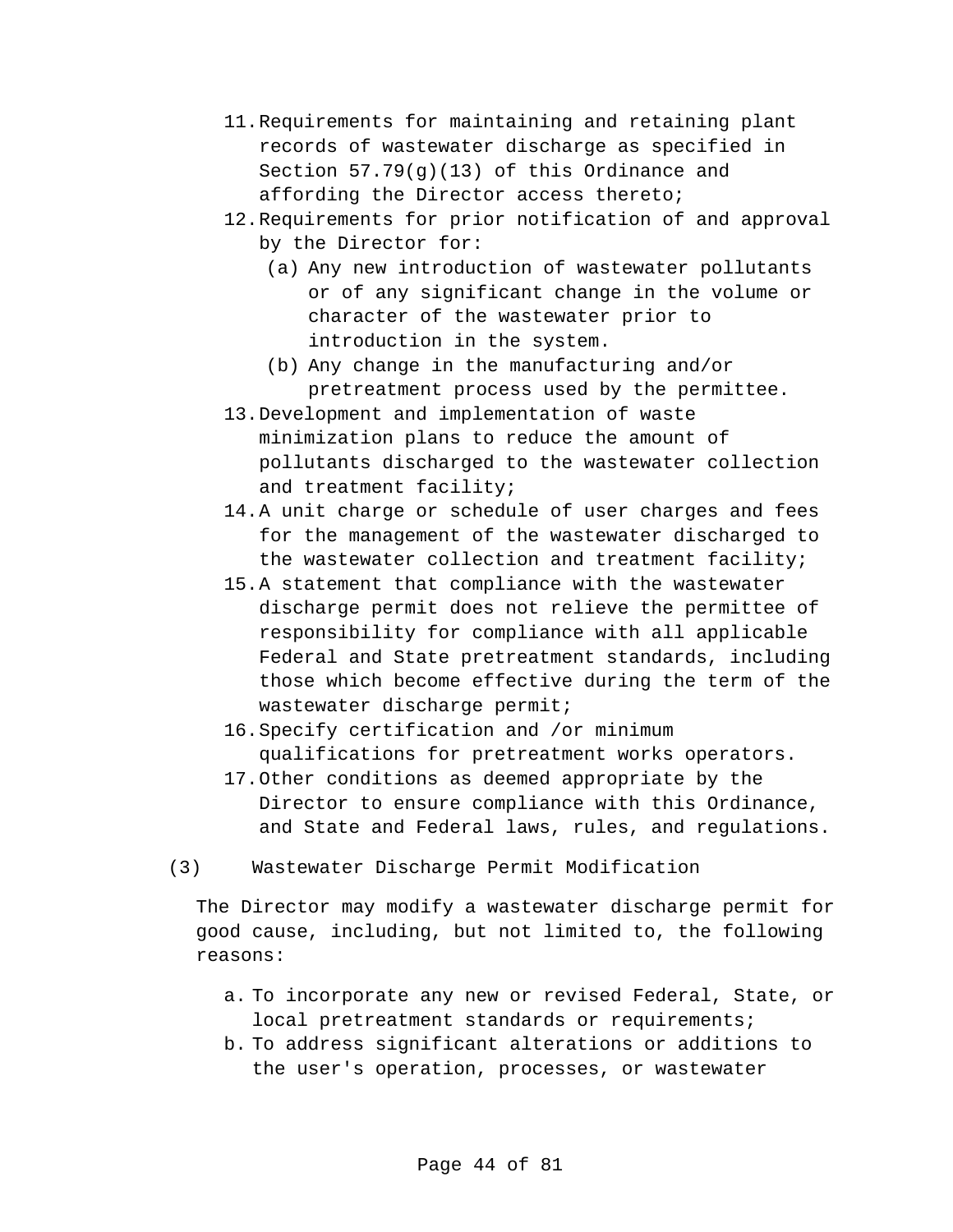- 11.Requirements for maintaining and retaining plant records of wastewater discharge as specified in Section 57.79(g)(13) of this Ordinance and affording the Director access thereto;
- 12.Requirements for prior notification of and approval by the Director for:
	- (a) Any new introduction of wastewater pollutants or of any significant change in the volume or character of the wastewater prior to introduction in the system.
	- (b) Any change in the manufacturing and/or pretreatment process used by the permittee.
- 13.Development and implementation of waste minimization plans to reduce the amount of pollutants discharged to the wastewater collection and treatment facility;
- 14.A unit charge or schedule of user charges and fees for the management of the wastewater discharged to the wastewater collection and treatment facility;
- 15.A statement that compliance with the wastewater discharge permit does not relieve the permittee of responsibility for compliance with all applicable Federal and State pretreatment standards, including those which become effective during the term of the wastewater discharge permit;
- 16.Specify certification and /or minimum qualifications for pretreatment works operators.
- 17.Other conditions as deemed appropriate by the Director to ensure compliance with this Ordinance, and State and Federal laws, rules, and regulations.
- (3) Wastewater Discharge Permit Modification

The Director may modify a wastewater discharge permit for good cause, including, but not limited to, the following reasons:

- a. To incorporate any new or revised Federal, State, or local pretreatment standards or requirements;
- b. To address significant alterations or additions to the user's operation, processes, or wastewater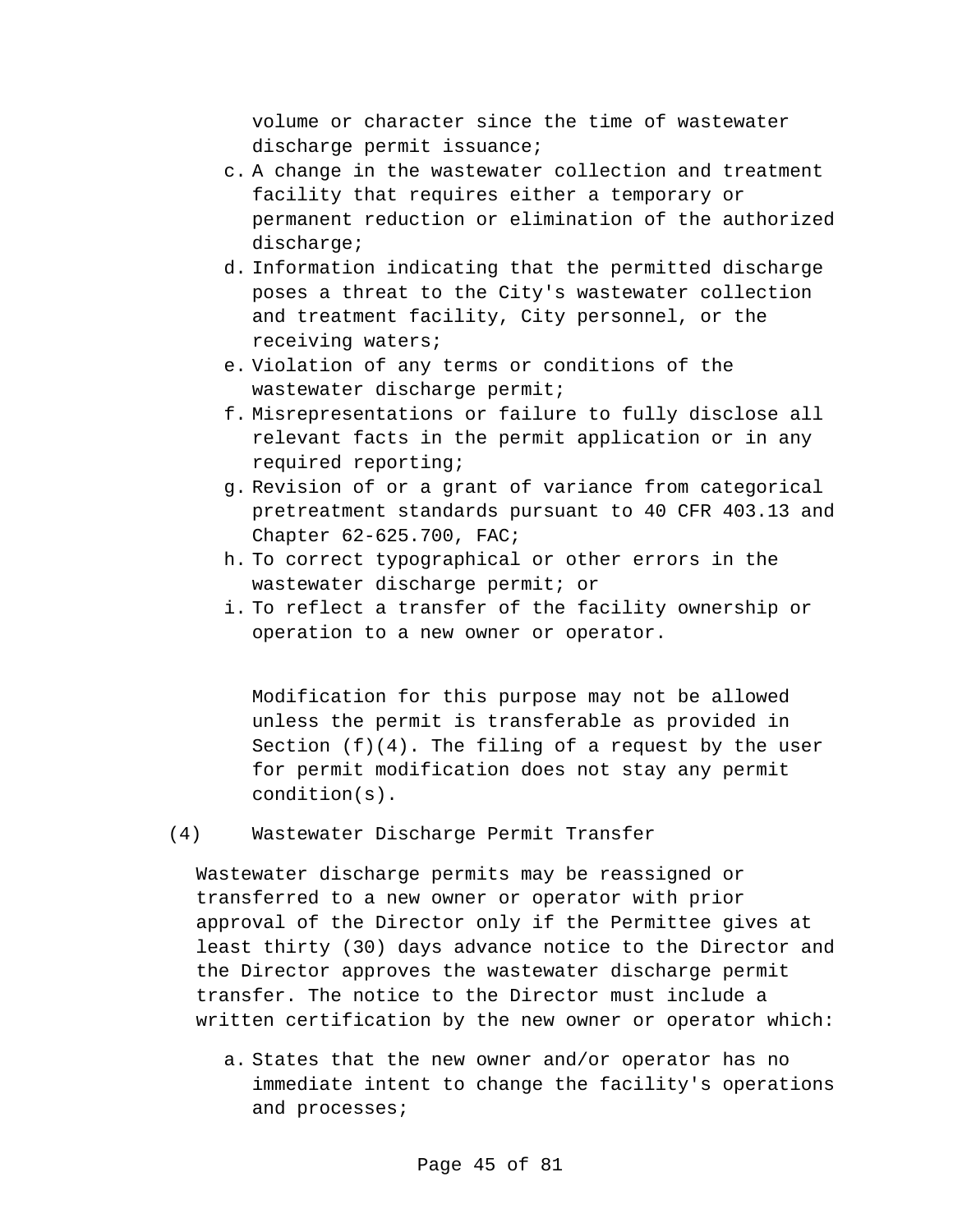volume or character since the time of wastewater discharge permit issuance;

- c. A change in the wastewater collection and treatment facility that requires either a temporary or permanent reduction or elimination of the authorized discharge;
- d. Information indicating that the permitted discharge poses a threat to the City's wastewater collection and treatment facility, City personnel, or the receiving waters;
- e. Violation of any terms or conditions of the wastewater discharge permit;
- f. Misrepresentations or failure to fully disclose all relevant facts in the permit application or in any required reporting;
- g. Revision of or a grant of variance from categorical pretreatment standards pursuant to 40 CFR 403.13 and Chapter 62-625.700, FAC;
- h. To correct typographical or other errors in the wastewater discharge permit; or
- i. To reflect a transfer of the facility ownership or operation to a new owner or operator.

Modification for this purpose may not be allowed unless the permit is transferable as provided in Section  $(f)(4)$ . The filing of a request by the user for permit modification does not stay any permit condition(s).

(4) Wastewater Discharge Permit Transfer

Wastewater discharge permits may be reassigned or transferred to a new owner or operator with prior approval of the Director only if the Permittee gives at least thirty (30) days advance notice to the Director and the Director approves the wastewater discharge permit transfer. The notice to the Director must include a written certification by the new owner or operator which:

a. States that the new owner and/or operator has no immediate intent to change the facility's operations and processes;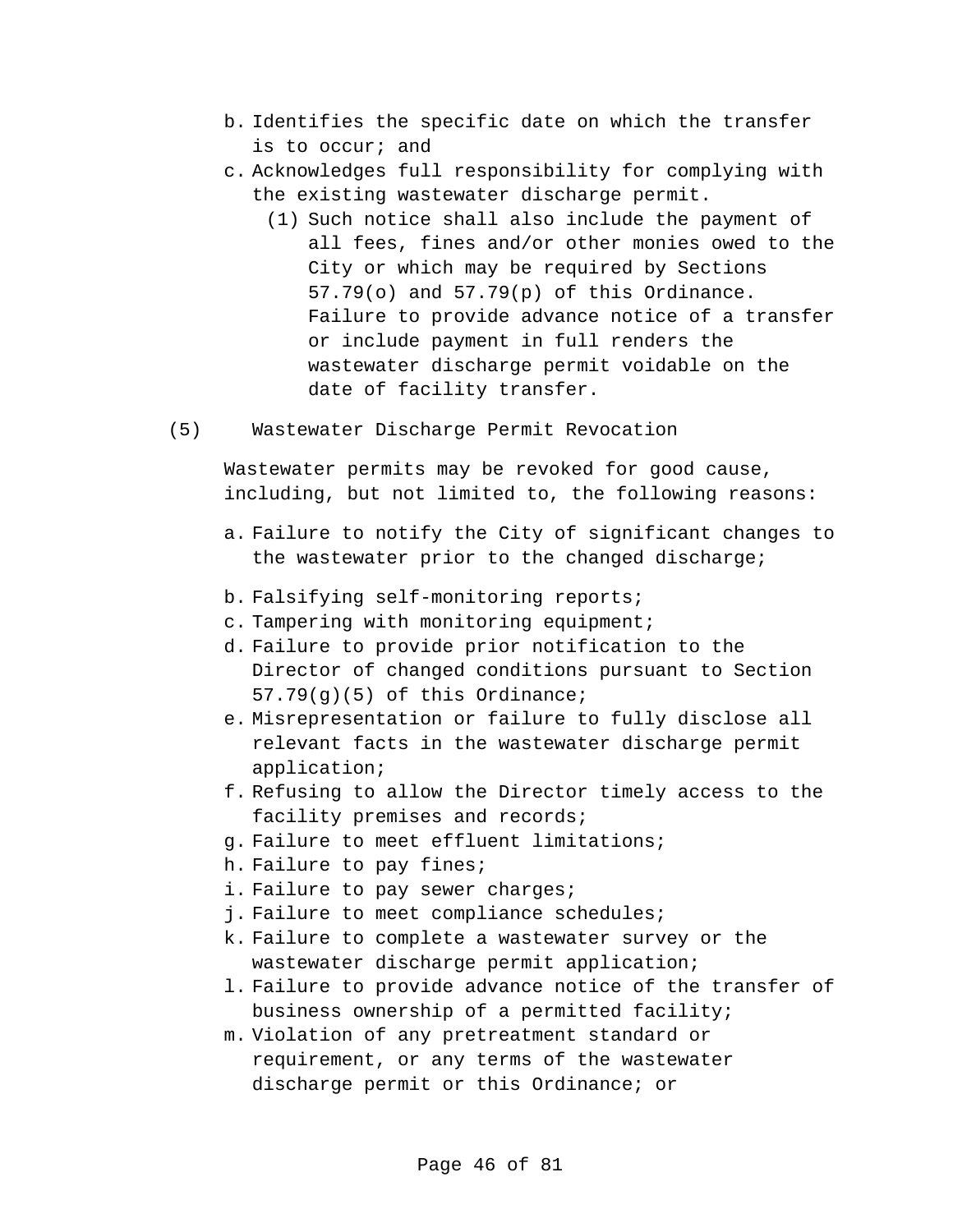- b. Identifies the specific date on which the transfer is to occur; and
- c. Acknowledges full responsibility for complying with the existing wastewater discharge permit.
	- (1) Such notice shall also include the payment of all fees, fines and/or other monies owed to the City or which may be required by Sections 57.79(o) and 57.79(p) of this Ordinance. Failure to provide advance notice of a transfer or include payment in full renders the wastewater discharge permit voidable on the date of facility transfer.
- (5) Wastewater Discharge Permit Revocation

Wastewater permits may be revoked for good cause, including, but not limited to, the following reasons:

- a. Failure to notify the City of significant changes to the wastewater prior to the changed discharge;
- b. Falsifying self-monitoring reports;
- c. Tampering with monitoring equipment;
- d. Failure to provide prior notification to the Director of changed conditions pursuant to Section 57.79(g)(5) of this Ordinance;
- e. Misrepresentation or failure to fully disclose all relevant facts in the wastewater discharge permit application;
- f. Refusing to allow the Director timely access to the facility premises and records;
- g. Failure to meet effluent limitations;
- h. Failure to pay fines;
- i. Failure to pay sewer charges;
- j. Failure to meet compliance schedules;
- k. Failure to complete a wastewater survey or the wastewater discharge permit application;
- l. Failure to provide advance notice of the transfer of business ownership of a permitted facility;
- m. Violation of any pretreatment standard or requirement, or any terms of the wastewater discharge permit or this Ordinance; or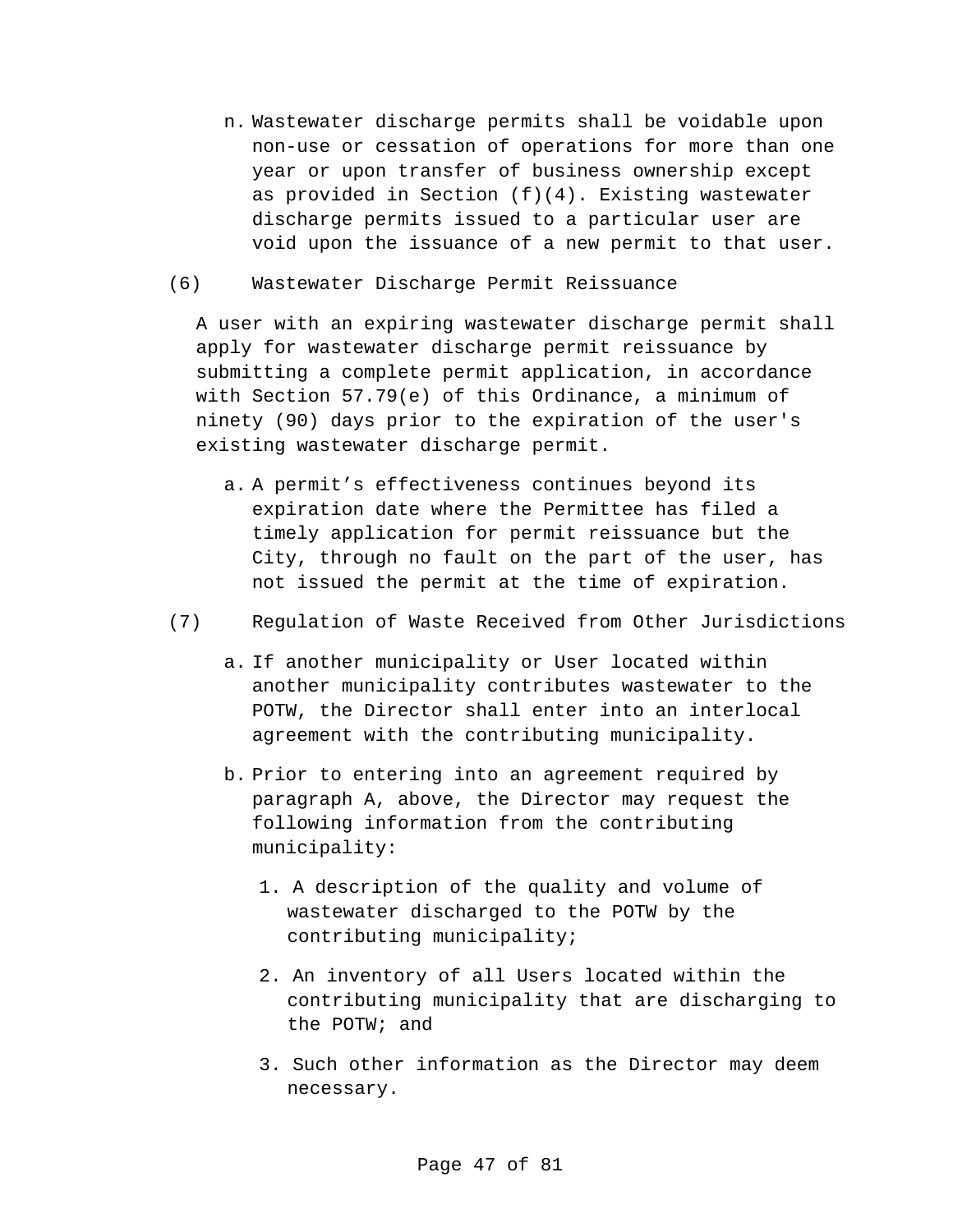- n. Wastewater discharge permits shall be voidable upon non-use or cessation of operations for more than one year or upon transfer of business ownership except as provided in Section  $(f)(4)$ . Existing wastewater discharge permits issued to a particular user are void upon the issuance of a new permit to that user.
- (6) Wastewater Discharge Permit Reissuance

A user with an expiring wastewater discharge permit shall apply for wastewater discharge permit reissuance by submitting a complete permit application, in accordance with Section 57.79(e) of this Ordinance, a minimum of ninety (90) days prior to the expiration of the user's existing wastewater discharge permit.

- a. A permit's effectiveness continues beyond its expiration date where the Permittee has filed a timely application for permit reissuance but the City, through no fault on the part of the user, has not issued the permit at the time of expiration.
- (7) Regulation of Waste Received from Other Jurisdictions
	- a. If another municipality or User located within another municipality contributes wastewater to the POTW, the Director shall enter into an interlocal agreement with the contributing municipality.
	- b. Prior to entering into an agreement required by paragraph A, above, the Director may request the following information from the contributing municipality:
		- 1. A description of the quality and volume of wastewater discharged to the POTW by the contributing municipality;
		- 2. An inventory of all Users located within the contributing municipality that are discharging to the POTW; and
		- 3. Such other information as the Director may deem necessary.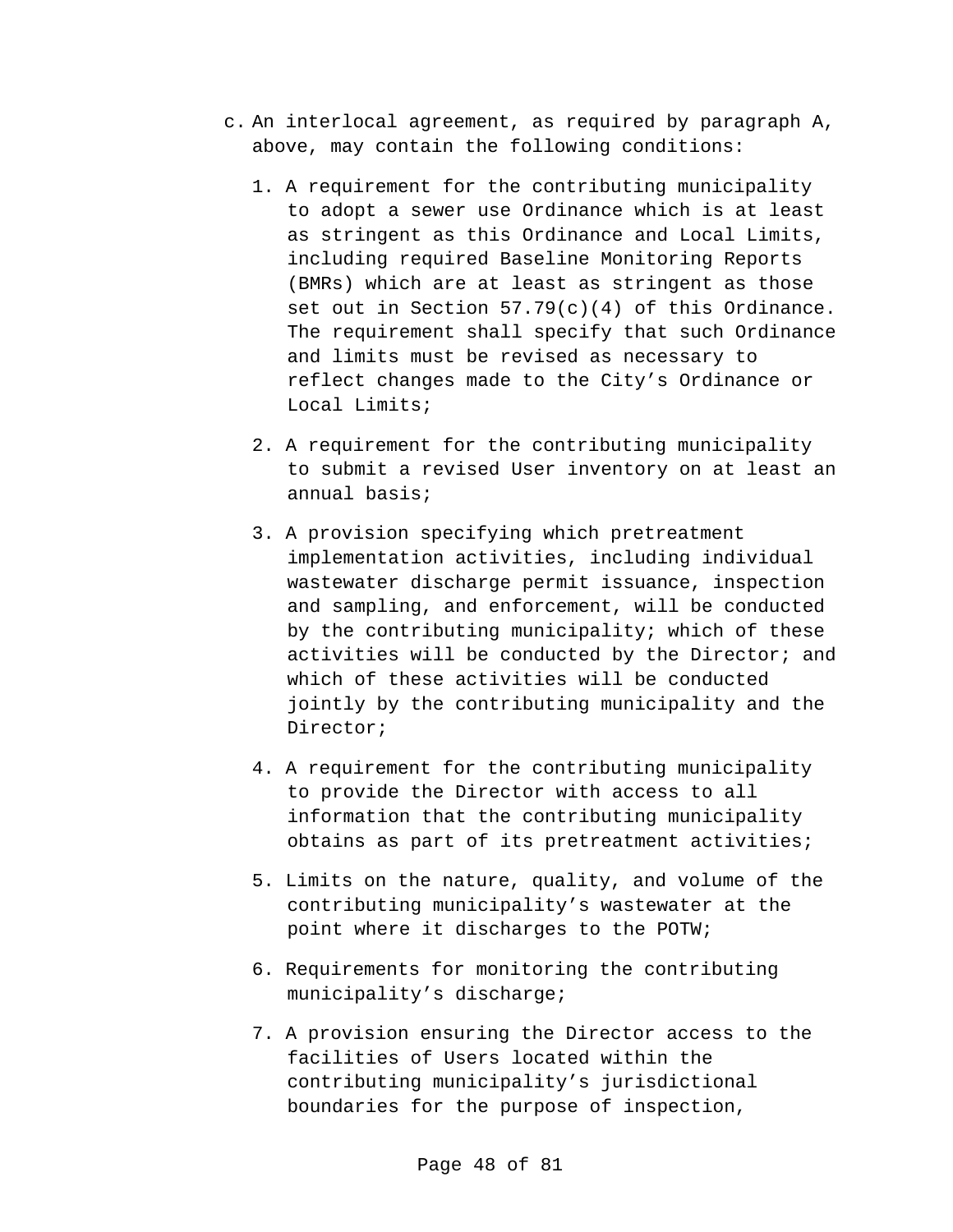- c. An interlocal agreement, as required by paragraph A, above, may contain the following conditions:
	- 1. A requirement for the contributing municipality to adopt a sewer use Ordinance which is at least as stringent as this Ordinance and Local Limits, including required Baseline Monitoring Reports (BMRs) which are at least as stringent as those set out in Section  $57.79(c)(4)$  of this Ordinance. The requirement shall specify that such Ordinance and limits must be revised as necessary to reflect changes made to the City's Ordinance or Local Limits;
	- 2. A requirement for the contributing municipality to submit a revised User inventory on at least an annual basis;
	- 3. A provision specifying which pretreatment implementation activities, including individual wastewater discharge permit issuance, inspection and sampling, and enforcement, will be conducted by the contributing municipality; which of these activities will be conducted by the Director; and which of these activities will be conducted jointly by the contributing municipality and the Director;
	- 4. A requirement for the contributing municipality to provide the Director with access to all information that the contributing municipality obtains as part of its pretreatment activities;
	- 5. Limits on the nature, quality, and volume of the contributing municipality's wastewater at the point where it discharges to the POTW;
	- 6. Requirements for monitoring the contributing municipality's discharge;
	- 7. A provision ensuring the Director access to the facilities of Users located within the contributing municipality's jurisdictional boundaries for the purpose of inspection,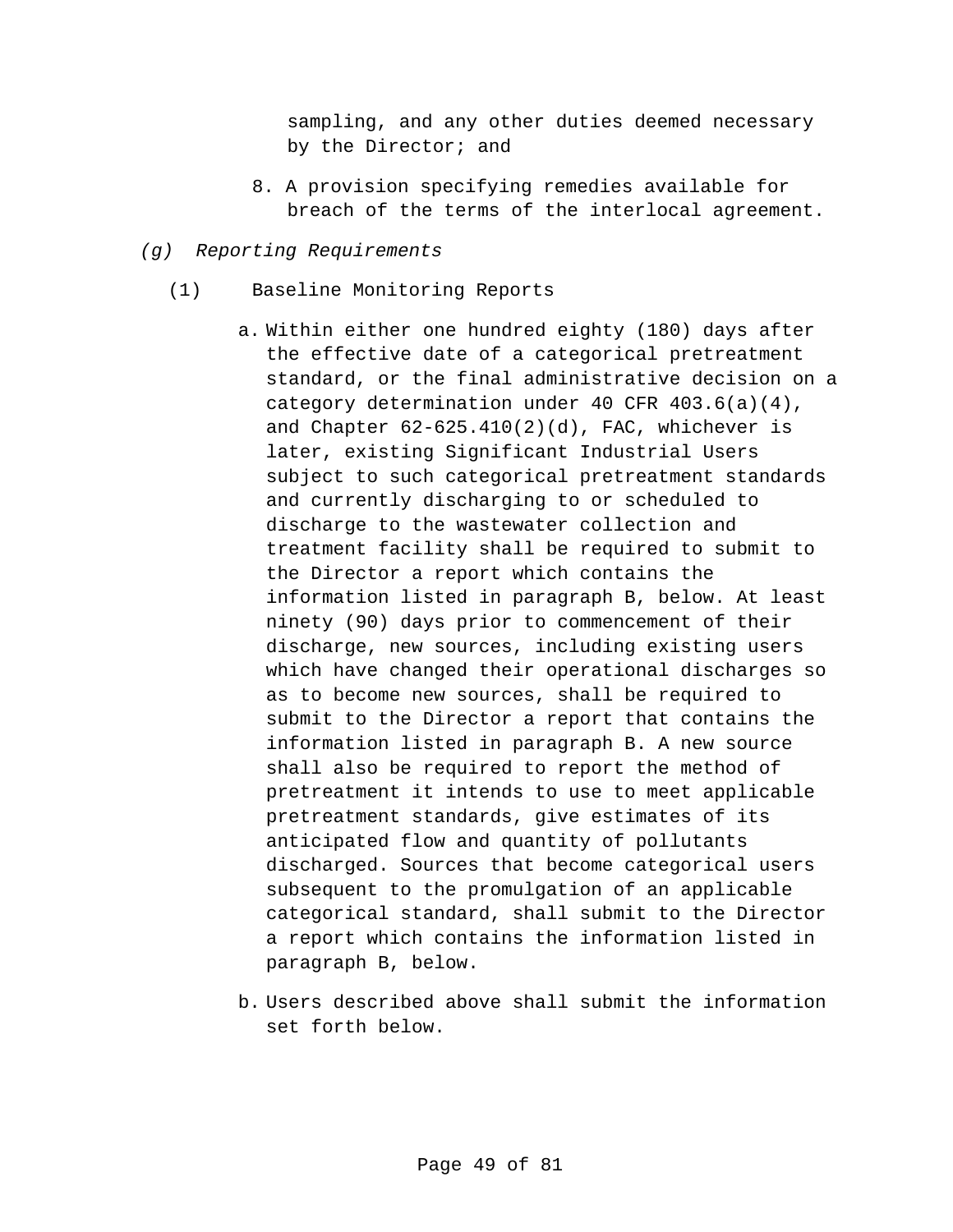sampling, and any other duties deemed necessary by the Director; and

- 8. A provision specifying remedies available for breach of the terms of the interlocal agreement.
- *(g) Reporting Requirements*
	- (1) Baseline Monitoring Reports
		- a. Within either one hundred eighty (180) days after the effective date of a categorical pretreatment standard, or the final administrative decision on a category determination under 40 CFR 403.6(a)(4), and Chapter  $62-625.410(2)(d)$ , FAC, whichever is later, existing Significant Industrial Users subject to such categorical pretreatment standards and currently discharging to or scheduled to discharge to the wastewater collection and treatment facility shall be required to submit to the Director a report which contains the information listed in paragraph B, below. At least ninety (90) days prior to commencement of their discharge, new sources, including existing users which have changed their operational discharges so as to become new sources, shall be required to submit to the Director a report that contains the information listed in paragraph B. A new source shall also be required to report the method of pretreatment it intends to use to meet applicable pretreatment standards, give estimates of its anticipated flow and quantity of pollutants discharged. Sources that become categorical users subsequent to the promulgation of an applicable categorical standard, shall submit to the Director a report which contains the information listed in paragraph B, below.
		- b. Users described above shall submit the information set forth below.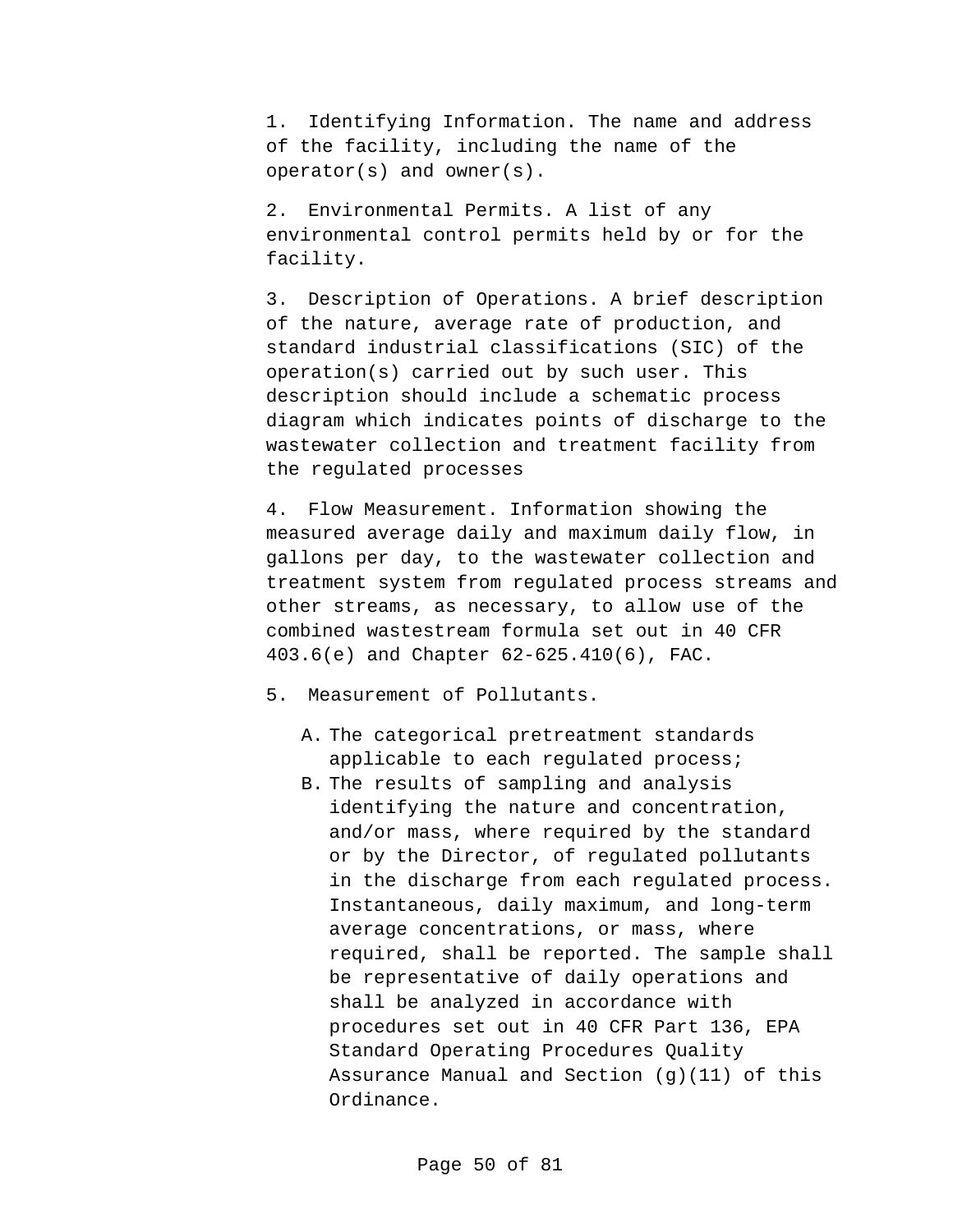1. Identifying Information. The name and address of the facility, including the name of the operator(s) and owner(s).

2. Environmental Permits. A list of any environmental control permits held by or for the facility.

3. Description of Operations. A brief description of the nature, average rate of production, and standard industrial classifications (SIC) of the operation(s) carried out by such user. This description should include a schematic process diagram which indicates points of discharge to the wastewater collection and treatment facility from the regulated processes

4. Flow Measurement. Information showing the measured average daily and maximum daily flow, in gallons per day, to the wastewater collection and treatment system from regulated process streams and other streams, as necessary, to allow use of the combined wastestream formula set out in 40 CFR 403.6(e) and Chapter 62-625.410(6), FAC.

5. Measurement of Pollutants.

- A. The categorical pretreatment standards applicable to each regulated process;
- B. The results of sampling and analysis identifying the nature and concentration, and/or mass, where required by the standard or by the Director, of regulated pollutants in the discharge from each regulated process. Instantaneous, daily maximum, and long-term average concentrations, or mass, where required, shall be reported. The sample shall be representative of daily operations and shall be analyzed in accordance with procedures set out in 40 CFR Part 136, EPA Standard Operating Procedures Quality Assurance Manual and Section (g)(11) of this Ordinance.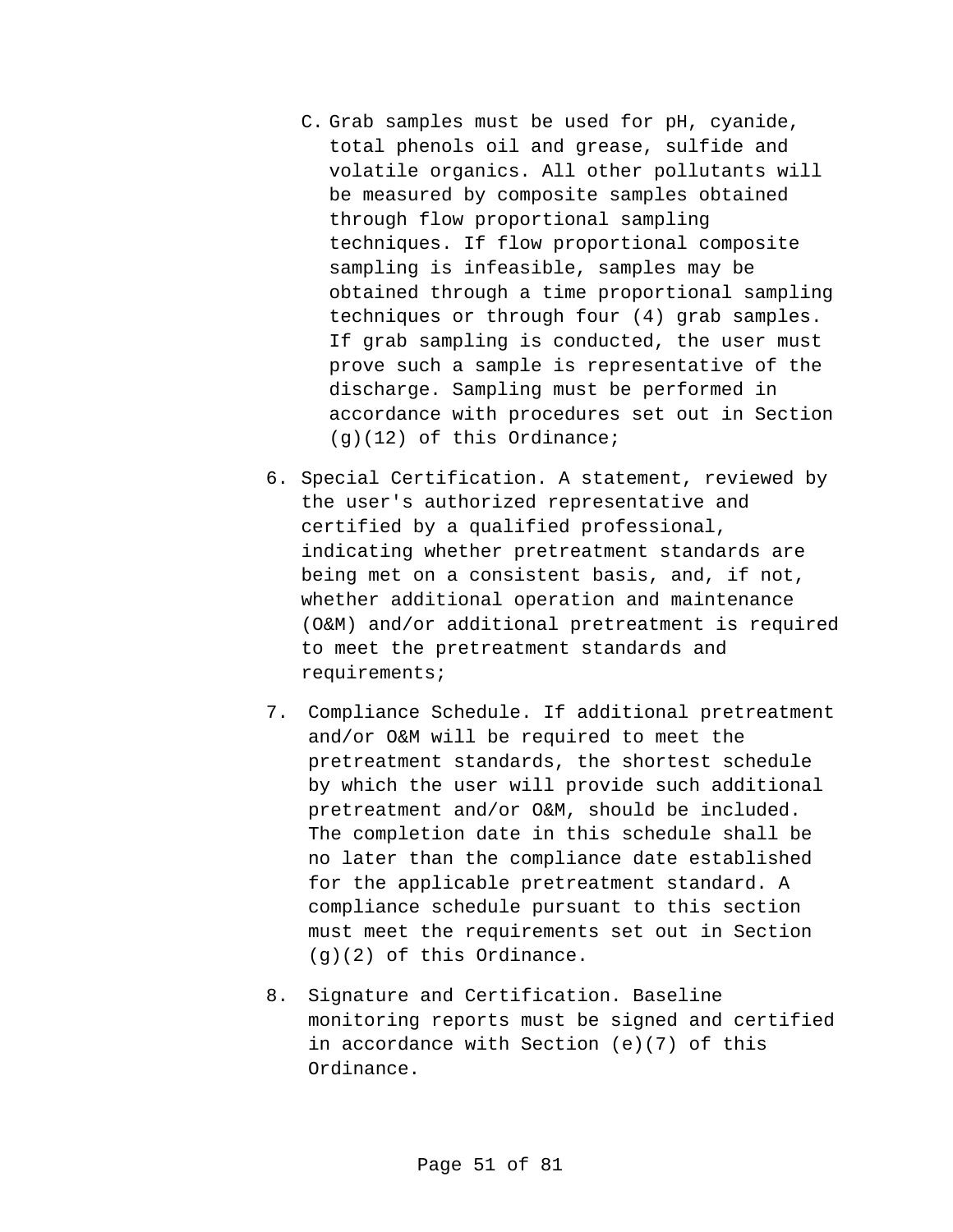- C. Grab samples must be used for pH, cyanide, total phenols oil and grease, sulfide and volatile organics. All other pollutants will be measured by composite samples obtained through flow proportional sampling techniques. If flow proportional composite sampling is infeasible, samples may be obtained through a time proportional sampling techniques or through four (4) grab samples. If grab sampling is conducted, the user must prove such a sample is representative of the discharge. Sampling must be performed in accordance with procedures set out in Section (g)(12) of this Ordinance;
- 6. Special Certification. A statement, reviewed by the user's authorized representative and certified by a qualified professional, indicating whether pretreatment standards are being met on a consistent basis, and, if not, whether additional operation and maintenance (O&M) and/or additional pretreatment is required to meet the pretreatment standards and requirements;
- 7. Compliance Schedule. If additional pretreatment and/or O&M will be required to meet the pretreatment standards, the shortest schedule by which the user will provide such additional pretreatment and/or O&M, should be included. The completion date in this schedule shall be no later than the compliance date established for the applicable pretreatment standard. A compliance schedule pursuant to this section must meet the requirements set out in Section (g)(2) of this Ordinance.
- 8. Signature and Certification. Baseline monitoring reports must be signed and certified in accordance with Section (e)(7) of this Ordinance.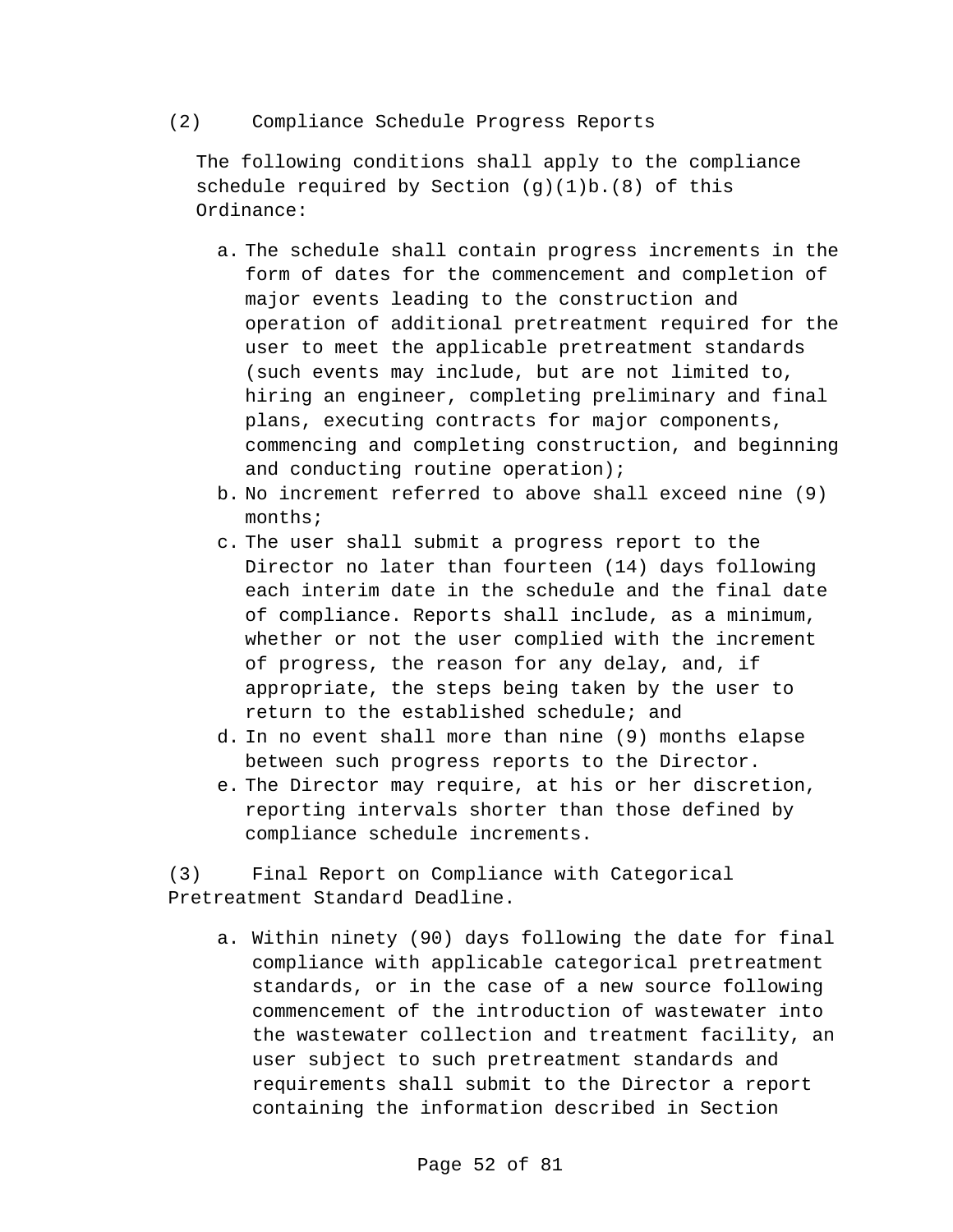#### (2) Compliance Schedule Progress Reports

The following conditions shall apply to the compliance schedule required by Section (g)(1)b.(8) of this Ordinance:

- a. The schedule shall contain progress increments in the form of dates for the commencement and completion of major events leading to the construction and operation of additional pretreatment required for the user to meet the applicable pretreatment standards (such events may include, but are not limited to, hiring an engineer, completing preliminary and final plans, executing contracts for major components, commencing and completing construction, and beginning and conducting routine operation);
- b. No increment referred to above shall exceed nine (9) months;
- c. The user shall submit a progress report to the Director no later than fourteen (14) days following each interim date in the schedule and the final date of compliance. Reports shall include, as a minimum, whether or not the user complied with the increment of progress, the reason for any delay, and, if appropriate, the steps being taken by the user to return to the established schedule; and
- d. In no event shall more than nine (9) months elapse between such progress reports to the Director.
- e. The Director may require, at his or her discretion, reporting intervals shorter than those defined by compliance schedule increments.

(3) Final Report on Compliance with Categorical Pretreatment Standard Deadline.

a. Within ninety (90) days following the date for final compliance with applicable categorical pretreatment standards, or in the case of a new source following commencement of the introduction of wastewater into the wastewater collection and treatment facility, an user subject to such pretreatment standards and requirements shall submit to the Director a report containing the information described in Section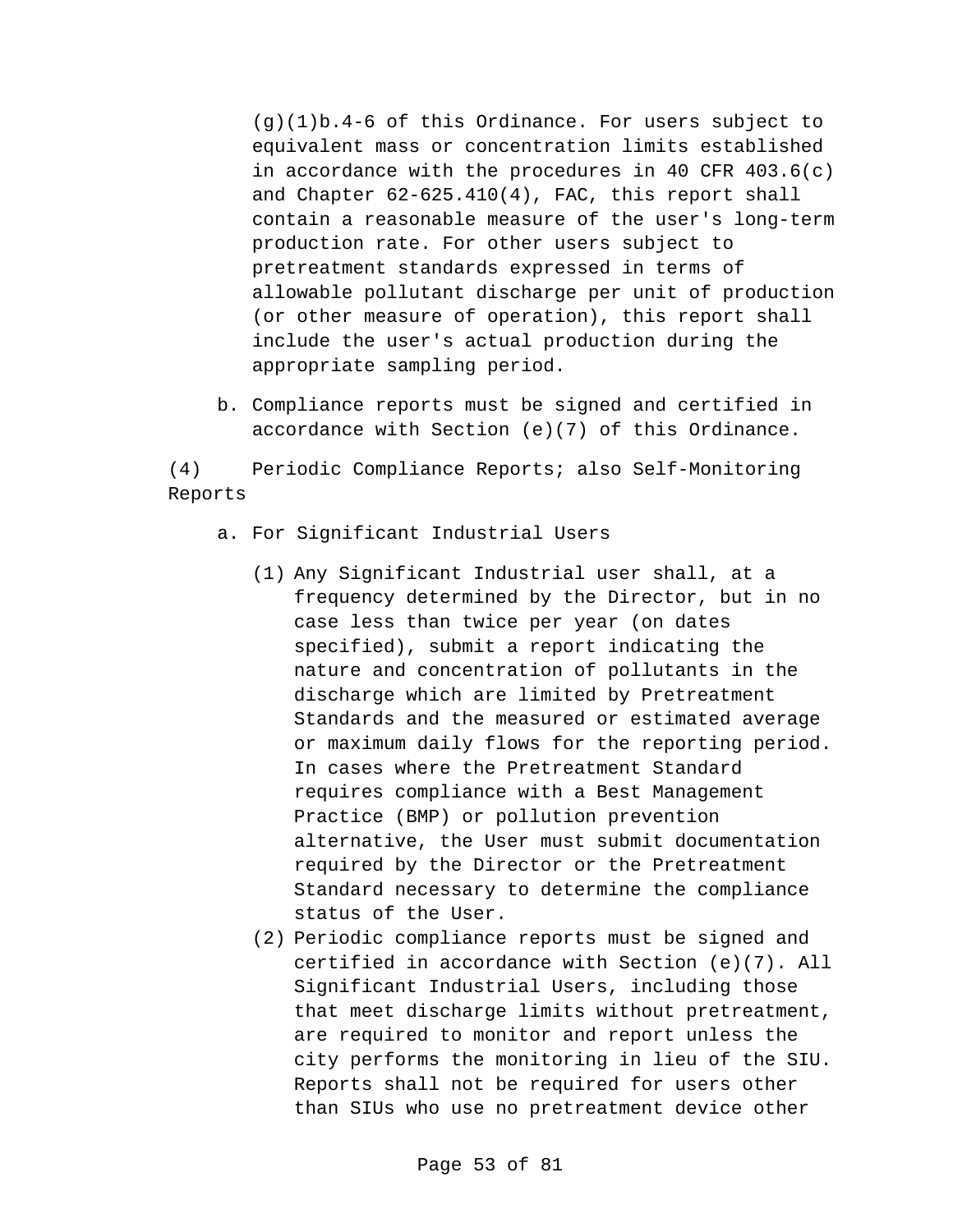(g)(1)b.4-6 of this Ordinance. For users subject to equivalent mass or concentration limits established in accordance with the procedures in 40 CFR 403.6(c) and Chapter 62-625.410(4), FAC, this report shall contain a reasonable measure of the user's long-term production rate. For other users subject to pretreatment standards expressed in terms of allowable pollutant discharge per unit of production (or other measure of operation), this report shall include the user's actual production during the appropriate sampling period.

b. Compliance reports must be signed and certified in accordance with Section (e)(7) of this Ordinance.

(4) Periodic Compliance Reports; also Self-Monitoring Reports

- a. For Significant Industrial Users
	- (1) Any Significant Industrial user shall, at a frequency determined by the Director, but in no case less than twice per year (on dates specified), submit a report indicating the nature and concentration of pollutants in the discharge which are limited by Pretreatment Standards and the measured or estimated average or maximum daily flows for the reporting period. In cases where the Pretreatment Standard requires compliance with a Best Management Practice (BMP) or pollution prevention alternative, the User must submit documentation required by the Director or the Pretreatment Standard necessary to determine the compliance status of the User.
	- (2) Periodic compliance reports must be signed and certified in accordance with Section (e)(7). All Significant Industrial Users, including those that meet discharge limits without pretreatment, are required to monitor and report unless the city performs the monitoring in lieu of the SIU. Reports shall not be required for users other than SIUs who use no pretreatment device other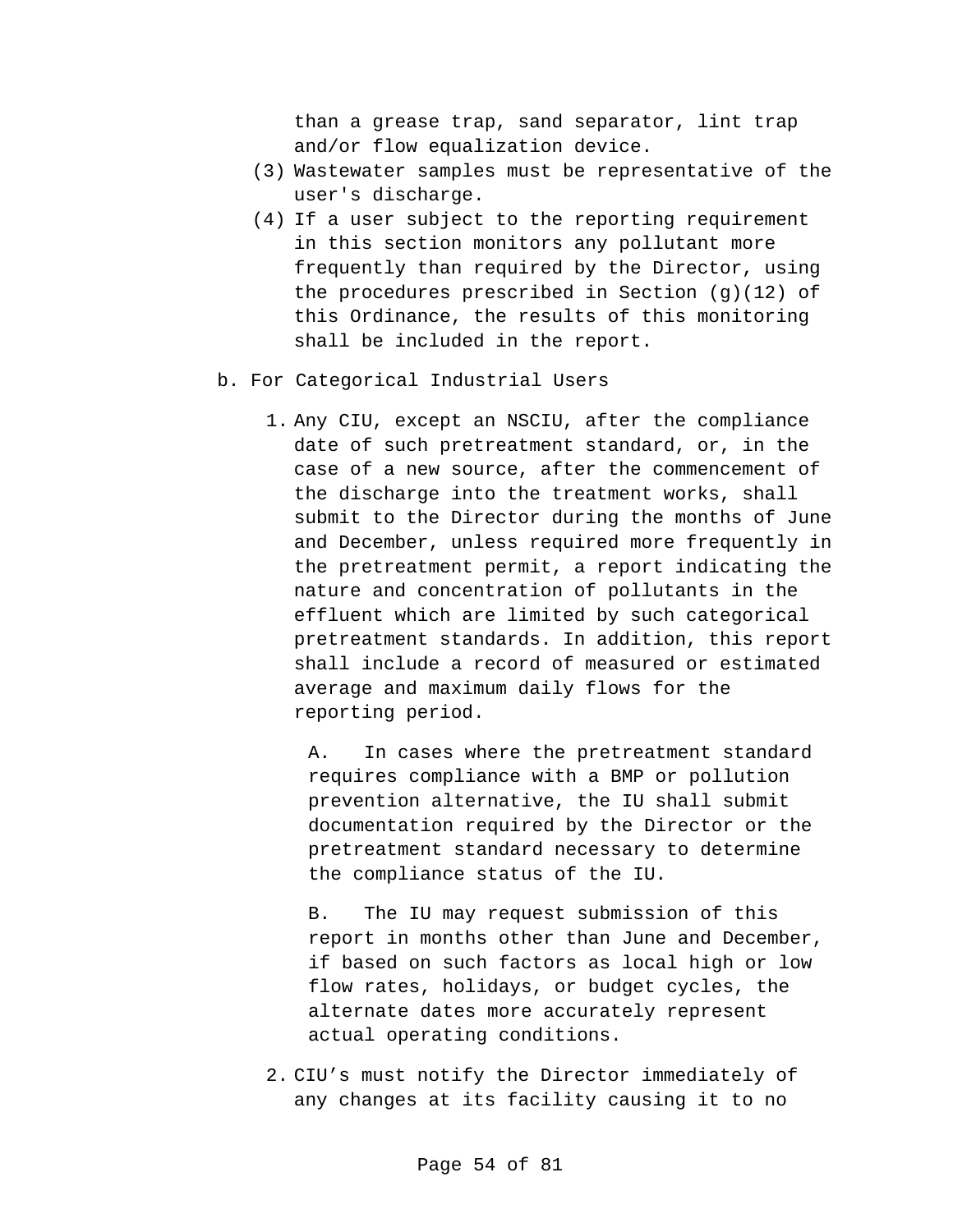than a grease trap, sand separator, lint trap and/or flow equalization device.

- (3) Wastewater samples must be representative of the user's discharge.
- (4) If a user subject to the reporting requirement in this section monitors any pollutant more frequently than required by the Director, using the procedures prescribed in Section (g)(12) of this Ordinance, the results of this monitoring shall be included in the report.
- b. For Categorical Industrial Users
	- 1. Any CIU, except an NSCIU, after the compliance date of such pretreatment standard, or, in the case of a new source, after the commencement of the discharge into the treatment works, shall submit to the Director during the months of June and December, unless required more frequently in the pretreatment permit, a report indicating the nature and concentration of pollutants in the effluent which are limited by such categorical pretreatment standards. In addition, this report shall include a record of measured or estimated average and maximum daily flows for the reporting period.

A. In cases where the pretreatment standard requires compliance with a BMP or pollution prevention alternative, the IU shall submit documentation required by the Director or the pretreatment standard necessary to determine the compliance status of the IU.

B. The IU may request submission of this report in months other than June and December, if based on such factors as local high or low flow rates, holidays, or budget cycles, the alternate dates more accurately represent actual operating conditions.

2. CIU's must notify the Director immediately of any changes at its facility causing it to no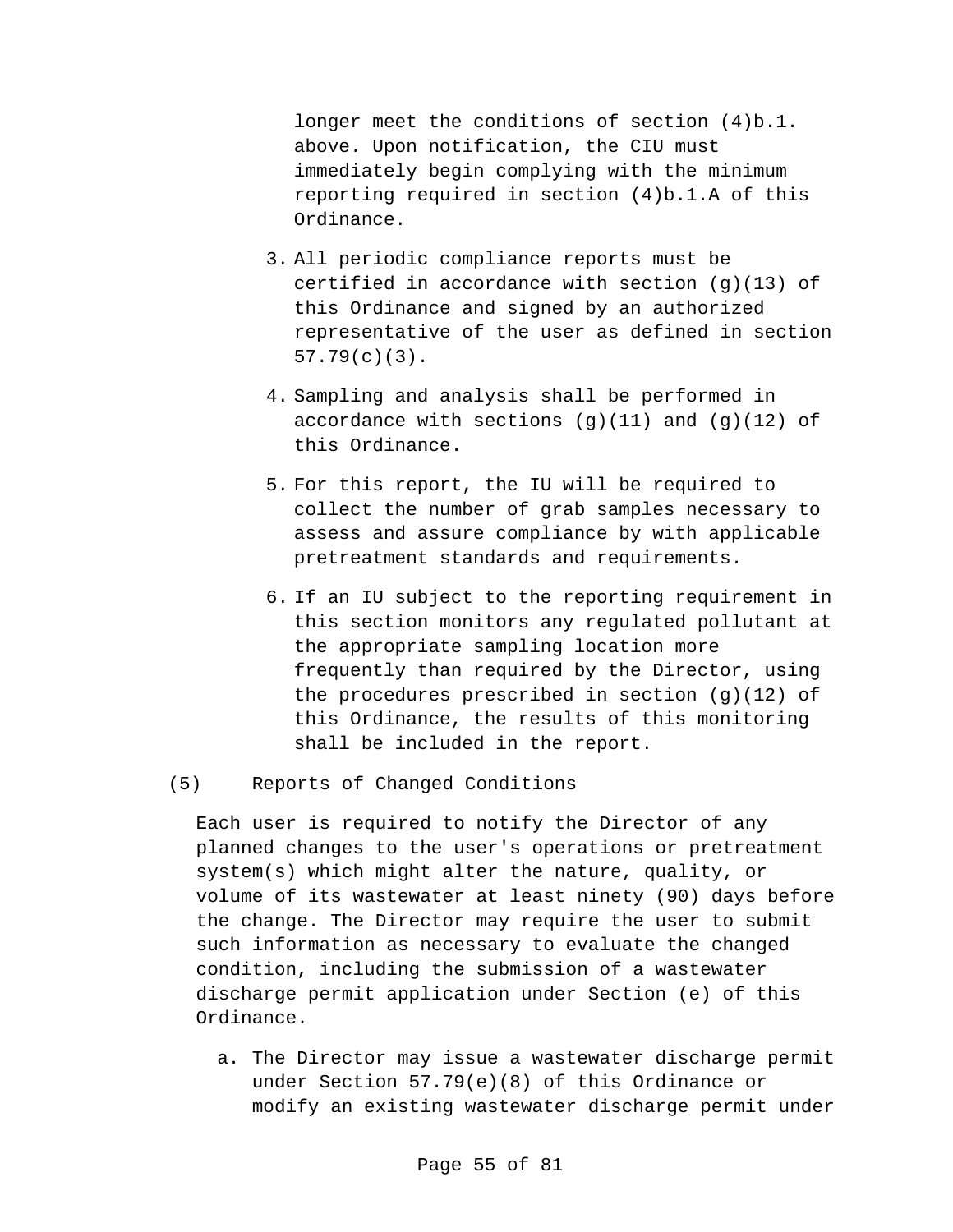longer meet the conditions of section (4)b.1. above. Upon notification, the CIU must immediately begin complying with the minimum reporting required in section (4)b.1.A of this Ordinance.

- 3. All periodic compliance reports must be certified in accordance with section (g)(13) of this Ordinance and signed by an authorized representative of the user as defined in section 57.79(c)(3).
- 4. Sampling and analysis shall be performed in accordance with sections  $(q)(11)$  and  $(q)(12)$  of this Ordinance.
- 5. For this report, the IU will be required to collect the number of grab samples necessary to assess and assure compliance by with applicable pretreatment standards and requirements.
- 6. If an IU subject to the reporting requirement in this section monitors any regulated pollutant at the appropriate sampling location more frequently than required by the Director, using the procedures prescribed in section (g)(12) of this Ordinance, the results of this monitoring shall be included in the report.

## (5) Reports of Changed Conditions

Each user is required to notify the Director of any planned changes to the user's operations or pretreatment system(s) which might alter the nature, quality, or volume of its wastewater at least ninety (90) days before the change. The Director may require the user to submit such information as necessary to evaluate the changed condition, including the submission of a wastewater discharge permit application under Section (e) of this Ordinance.

a. The Director may issue a wastewater discharge permit under Section 57.79(e)(8) of this Ordinance or modify an existing wastewater discharge permit under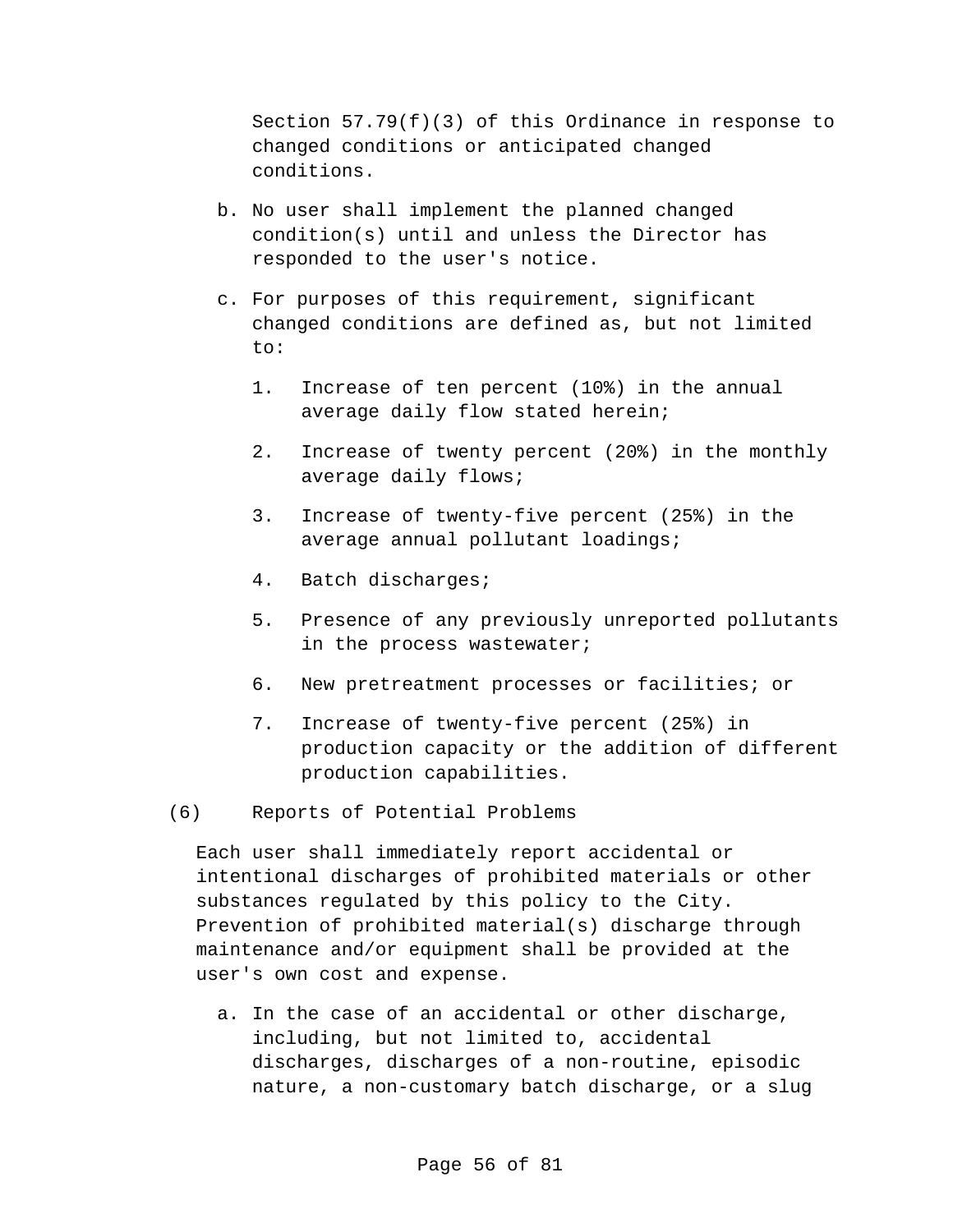Section 57.79(f)(3) of this Ordinance in response to changed conditions or anticipated changed conditions.

- b. No user shall implement the planned changed condition(s) until and unless the Director has responded to the user's notice.
- c. For purposes of this requirement, significant changed conditions are defined as, but not limited to:
	- 1. Increase of ten percent (10%) in the annual average daily flow stated herein;
	- 2. Increase of twenty percent (20%) in the monthly average daily flows;
	- 3. Increase of twenty-five percent (25%) in the average annual pollutant loadings;
	- 4. Batch discharges;
	- 5. Presence of any previously unreported pollutants in the process wastewater;
	- 6. New pretreatment processes or facilities; or
	- 7. Increase of twenty-five percent (25%) in production capacity or the addition of different production capabilities.
- (6) Reports of Potential Problems

Each user shall immediately report accidental or intentional discharges of prohibited materials or other substances regulated by this policy to the City. Prevention of prohibited material(s) discharge through maintenance and/or equipment shall be provided at the user's own cost and expense.

a. In the case of an accidental or other discharge, including, but not limited to, accidental discharges, discharges of a non-routine, episodic nature, a non-customary batch discharge, or a slug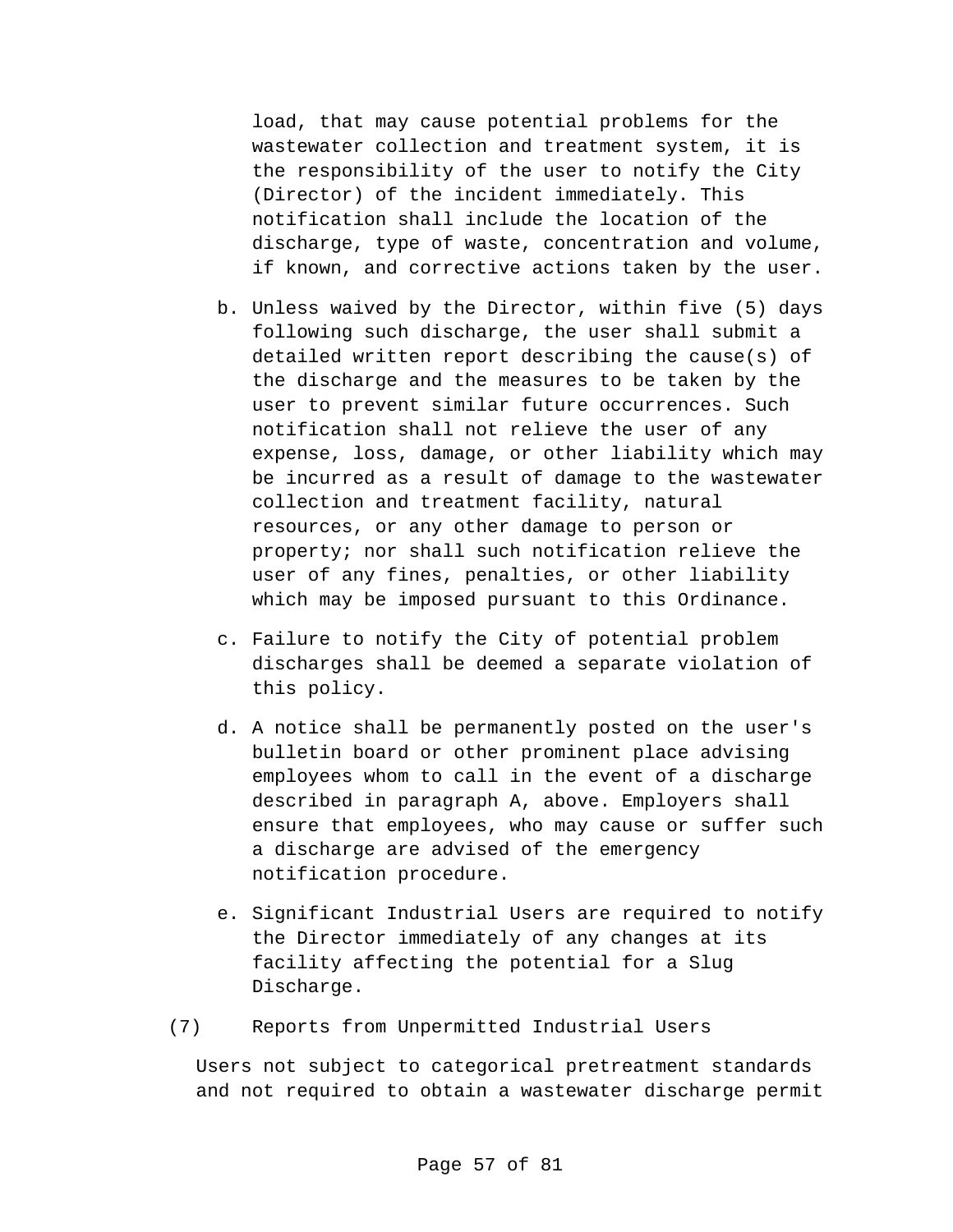load, that may cause potential problems for the wastewater collection and treatment system, it is the responsibility of the user to notify the City (Director) of the incident immediately. This notification shall include the location of the discharge, type of waste, concentration and volume, if known, and corrective actions taken by the user.

- b. Unless waived by the Director, within five (5) days following such discharge, the user shall submit a detailed written report describing the cause(s) of the discharge and the measures to be taken by the user to prevent similar future occurrences. Such notification shall not relieve the user of any expense, loss, damage, or other liability which may be incurred as a result of damage to the wastewater collection and treatment facility, natural resources, or any other damage to person or property; nor shall such notification relieve the user of any fines, penalties, or other liability which may be imposed pursuant to this Ordinance.
- c. Failure to notify the City of potential problem discharges shall be deemed a separate violation of this policy.
- d. A notice shall be permanently posted on the user's bulletin board or other prominent place advising employees whom to call in the event of a discharge described in paragraph A, above. Employers shall ensure that employees, who may cause or suffer such a discharge are advised of the emergency notification procedure.
- e. Significant Industrial Users are required to notify the Director immediately of any changes at its facility affecting the potential for a Slug Discharge.
- (7) Reports from Unpermitted Industrial Users

Users not subject to categorical pretreatment standards and not required to obtain a wastewater discharge permit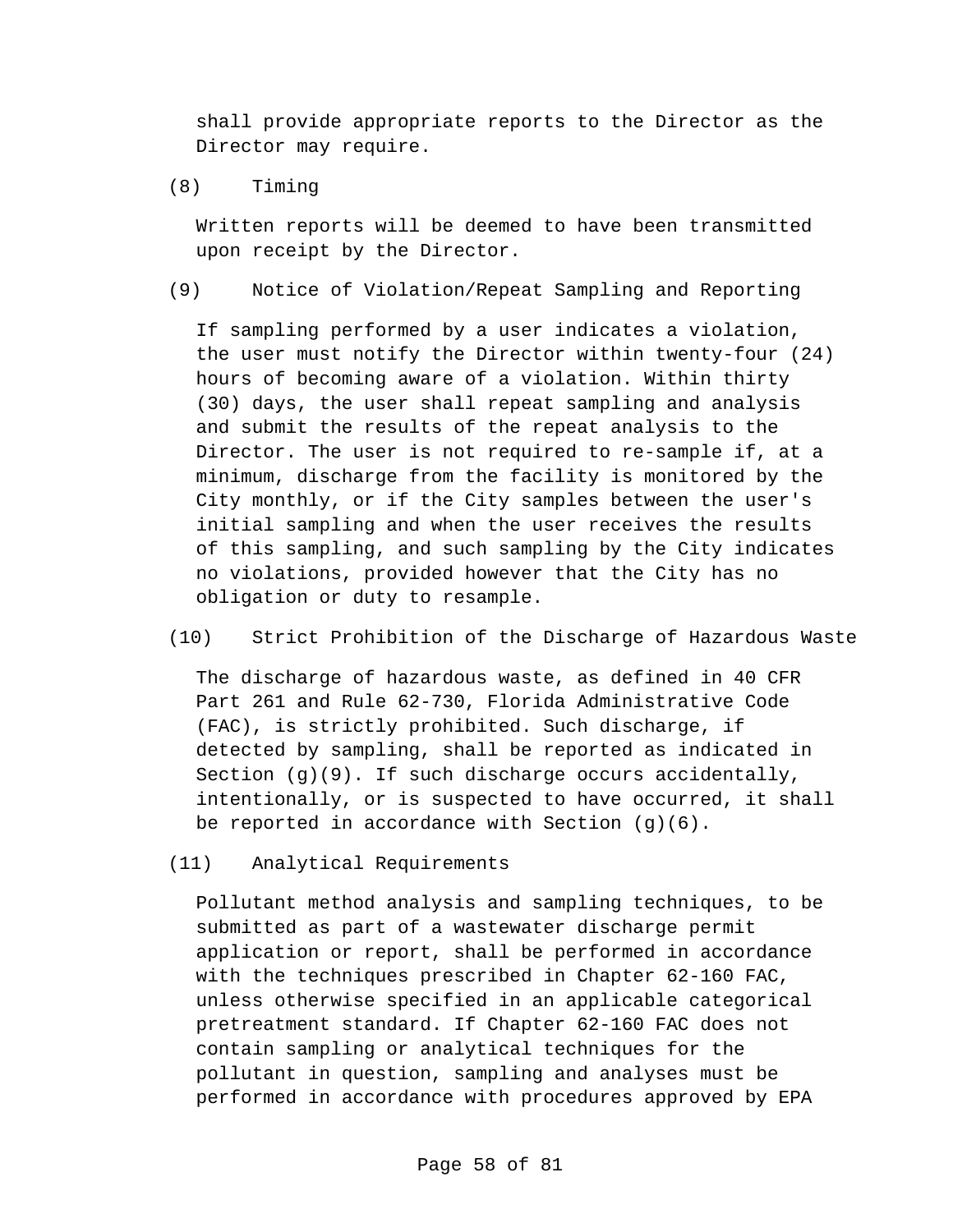shall provide appropriate reports to the Director as the Director may require.

(8) Timing

Written reports will be deemed to have been transmitted upon receipt by the Director.

(9) Notice of Violation/Repeat Sampling and Reporting

If sampling performed by a user indicates a violation, the user must notify the Director within twenty-four (24) hours of becoming aware of a violation. Within thirty (30) days, the user shall repeat sampling and analysis and submit the results of the repeat analysis to the Director. The user is not required to re-sample if, at a minimum, discharge from the facility is monitored by the City monthly, or if the City samples between the user's initial sampling and when the user receives the results of this sampling, and such sampling by the City indicates no violations, provided however that the City has no obligation or duty to resample.

(10) Strict Prohibition of the Discharge of Hazardous Waste

The discharge of hazardous waste, as defined in 40 CFR Part 261 and Rule 62-730, Florida Administrative Code (FAC), is strictly prohibited. Such discharge, if detected by sampling, shall be reported as indicated in Section  $(q)(9)$ . If such discharge occurs accidentally, intentionally, or is suspected to have occurred, it shall be reported in accordance with Section (g)(6).

(11) Analytical Requirements

Pollutant method analysis and sampling techniques, to be submitted as part of a wastewater discharge permit application or report, shall be performed in accordance with the techniques prescribed in Chapter 62-160 FAC, unless otherwise specified in an applicable categorical pretreatment standard. If Chapter 62-160 FAC does not contain sampling or analytical techniques for the pollutant in question, sampling and analyses must be performed in accordance with procedures approved by EPA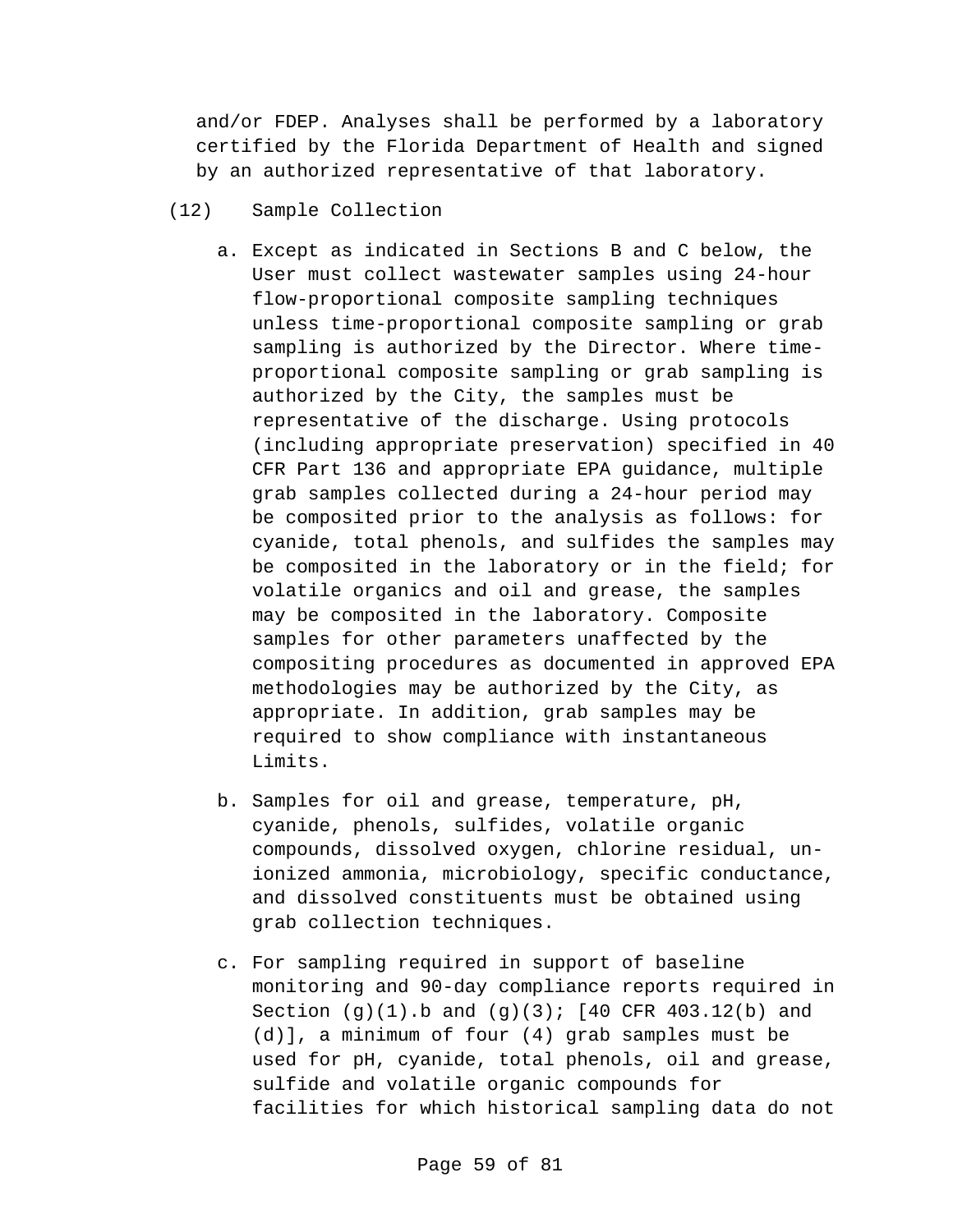and/or FDEP. Analyses shall be performed by a laboratory certified by the Florida Department of Health and signed by an authorized representative of that laboratory.

- (12) Sample Collection
	- a. Except as indicated in Sections B and C below, the User must collect wastewater samples using 24-hour flow-proportional composite sampling techniques unless time-proportional composite sampling or grab sampling is authorized by the Director. Where timeproportional composite sampling or grab sampling is authorized by the City, the samples must be representative of the discharge. Using protocols (including appropriate preservation) specified in 40 CFR Part 136 and appropriate EPA guidance, multiple grab samples collected during a 24-hour period may be composited prior to the analysis as follows: for cyanide, total phenols, and sulfides the samples may be composited in the laboratory or in the field; for volatile organics and oil and grease, the samples may be composited in the laboratory. Composite samples for other parameters unaffected by the compositing procedures as documented in approved EPA methodologies may be authorized by the City, as appropriate. In addition, grab samples may be required to show compliance with instantaneous Limits.
	- b. Samples for oil and grease, temperature, pH, cyanide, phenols, sulfides, volatile organic compounds, dissolved oxygen, chlorine residual, unionized ammonia, microbiology, specific conductance, and dissolved constituents must be obtained using grab collection techniques.
	- c. For sampling required in support of baseline monitoring and 90-day compliance reports required in Section  $(q)(1)$ .b and  $(q)(3)$ ; [40 CFR 403.12(b) and (d)], a minimum of four (4) grab samples must be used for pH, cyanide, total phenols, oil and grease, sulfide and volatile organic compounds for facilities for which historical sampling data do not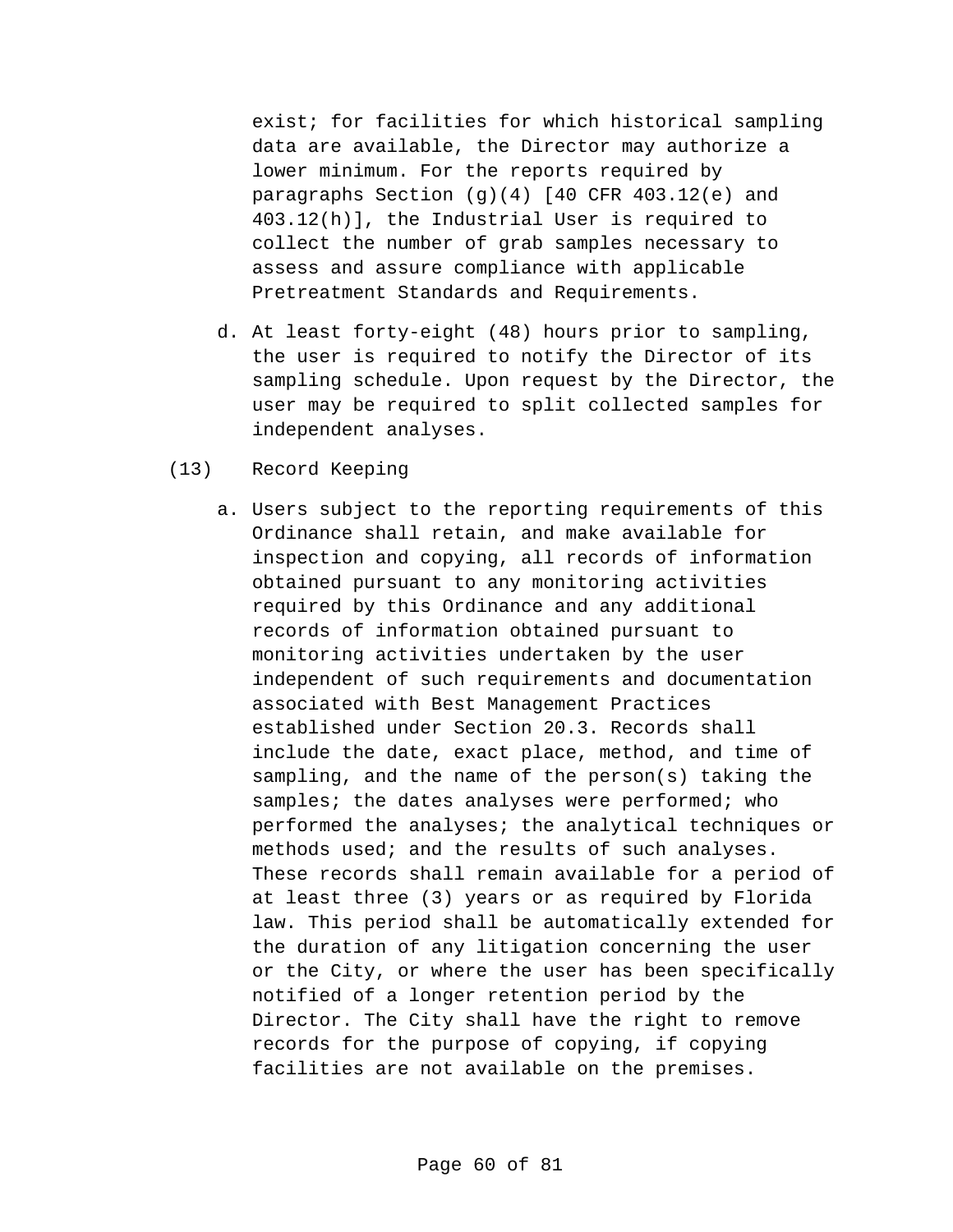exist; for facilities for which historical sampling data are available, the Director may authorize a lower minimum. For the reports required by paragraphs Section  $(g)(4)$  [40 CFR 403.12(e) and 403.12(h)], the Industrial User is required to collect the number of grab samples necessary to assess and assure compliance with applicable Pretreatment Standards and Requirements.

- d. At least forty-eight (48) hours prior to sampling, the user is required to notify the Director of its sampling schedule. Upon request by the Director, the user may be required to split collected samples for independent analyses.
- (13) Record Keeping
	- a. Users subject to the reporting requirements of this Ordinance shall retain, and make available for inspection and copying, all records of information obtained pursuant to any monitoring activities required by this Ordinance and any additional records of information obtained pursuant to monitoring activities undertaken by the user independent of such requirements and documentation associated with Best Management Practices established under Section 20.3. Records shall include the date, exact place, method, and time of sampling, and the name of the person(s) taking the samples; the dates analyses were performed; who performed the analyses; the analytical techniques or methods used; and the results of such analyses. These records shall remain available for a period of at least three (3) years or as required by Florida law. This period shall be automatically extended for the duration of any litigation concerning the user or the City, or where the user has been specifically notified of a longer retention period by the Director. The City shall have the right to remove records for the purpose of copying, if copying facilities are not available on the premises.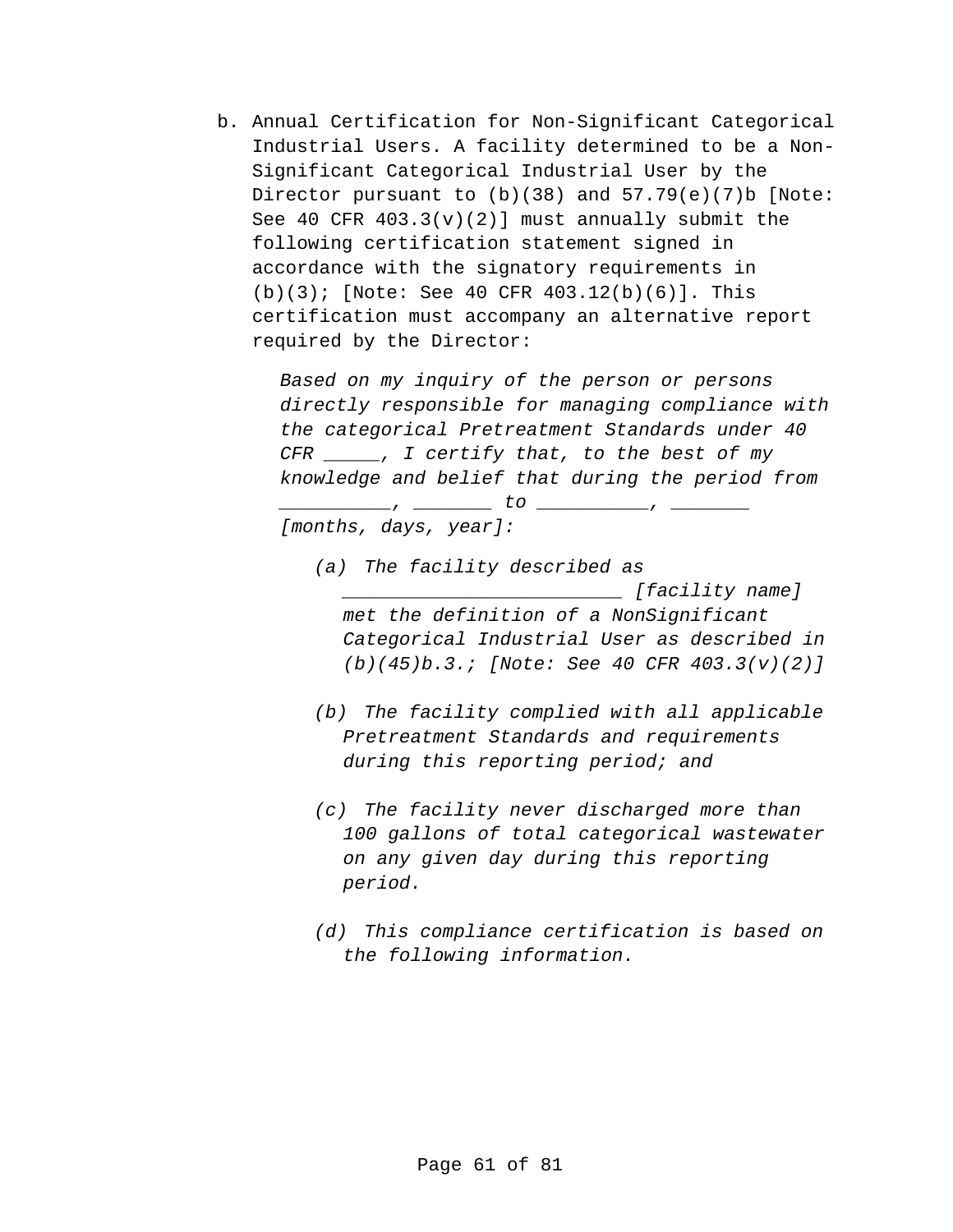b. Annual Certification for Non-Significant Categorical Industrial Users. A facility determined to be a Non-Significant Categorical Industrial User by the Director pursuant to  $(b)(38)$  and  $57.79(e)(7)b$  [Note: See 40 CFR  $403.3(v)(2)$  must annually submit the following certification statement signed in accordance with the signatory requirements in (b)(3); [Note: See 40 CFR 403.12(b)(6)]. This certification must accompany an alternative report required by the Director:

> *Based on my inquiry of the person or persons directly responsible for managing compliance with the categorical Pretreatment Standards under 40 CFR \_\_\_\_\_, I certify that, to the best of my knowledge and belief that during the period from*

> > *\_\_\_\_\_\_\_\_\_\_, \_\_\_\_\_\_\_ to \_\_\_\_\_\_\_\_\_\_, \_\_\_\_\_\_\_*

*[months, days, year]:*

- *(a) The facility described as \_\_\_\_\_\_\_\_\_\_\_\_\_\_\_\_\_\_\_\_\_\_\_\_\_ [facility name] met the definition of a NonSignificant Categorical Industrial User as described in (b)(45)b.3.; [Note: See 40 CFR 403.3(v)(2)]*
- *(b) The facility complied with all applicable Pretreatment Standards and requirements during this reporting period; and*
- *(c) The facility never discharged more than 100 gallons of total categorical wastewater on any given day during this reporting period.*
- *(d) This compliance certification is based on the following information.*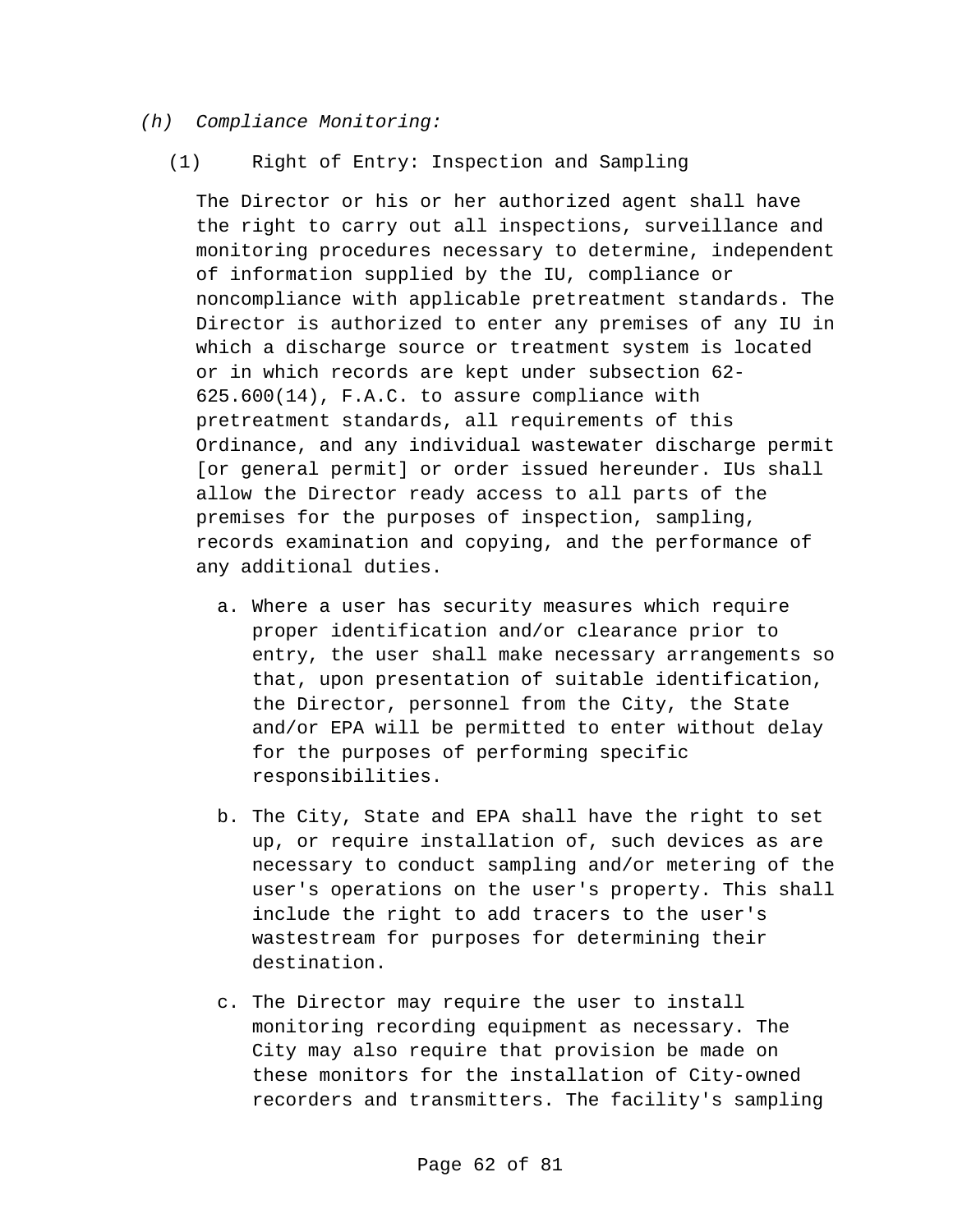#### *(h) Compliance Monitoring:*

(1) Right of Entry: Inspection and Sampling

The Director or his or her authorized agent shall have the right to carry out all inspections, surveillance and monitoring procedures necessary to determine, independent of information supplied by the IU, compliance or noncompliance with applicable pretreatment standards. The Director is authorized to enter any premises of any IU in which a discharge source or treatment system is located or in which records are kept under subsection 62- 625.600(14), F.A.C. to assure compliance with pretreatment standards, all requirements of this Ordinance, and any individual wastewater discharge permit [or general permit] or order issued hereunder. IUs shall allow the Director ready access to all parts of the premises for the purposes of inspection, sampling, records examination and copying, and the performance of any additional duties.

- a. Where a user has security measures which require proper identification and/or clearance prior to entry, the user shall make necessary arrangements so that, upon presentation of suitable identification, the Director, personnel from the City, the State and/or EPA will be permitted to enter without delay for the purposes of performing specific responsibilities.
- b. The City, State and EPA shall have the right to set up, or require installation of, such devices as are necessary to conduct sampling and/or metering of the user's operations on the user's property. This shall include the right to add tracers to the user's wastestream for purposes for determining their destination.
- c. The Director may require the user to install monitoring recording equipment as necessary. The City may also require that provision be made on these monitors for the installation of City-owned recorders and transmitters. The facility's sampling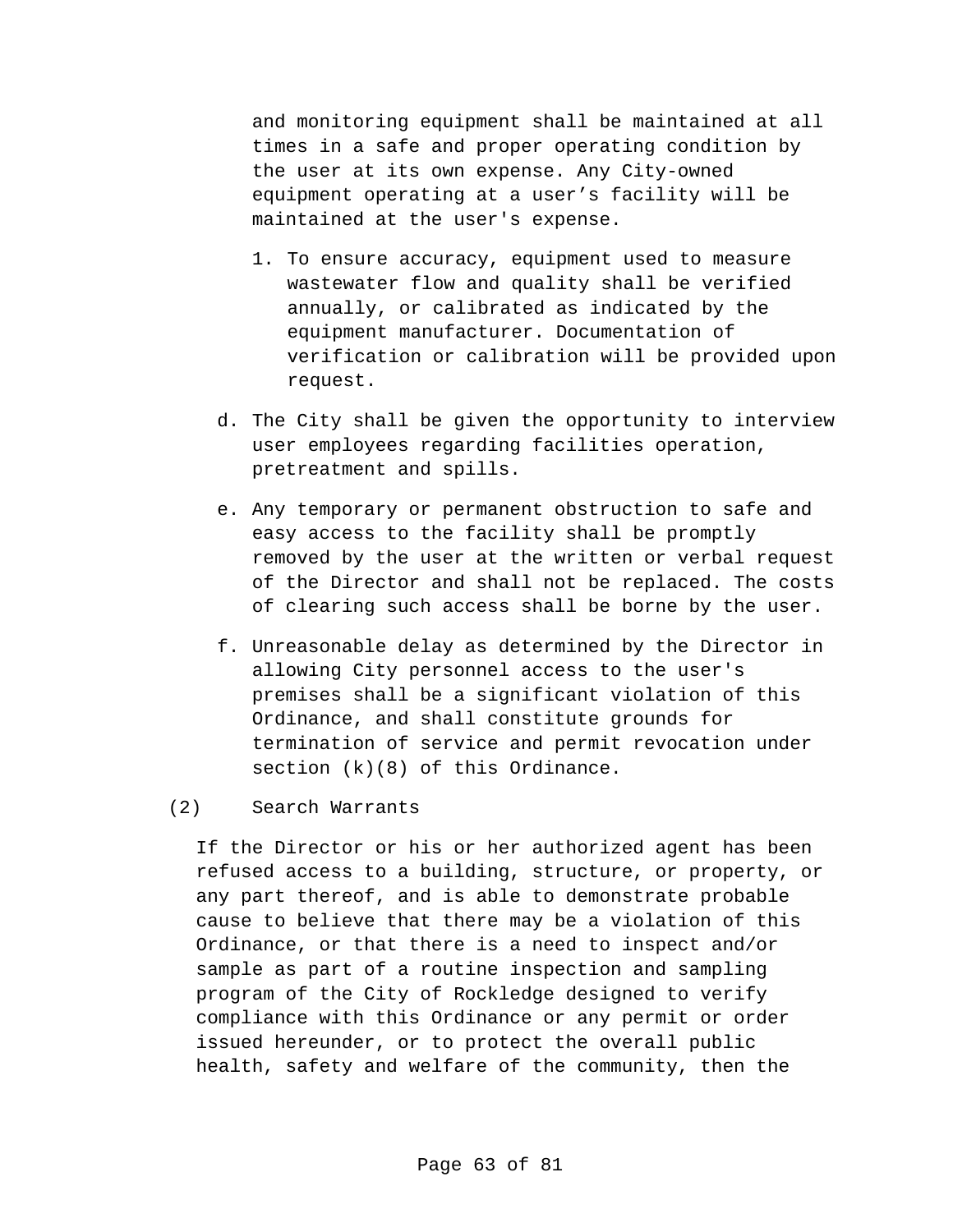and monitoring equipment shall be maintained at all times in a safe and proper operating condition by the user at its own expense. Any City-owned equipment operating at a user's facility will be maintained at the user's expense.

- 1. To ensure accuracy, equipment used to measure wastewater flow and quality shall be verified annually, or calibrated as indicated by the equipment manufacturer. Documentation of verification or calibration will be provided upon request.
- d. The City shall be given the opportunity to interview user employees regarding facilities operation, pretreatment and spills.
- e. Any temporary or permanent obstruction to safe and easy access to the facility shall be promptly removed by the user at the written or verbal request of the Director and shall not be replaced. The costs of clearing such access shall be borne by the user.
- f. Unreasonable delay as determined by the Director in allowing City personnel access to the user's premises shall be a significant violation of this Ordinance, and shall constitute grounds for termination of service and permit revocation under section  $(k)(8)$  of this Ordinance.

### (2) Search Warrants

If the Director or his or her authorized agent has been refused access to a building, structure, or property, or any part thereof, and is able to demonstrate probable cause to believe that there may be a violation of this Ordinance, or that there is a need to inspect and/or sample as part of a routine inspection and sampling program of the City of Rockledge designed to verify compliance with this Ordinance or any permit or order issued hereunder, or to protect the overall public health, safety and welfare of the community, then the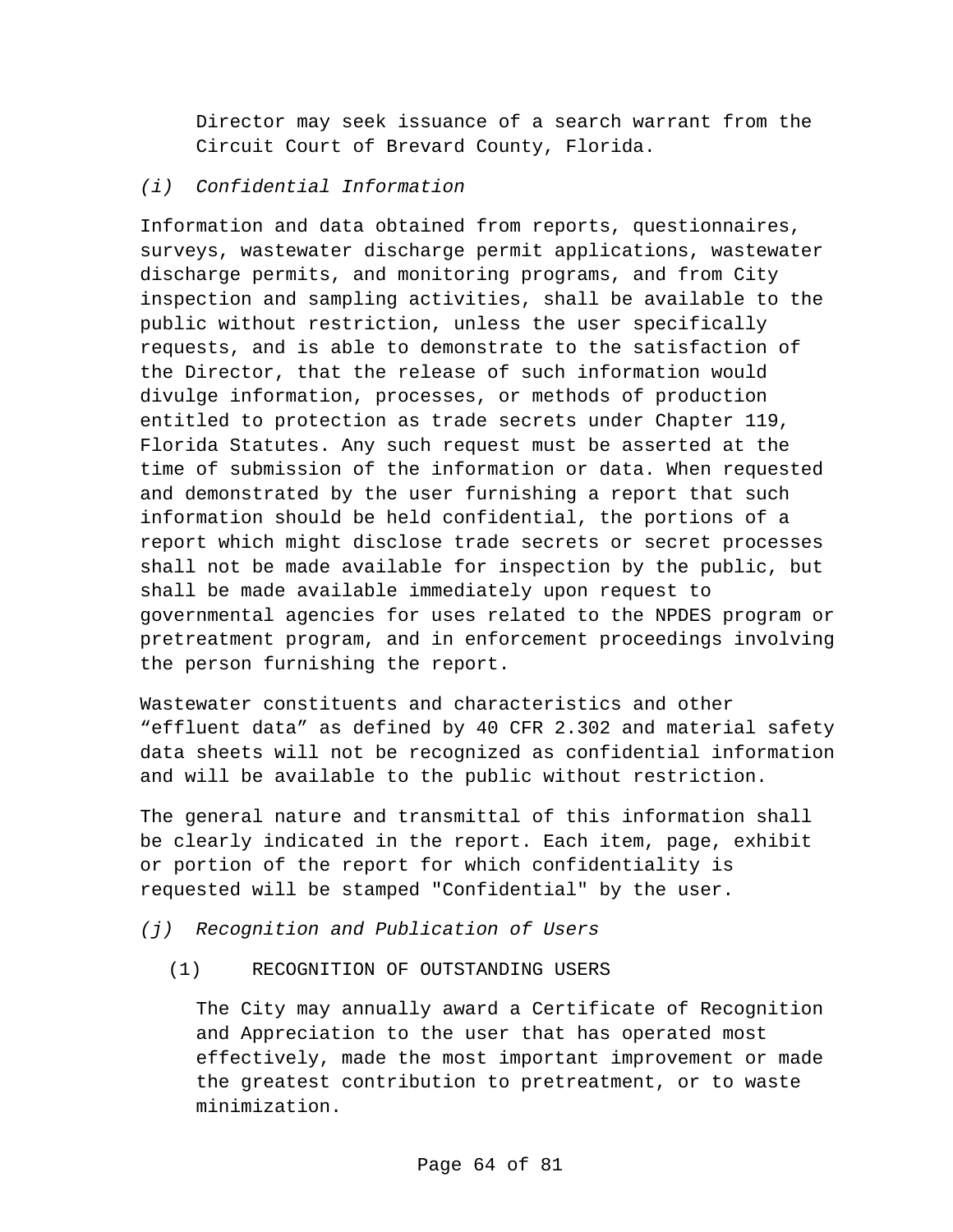Director may seek issuance of a search warrant from the Circuit Court of Brevard County, Florida.

### *(i) Confidential Information*

Information and data obtained from reports, questionnaires, surveys, wastewater discharge permit applications, wastewater discharge permits, and monitoring programs, and from City inspection and sampling activities, shall be available to the public without restriction, unless the user specifically requests, and is able to demonstrate to the satisfaction of the Director, that the release of such information would divulge information, processes, or methods of production entitled to protection as trade secrets under Chapter 119, Florida Statutes. Any such request must be asserted at the time of submission of the information or data. When requested and demonstrated by the user furnishing a report that such information should be held confidential, the portions of a report which might disclose trade secrets or secret processes shall not be made available for inspection by the public, but shall be made available immediately upon request to governmental agencies for uses related to the NPDES program or pretreatment program, and in enforcement proceedings involving the person furnishing the report.

Wastewater constituents and characteristics and other "effluent data" as defined by 40 CFR 2.302 and material safety data sheets will not be recognized as confidential information and will be available to the public without restriction.

The general nature and transmittal of this information shall be clearly indicated in the report. Each item, page, exhibit or portion of the report for which confidentiality is requested will be stamped "Confidential" by the user.

- *(j) Recognition and Publication of Users*
	- (1) RECOGNITION OF OUTSTANDING USERS

The City may annually award a Certificate of Recognition and Appreciation to the user that has operated most effectively, made the most important improvement or made the greatest contribution to pretreatment, or to waste minimization.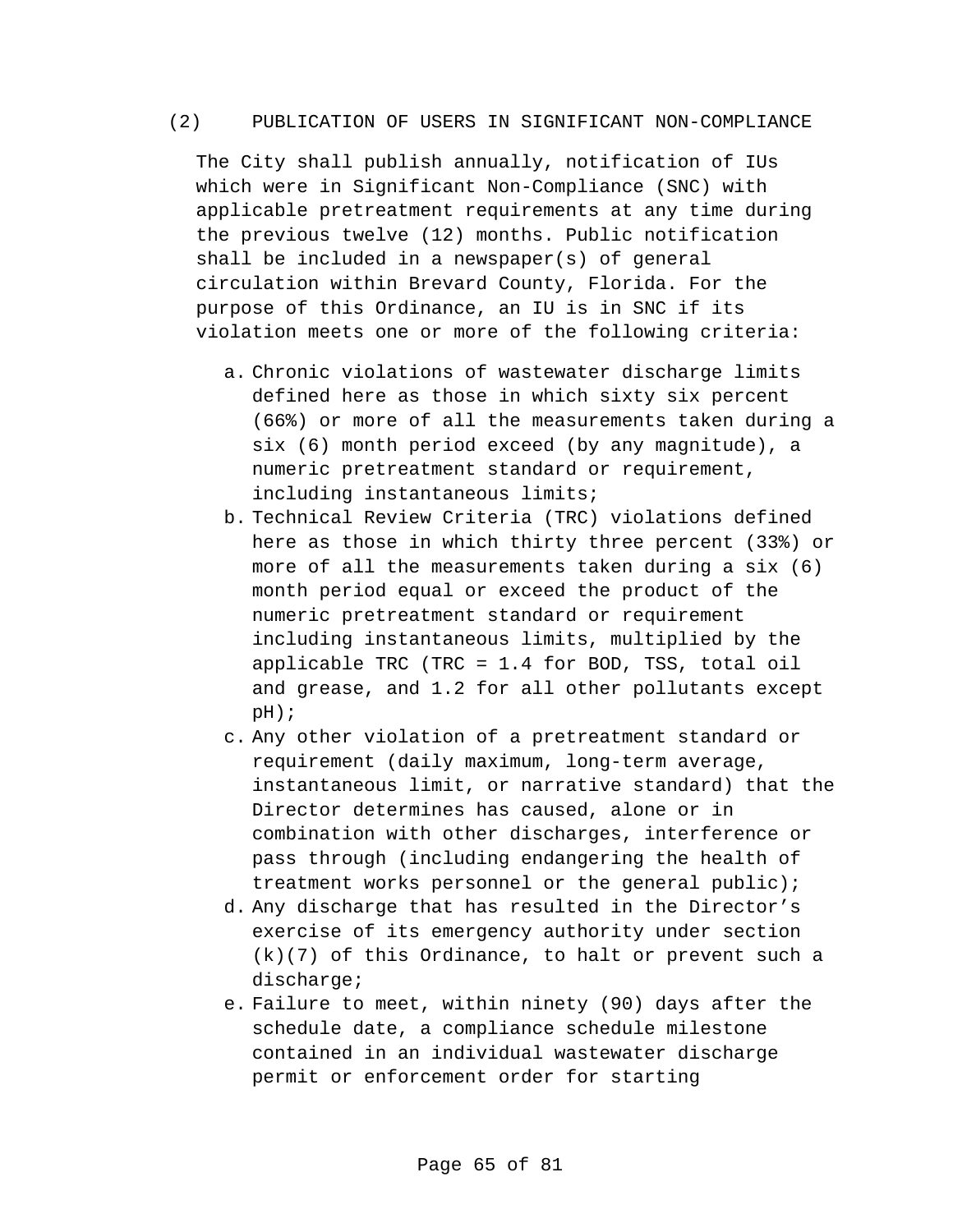### (2) PUBLICATION OF USERS IN SIGNIFICANT NON-COMPLIANCE

The City shall publish annually, notification of IUs which were in Significant Non-Compliance (SNC) with applicable pretreatment requirements at any time during the previous twelve (12) months. Public notification shall be included in a newspaper(s) of general circulation within Brevard County, Florida. For the purpose of this Ordinance, an IU is in SNC if its violation meets one or more of the following criteria:

- a. Chronic violations of wastewater discharge limits defined here as those in which sixty six percent (66%) or more of all the measurements taken during a six (6) month period exceed (by any magnitude), a numeric pretreatment standard or requirement, including instantaneous limits;
- b. Technical Review Criteria (TRC) violations defined here as those in which thirty three percent (33%) or more of all the measurements taken during a six (6) month period equal or exceed the product of the numeric pretreatment standard or requirement including instantaneous limits, multiplied by the applicable TRC (TRC = 1.4 for BOD, TSS, total oil and grease, and 1.2 for all other pollutants except pH);
- c. Any other violation of a pretreatment standard or requirement (daily maximum, long-term average, instantaneous limit, or narrative standard) that the Director determines has caused, alone or in combination with other discharges, interference or pass through (including endangering the health of treatment works personnel or the general public);
- d. Any discharge that has resulted in the Director's exercise of its emergency authority under section (k)(7) of this Ordinance, to halt or prevent such a discharge;
- e. Failure to meet, within ninety (90) days after the schedule date, a compliance schedule milestone contained in an individual wastewater discharge permit or enforcement order for starting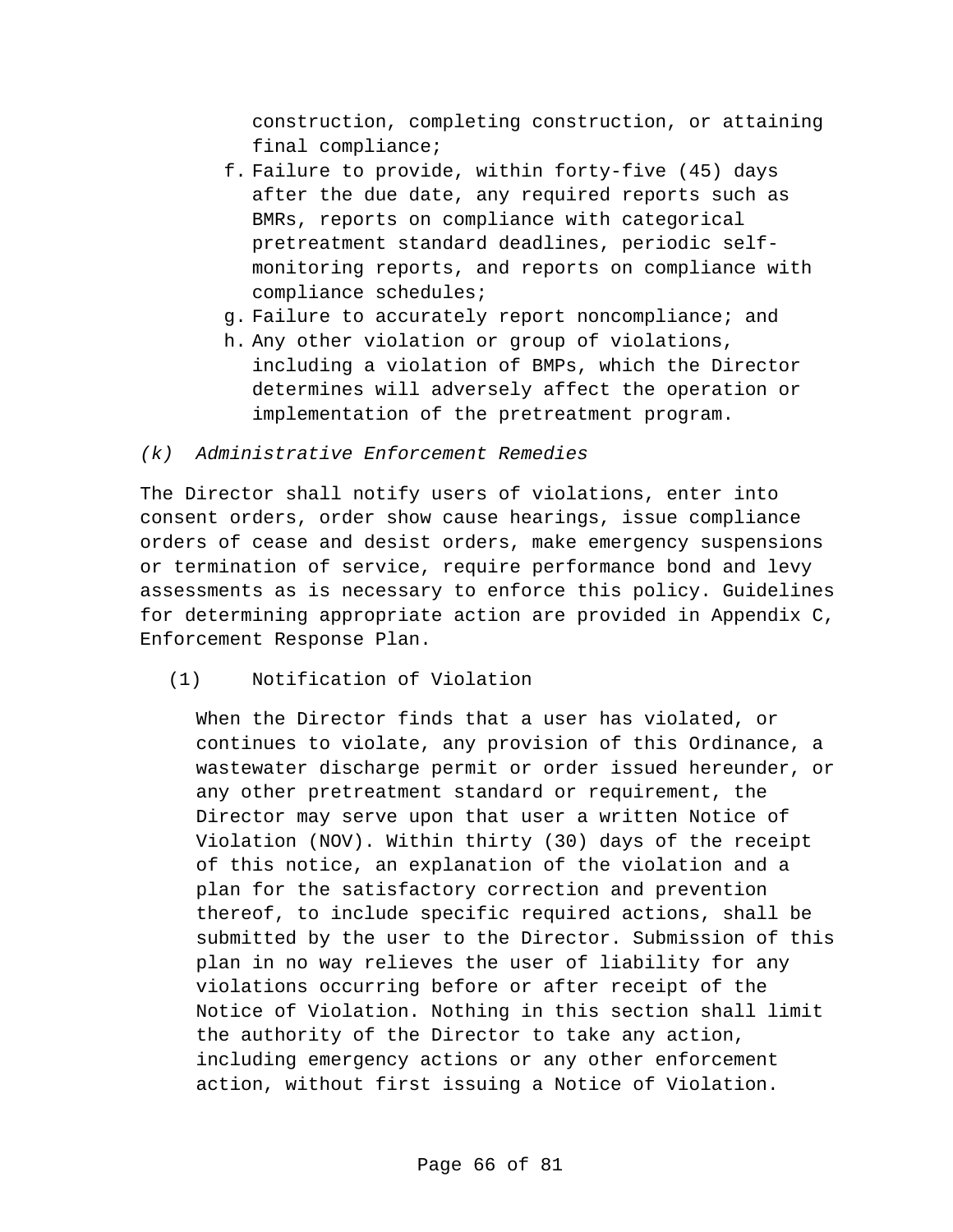construction, completing construction, or attaining final compliance;

- f. Failure to provide, within forty-five (45) days after the due date, any required reports such as BMRs, reports on compliance with categorical pretreatment standard deadlines, periodic selfmonitoring reports, and reports on compliance with compliance schedules;
- g. Failure to accurately report noncompliance; and
- h. Any other violation or group of violations, including a violation of BMPs, which the Director determines will adversely affect the operation or implementation of the pretreatment program.

# *(k) Administrative Enforcement Remedies*

The Director shall notify users of violations, enter into consent orders, order show cause hearings, issue compliance orders of cease and desist orders, make emergency suspensions or termination of service, require performance bond and levy assessments as is necessary to enforce this policy. Guidelines for determining appropriate action are provided in Appendix C, Enforcement Response Plan.

(1) Notification of Violation

When the Director finds that a user has violated, or continues to violate, any provision of this Ordinance, a wastewater discharge permit or order issued hereunder, or any other pretreatment standard or requirement, the Director may serve upon that user a written Notice of Violation (NOV). Within thirty (30) days of the receipt of this notice, an explanation of the violation and a plan for the satisfactory correction and prevention thereof, to include specific required actions, shall be submitted by the user to the Director. Submission of this plan in no way relieves the user of liability for any violations occurring before or after receipt of the Notice of Violation. Nothing in this section shall limit the authority of the Director to take any action, including emergency actions or any other enforcement action, without first issuing a Notice of Violation.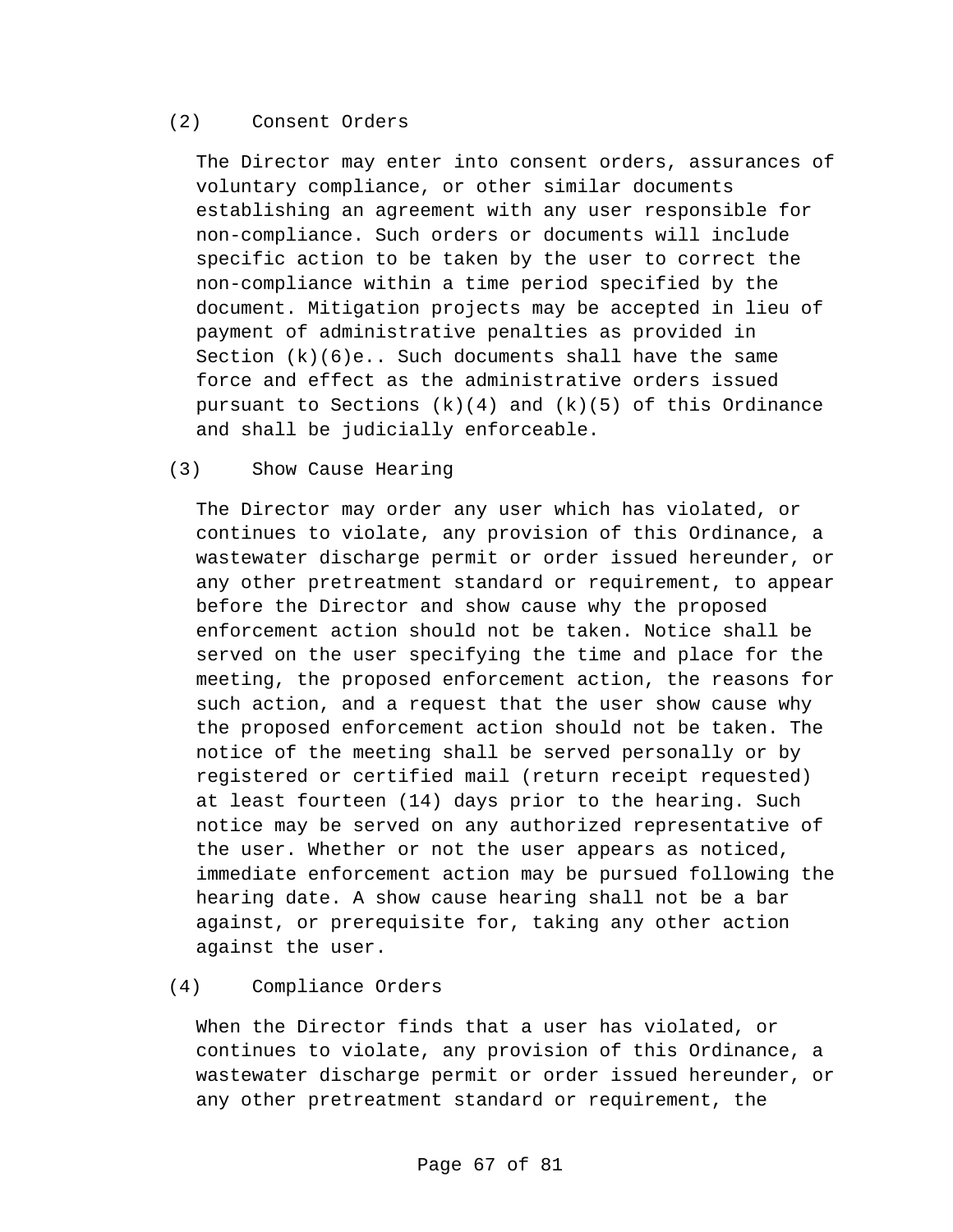#### (2) Consent Orders

The Director may enter into consent orders, assurances of voluntary compliance, or other similar documents establishing an agreement with any user responsible for non-compliance. Such orders or documents will include specific action to be taken by the user to correct the non-compliance within a time period specified by the document. Mitigation projects may be accepted in lieu of payment of administrative penalties as provided in Section  $(k)(6)e$ .. Such documents shall have the same force and effect as the administrative orders issued pursuant to Sections  $(k)(4)$  and  $(k)(5)$  of this Ordinance and shall be judicially enforceable.

#### (3) Show Cause Hearing

The Director may order any user which has violated, or continues to violate, any provision of this Ordinance, a wastewater discharge permit or order issued hereunder, or any other pretreatment standard or requirement, to appear before the Director and show cause why the proposed enforcement action should not be taken. Notice shall be served on the user specifying the time and place for the meeting, the proposed enforcement action, the reasons for such action, and a request that the user show cause why the proposed enforcement action should not be taken. The notice of the meeting shall be served personally or by registered or certified mail (return receipt requested) at least fourteen (14) days prior to the hearing. Such notice may be served on any authorized representative of the user. Whether or not the user appears as noticed, immediate enforcement action may be pursued following the hearing date. A show cause hearing shall not be a bar against, or prerequisite for, taking any other action against the user.

# (4) Compliance Orders

When the Director finds that a user has violated, or continues to violate, any provision of this Ordinance, a wastewater discharge permit or order issued hereunder, or any other pretreatment standard or requirement, the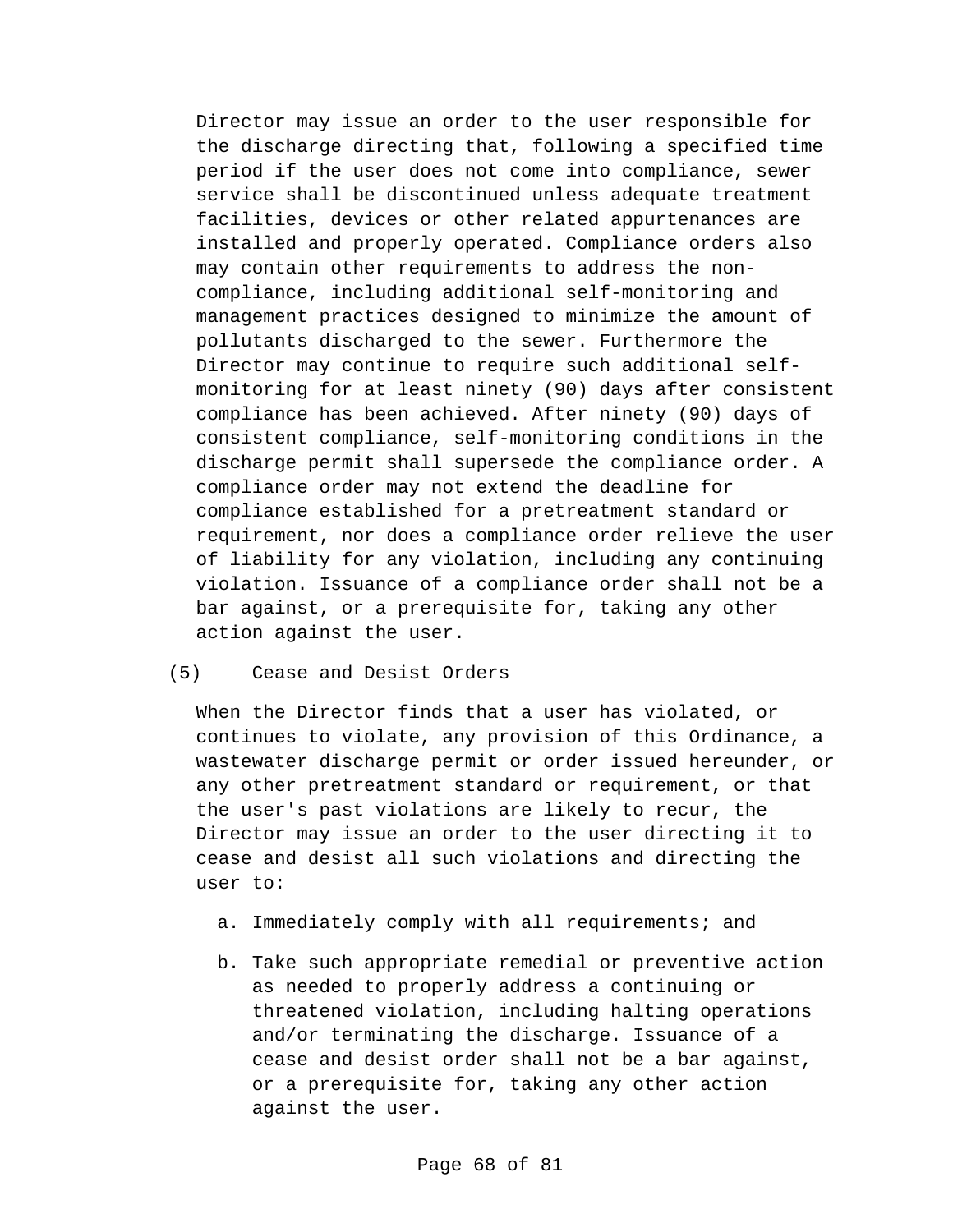Director may issue an order to the user responsible for the discharge directing that, following a specified time period if the user does not come into compliance, sewer service shall be discontinued unless adequate treatment facilities, devices or other related appurtenances are installed and properly operated. Compliance orders also may contain other requirements to address the noncompliance, including additional self-monitoring and management practices designed to minimize the amount of pollutants discharged to the sewer. Furthermore the Director may continue to require such additional selfmonitoring for at least ninety (90) days after consistent compliance has been achieved. After ninety (90) days of consistent compliance, self-monitoring conditions in the discharge permit shall supersede the compliance order. A compliance order may not extend the deadline for compliance established for a pretreatment standard or requirement, nor does a compliance order relieve the user of liability for any violation, including any continuing violation. Issuance of a compliance order shall not be a bar against, or a prerequisite for, taking any other action against the user.

#### (5) Cease and Desist Orders

When the Director finds that a user has violated, or continues to violate, any provision of this Ordinance, a wastewater discharge permit or order issued hereunder, or any other pretreatment standard or requirement, or that the user's past violations are likely to recur, the Director may issue an order to the user directing it to cease and desist all such violations and directing the user to:

- a. Immediately comply with all requirements; and
- b. Take such appropriate remedial or preventive action as needed to properly address a continuing or threatened violation, including halting operations and/or terminating the discharge. Issuance of a cease and desist order shall not be a bar against, or a prerequisite for, taking any other action against the user.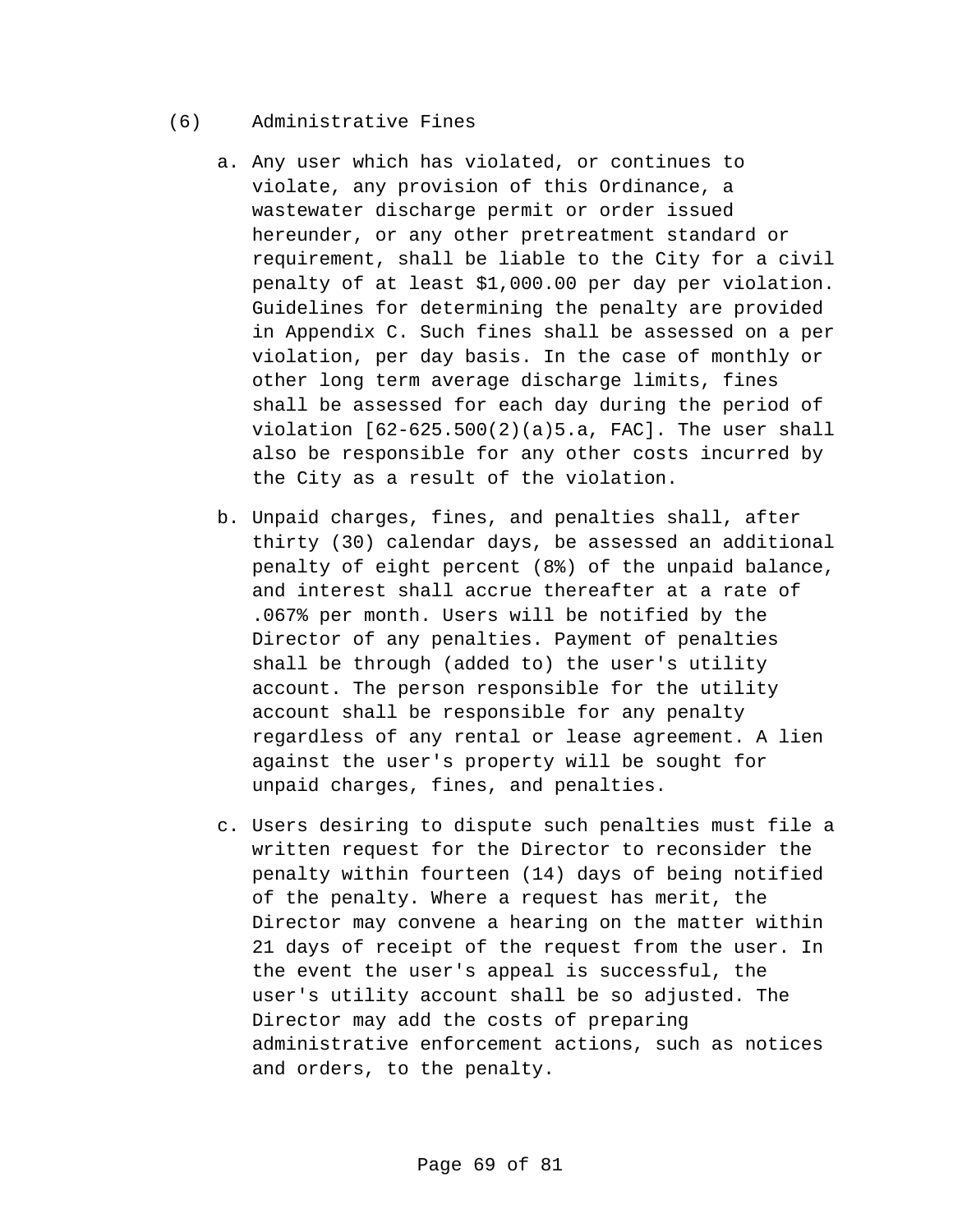- (6) Administrative Fines
	- a. Any user which has violated, or continues to violate, any provision of this Ordinance, a wastewater discharge permit or order issued hereunder, or any other pretreatment standard or requirement, shall be liable to the City for a civil penalty of at least \$1,000.00 per day per violation. Guidelines for determining the penalty are provided in Appendix C. Such fines shall be assessed on a per violation, per day basis. In the case of monthly or other long term average discharge limits, fines shall be assessed for each day during the period of violation  $[62-625.500(2)(a)5.a$ , FAC]. The user shall also be responsible for any other costs incurred by the City as a result of the violation.
	- b. Unpaid charges, fines, and penalties shall, after thirty (30) calendar days, be assessed an additional penalty of eight percent (8%) of the unpaid balance, and interest shall accrue thereafter at a rate of .067% per month. Users will be notified by the Director of any penalties. Payment of penalties shall be through (added to) the user's utility account. The person responsible for the utility account shall be responsible for any penalty regardless of any rental or lease agreement. A lien against the user's property will be sought for unpaid charges, fines, and penalties.
	- c. Users desiring to dispute such penalties must file a written request for the Director to reconsider the penalty within fourteen (14) days of being notified of the penalty. Where a request has merit, the Director may convene a hearing on the matter within 21 days of receipt of the request from the user. In the event the user's appeal is successful, the user's utility account shall be so adjusted. The Director may add the costs of preparing administrative enforcement actions, such as notices and orders, to the penalty.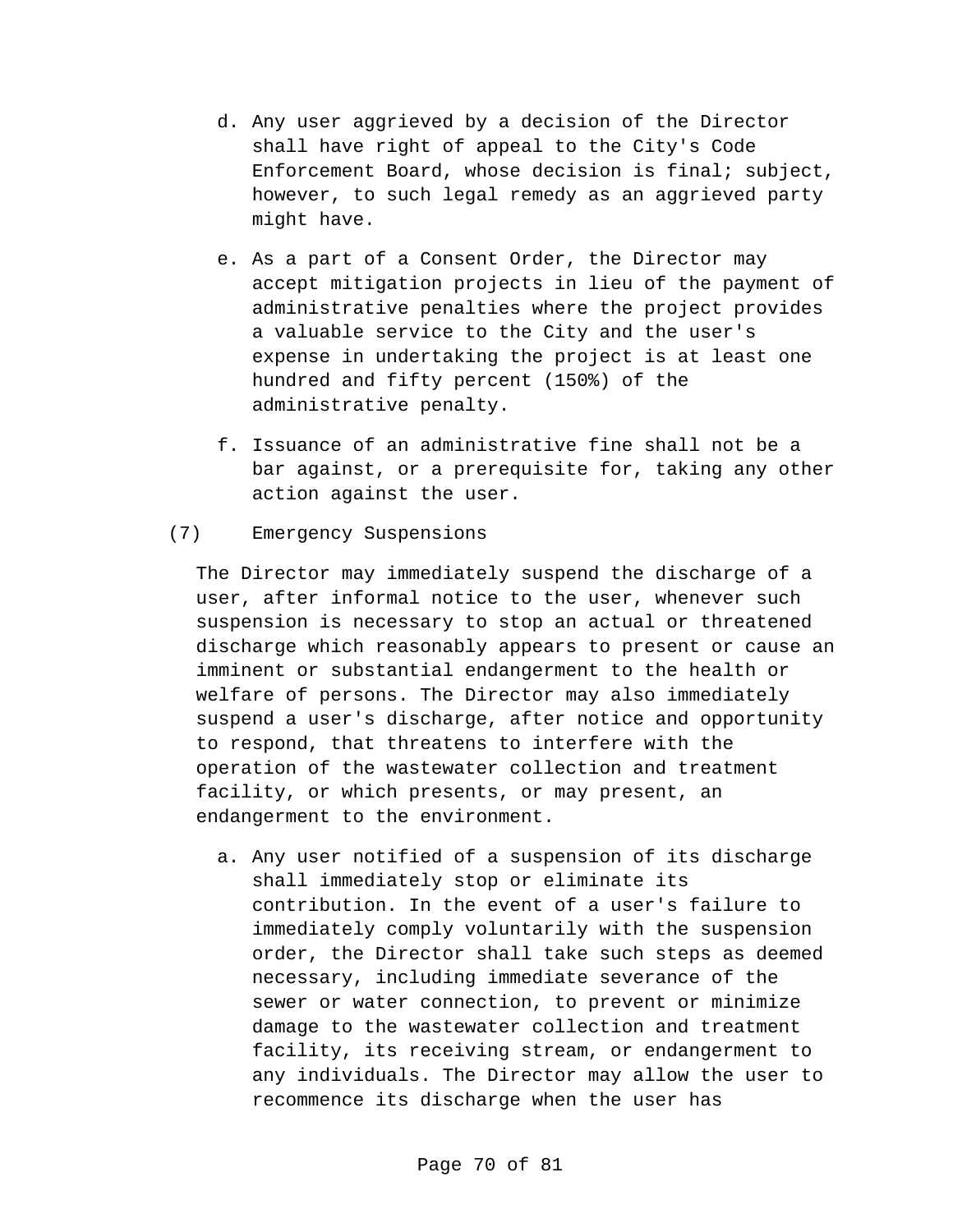- d. Any user aggrieved by a decision of the Director shall have right of appeal to the City's Code Enforcement Board, whose decision is final; subject, however, to such legal remedy as an aggrieved party might have.
- e. As a part of a Consent Order, the Director may accept mitigation projects in lieu of the payment of administrative penalties where the project provides a valuable service to the City and the user's expense in undertaking the project is at least one hundred and fifty percent (150%) of the administrative penalty.
- f. Issuance of an administrative fine shall not be a bar against, or a prerequisite for, taking any other action against the user.

## (7) Emergency Suspensions

The Director may immediately suspend the discharge of a user, after informal notice to the user, whenever such suspension is necessary to stop an actual or threatened discharge which reasonably appears to present or cause an imminent or substantial endangerment to the health or welfare of persons. The Director may also immediately suspend a user's discharge, after notice and opportunity to respond, that threatens to interfere with the operation of the wastewater collection and treatment facility, or which presents, or may present, an endangerment to the environment.

a. Any user notified of a suspension of its discharge shall immediately stop or eliminate its contribution. In the event of a user's failure to immediately comply voluntarily with the suspension order, the Director shall take such steps as deemed necessary, including immediate severance of the sewer or water connection, to prevent or minimize damage to the wastewater collection and treatment facility, its receiving stream, or endangerment to any individuals. The Director may allow the user to recommence its discharge when the user has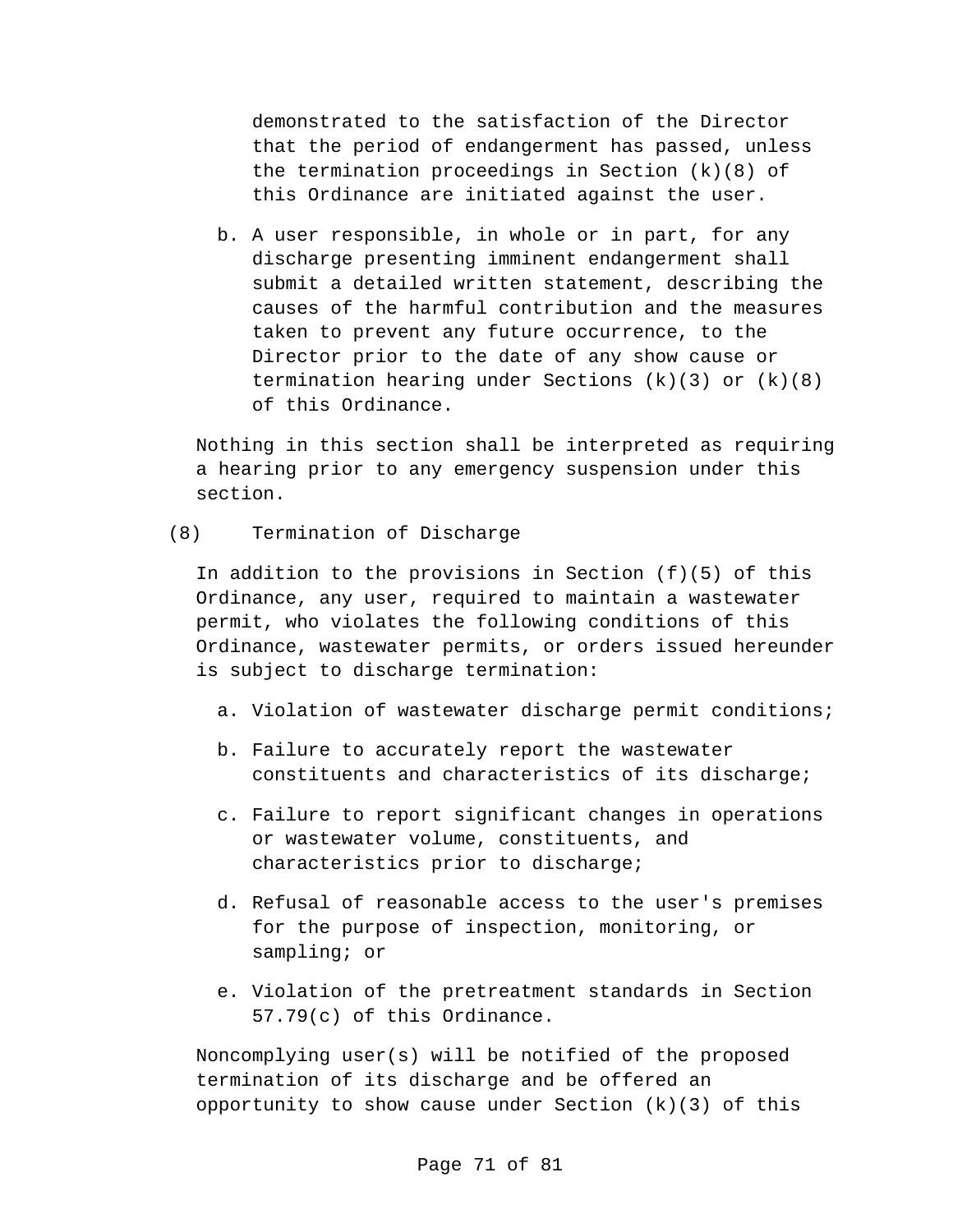demonstrated to the satisfaction of the Director that the period of endangerment has passed, unless the termination proceedings in Section (k)(8) of this Ordinance are initiated against the user.

b. A user responsible, in whole or in part, for any discharge presenting imminent endangerment shall submit a detailed written statement, describing the causes of the harmful contribution and the measures taken to prevent any future occurrence, to the Director prior to the date of any show cause or termination hearing under Sections  $(k)(3)$  or  $(k)(8)$ of this Ordinance.

Nothing in this section shall be interpreted as requiring a hearing prior to any emergency suspension under this section.

#### (8) Termination of Discharge

In addition to the provisions in Section (f)(5) of this Ordinance, any user, required to maintain a wastewater permit, who violates the following conditions of this Ordinance, wastewater permits, or orders issued hereunder is subject to discharge termination:

- a. Violation of wastewater discharge permit conditions;
- b. Failure to accurately report the wastewater constituents and characteristics of its discharge;
- c. Failure to report significant changes in operations or wastewater volume, constituents, and characteristics prior to discharge;
- d. Refusal of reasonable access to the user's premises for the purpose of inspection, monitoring, or sampling; or
- e. Violation of the pretreatment standards in Section 57.79(c) of this Ordinance.

Noncomplying user(s) will be notified of the proposed termination of its discharge and be offered an opportunity to show cause under Section  $(k)(3)$  of this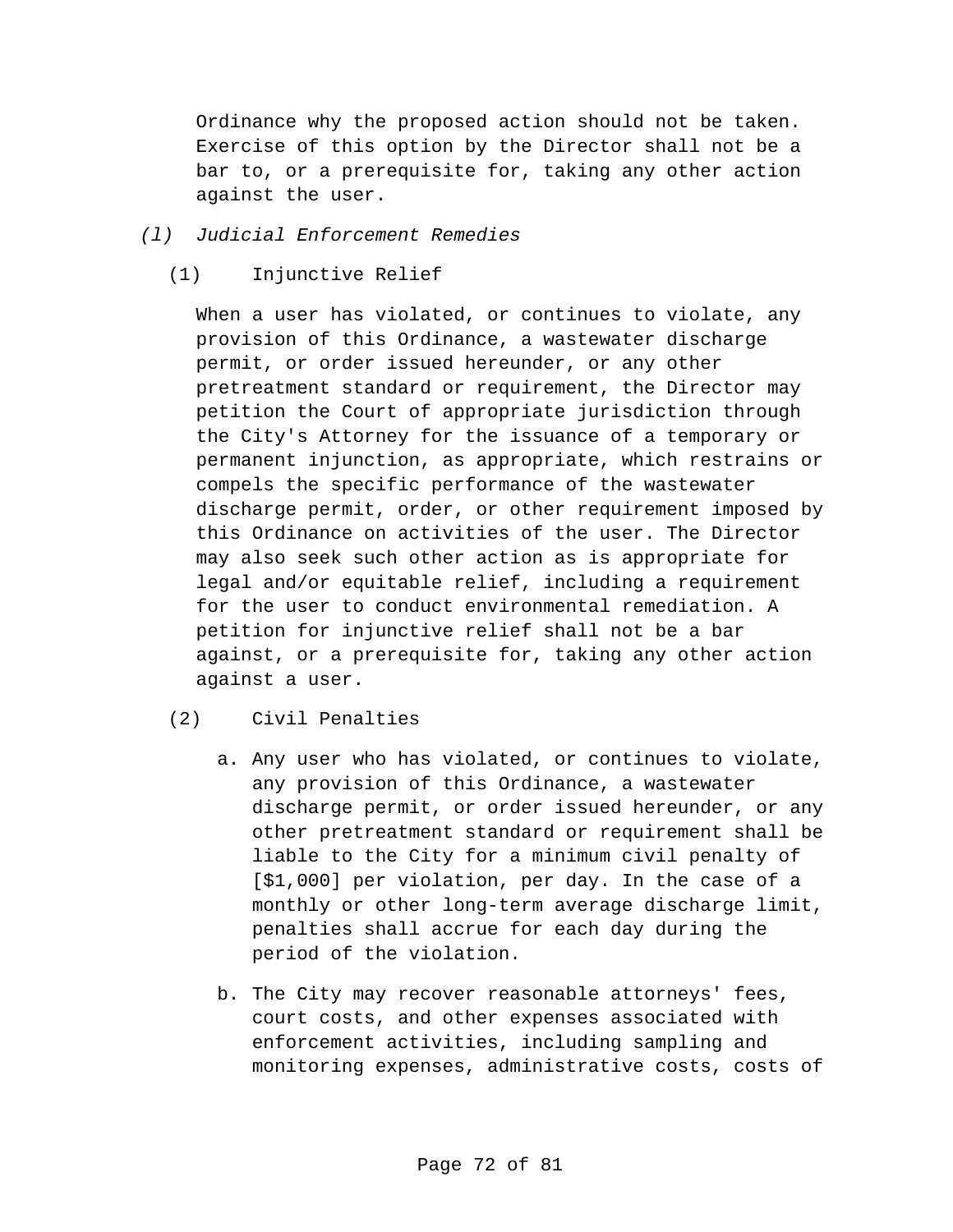Ordinance why the proposed action should not be taken. Exercise of this option by the Director shall not be a bar to, or a prerequisite for, taking any other action against the user.

## *(l) Judicial Enforcement Remedies*

(1) Injunctive Relief

When a user has violated, or continues to violate, any provision of this Ordinance, a wastewater discharge permit, or order issued hereunder, or any other pretreatment standard or requirement, the Director may petition the Court of appropriate jurisdiction through the City's Attorney for the issuance of a temporary or permanent injunction, as appropriate, which restrains or compels the specific performance of the wastewater discharge permit, order, or other requirement imposed by this Ordinance on activities of the user. The Director may also seek such other action as is appropriate for legal and/or equitable relief, including a requirement for the user to conduct environmental remediation. A petition for injunctive relief shall not be a bar against, or a prerequisite for, taking any other action against a user.

- (2) Civil Penalties
	- a. Any user who has violated, or continues to violate, any provision of this Ordinance, a wastewater discharge permit, or order issued hereunder, or any other pretreatment standard or requirement shall be liable to the City for a minimum civil penalty of [\$1,000] per violation, per day. In the case of a monthly or other long-term average discharge limit, penalties shall accrue for each day during the period of the violation.
	- b. The City may recover reasonable attorneys' fees, court costs, and other expenses associated with enforcement activities, including sampling and monitoring expenses, administrative costs, costs of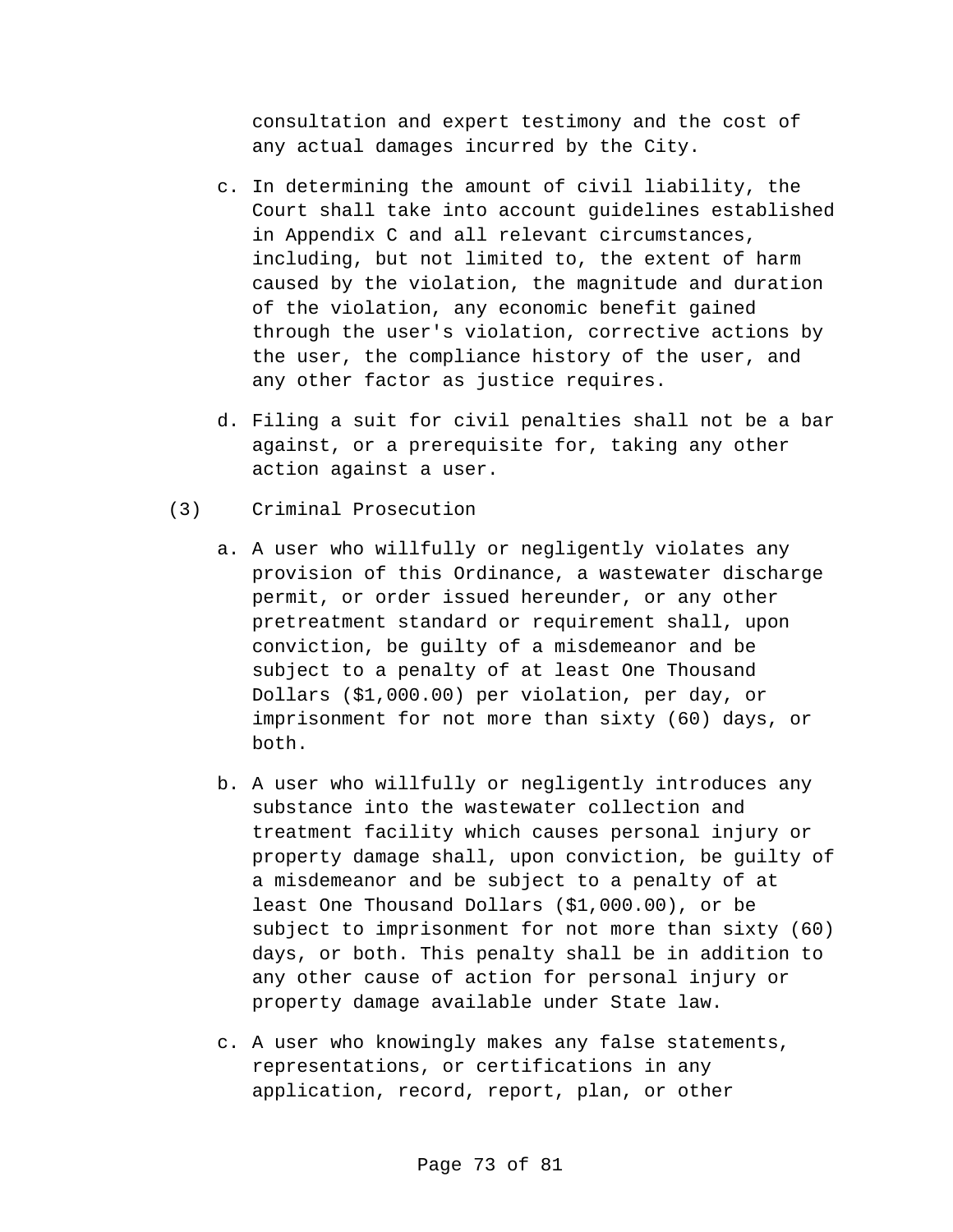consultation and expert testimony and the cost of any actual damages incurred by the City.

- c. In determining the amount of civil liability, the Court shall take into account guidelines established in Appendix C and all relevant circumstances, including, but not limited to, the extent of harm caused by the violation, the magnitude and duration of the violation, any economic benefit gained through the user's violation, corrective actions by the user, the compliance history of the user, and any other factor as justice requires.
- d. Filing a suit for civil penalties shall not be a bar against, or a prerequisite for, taking any other action against a user.
- (3) Criminal Prosecution
	- a. A user who willfully or negligently violates any provision of this Ordinance, a wastewater discharge permit, or order issued hereunder, or any other pretreatment standard or requirement shall, upon conviction, be guilty of a misdemeanor and be subject to a penalty of at least One Thousand Dollars (\$1,000.00) per violation, per day, or imprisonment for not more than sixty (60) days, or both.
	- b. A user who willfully or negligently introduces any substance into the wastewater collection and treatment facility which causes personal injury or property damage shall, upon conviction, be guilty of a misdemeanor and be subject to a penalty of at least One Thousand Dollars (\$1,000.00), or be subject to imprisonment for not more than sixty (60) days, or both. This penalty shall be in addition to any other cause of action for personal injury or property damage available under State law.
	- c. A user who knowingly makes any false statements, representations, or certifications in any application, record, report, plan, or other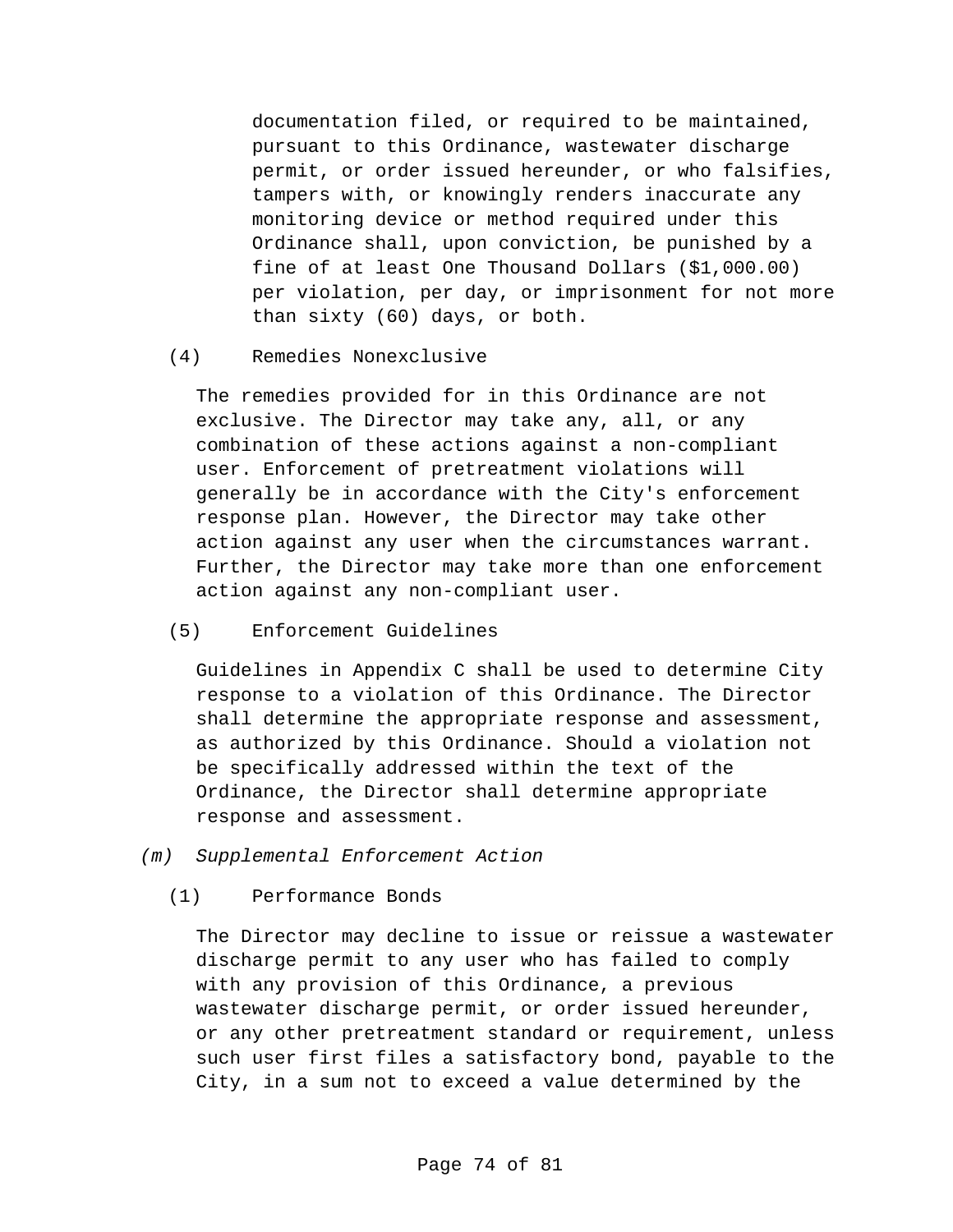documentation filed, or required to be maintained, pursuant to this Ordinance, wastewater discharge permit, or order issued hereunder, or who falsifies, tampers with, or knowingly renders inaccurate any monitoring device or method required under this Ordinance shall, upon conviction, be punished by a fine of at least One Thousand Dollars (\$1,000.00) per violation, per day, or imprisonment for not more than sixty (60) days, or both.

(4) Remedies Nonexclusive

The remedies provided for in this Ordinance are not exclusive. The Director may take any, all, or any combination of these actions against a non-compliant user. Enforcement of pretreatment violations will generally be in accordance with the City's enforcement response plan. However, the Director may take other action against any user when the circumstances warrant. Further, the Director may take more than one enforcement action against any non-compliant user.

(5) Enforcement Guidelines

Guidelines in Appendix C shall be used to determine City response to a violation of this Ordinance. The Director shall determine the appropriate response and assessment, as authorized by this Ordinance. Should a violation not be specifically addressed within the text of the Ordinance, the Director shall determine appropriate response and assessment.

- *(m) Supplemental Enforcement Action*
	- (1) Performance Bonds

The Director may decline to issue or reissue a wastewater discharge permit to any user who has failed to comply with any provision of this Ordinance, a previous wastewater discharge permit, or order issued hereunder, or any other pretreatment standard or requirement, unless such user first files a satisfactory bond, payable to the City, in a sum not to exceed a value determined by the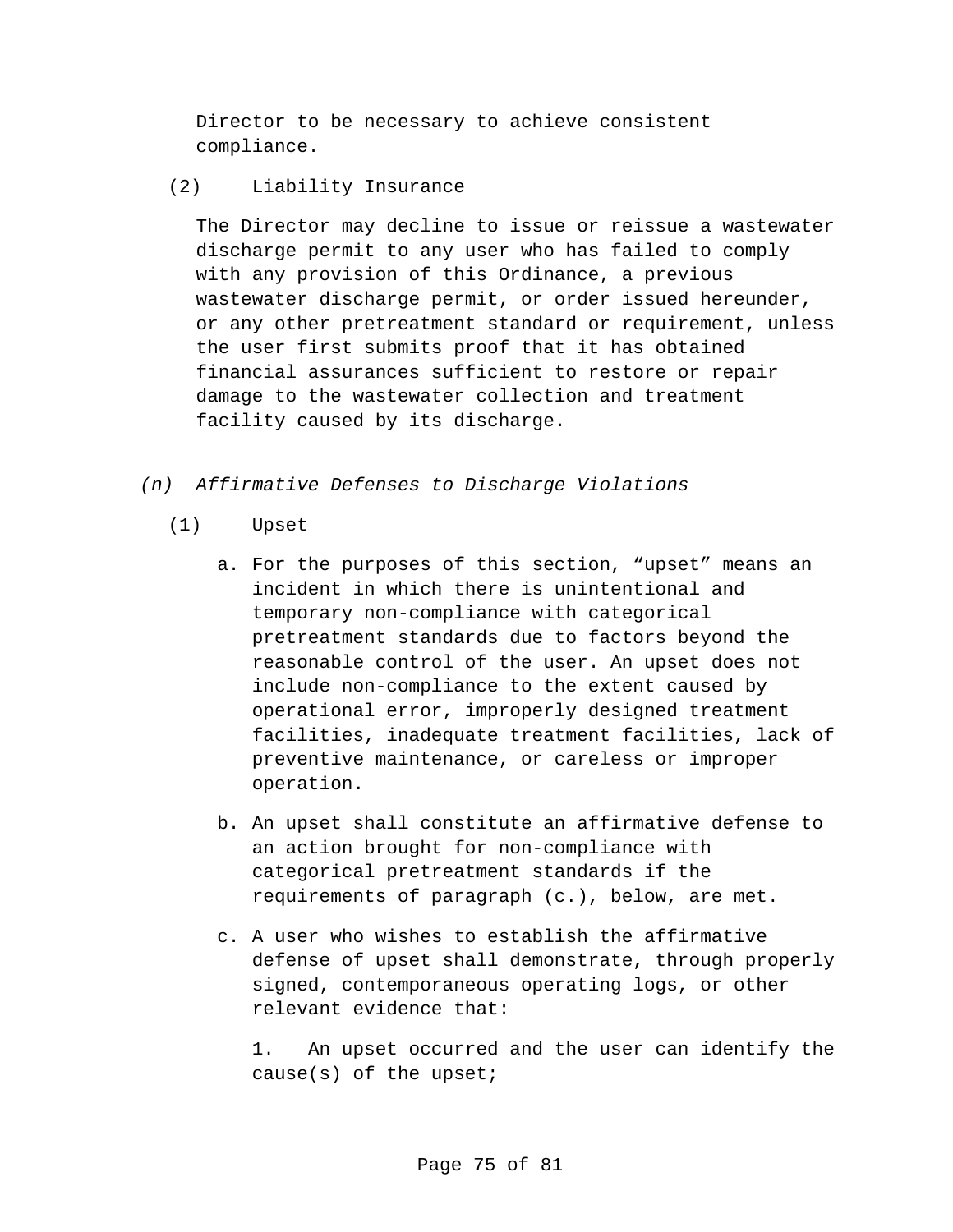Director to be necessary to achieve consistent compliance.

(2) Liability Insurance

The Director may decline to issue or reissue a wastewater discharge permit to any user who has failed to comply with any provision of this Ordinance, a previous wastewater discharge permit, or order issued hereunder, or any other pretreatment standard or requirement, unless the user first submits proof that it has obtained financial assurances sufficient to restore or repair damage to the wastewater collection and treatment facility caused by its discharge.

- *(n) Affirmative Defenses to Discharge Violations*
	- (1) Upset
		- a. For the purposes of this section, "upset" means an incident in which there is unintentional and temporary non-compliance with categorical pretreatment standards due to factors beyond the reasonable control of the user. An upset does not include non-compliance to the extent caused by operational error, improperly designed treatment facilities, inadequate treatment facilities, lack of preventive maintenance, or careless or improper operation.
		- b. An upset shall constitute an affirmative defense to an action brought for non-compliance with categorical pretreatment standards if the requirements of paragraph (c.), below, are met.
		- c. A user who wishes to establish the affirmative defense of upset shall demonstrate, through properly signed, contemporaneous operating logs, or other relevant evidence that:

1. An upset occurred and the user can identify the cause(s) of the upset;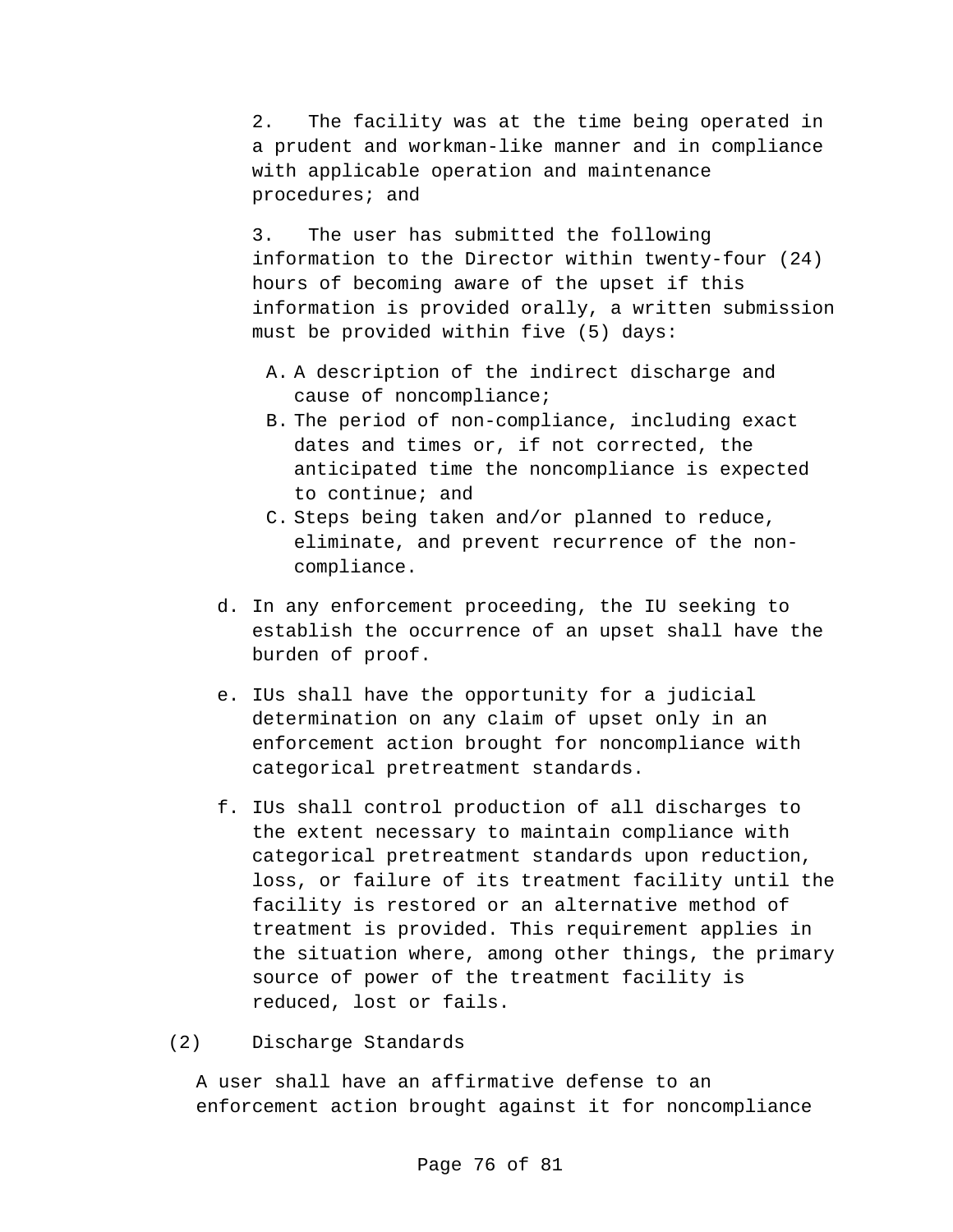2. The facility was at the time being operated in a prudent and workman-like manner and in compliance with applicable operation and maintenance procedures; and

3. The user has submitted the following information to the Director within twenty-four (24) hours of becoming aware of the upset if this information is provided orally, a written submission must be provided within five (5) days:

- A. A description of the indirect discharge and cause of noncompliance;
- B. The period of non-compliance, including exact dates and times or, if not corrected, the anticipated time the noncompliance is expected to continue; and
- C. Steps being taken and/or planned to reduce, eliminate, and prevent recurrence of the noncompliance.
- d. In any enforcement proceeding, the IU seeking to establish the occurrence of an upset shall have the burden of proof.
- e. IUs shall have the opportunity for a judicial determination on any claim of upset only in an enforcement action brought for noncompliance with categorical pretreatment standards.
- f. IUs shall control production of all discharges to the extent necessary to maintain compliance with categorical pretreatment standards upon reduction, loss, or failure of its treatment facility until the facility is restored or an alternative method of treatment is provided. This requirement applies in the situation where, among other things, the primary source of power of the treatment facility is reduced, lost or fails.
- (2) Discharge Standards

A user shall have an affirmative defense to an enforcement action brought against it for noncompliance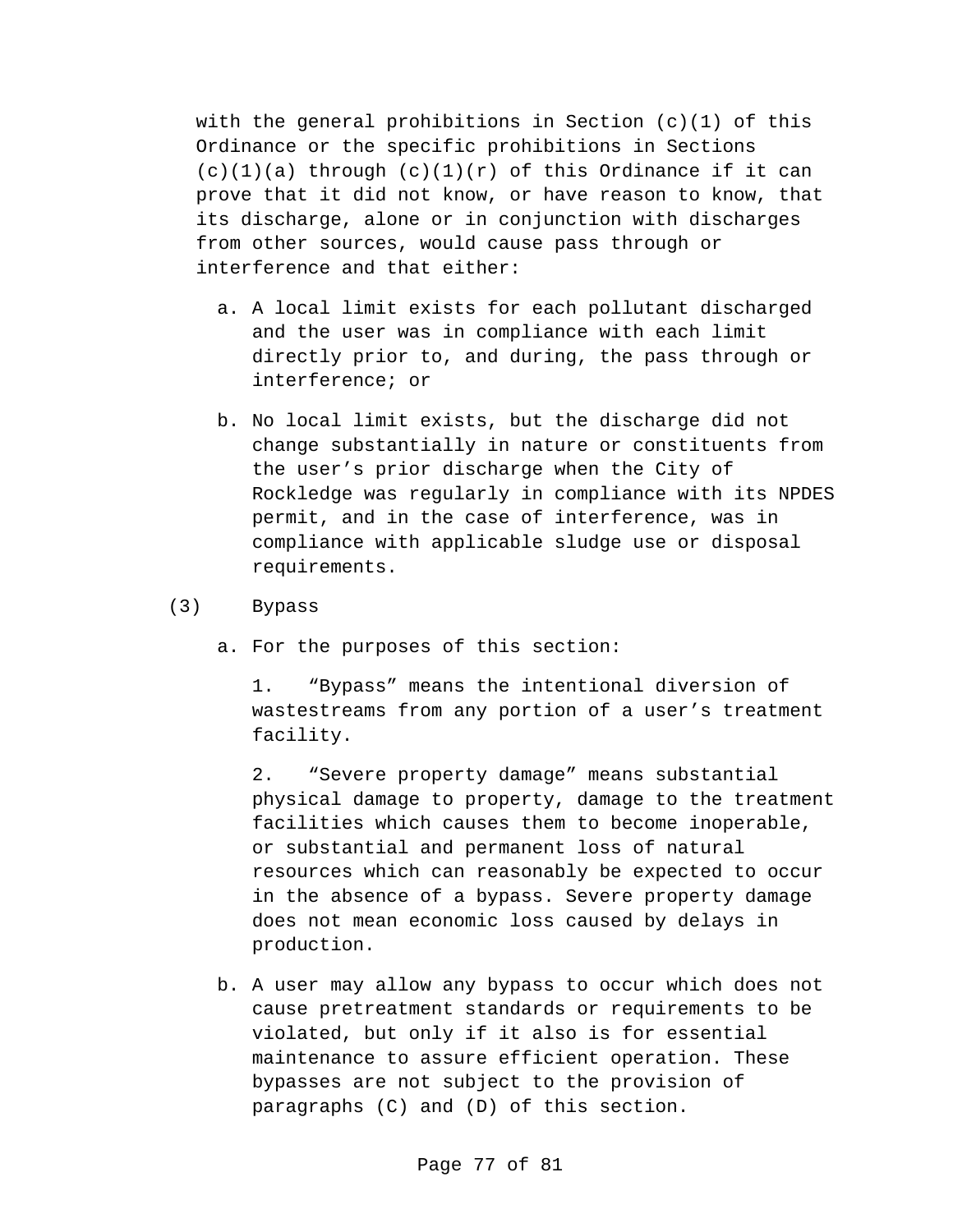with the general prohibitions in Section  $(c)(1)$  of this Ordinance or the specific prohibitions in Sections  $(c)(1)(a)$  through  $(c)(1)(r)$  of this Ordinance if it can prove that it did not know, or have reason to know, that its discharge, alone or in conjunction with discharges from other sources, would cause pass through or interference and that either:

- a. A local limit exists for each pollutant discharged and the user was in compliance with each limit directly prior to, and during, the pass through or interference; or
- b. No local limit exists, but the discharge did not change substantially in nature or constituents from the user's prior discharge when the City of Rockledge was regularly in compliance with its NPDES permit, and in the case of interference, was in compliance with applicable sludge use or disposal requirements.
- (3) Bypass
	- a. For the purposes of this section:

1. "Bypass" means the intentional diversion of wastestreams from any portion of a user's treatment facility.

2. "Severe property damage" means substantial physical damage to property, damage to the treatment facilities which causes them to become inoperable, or substantial and permanent loss of natural resources which can reasonably be expected to occur in the absence of a bypass. Severe property damage does not mean economic loss caused by delays in production.

b. A user may allow any bypass to occur which does not cause pretreatment standards or requirements to be violated, but only if it also is for essential maintenance to assure efficient operation. These bypasses are not subject to the provision of paragraphs (C) and (D) of this section.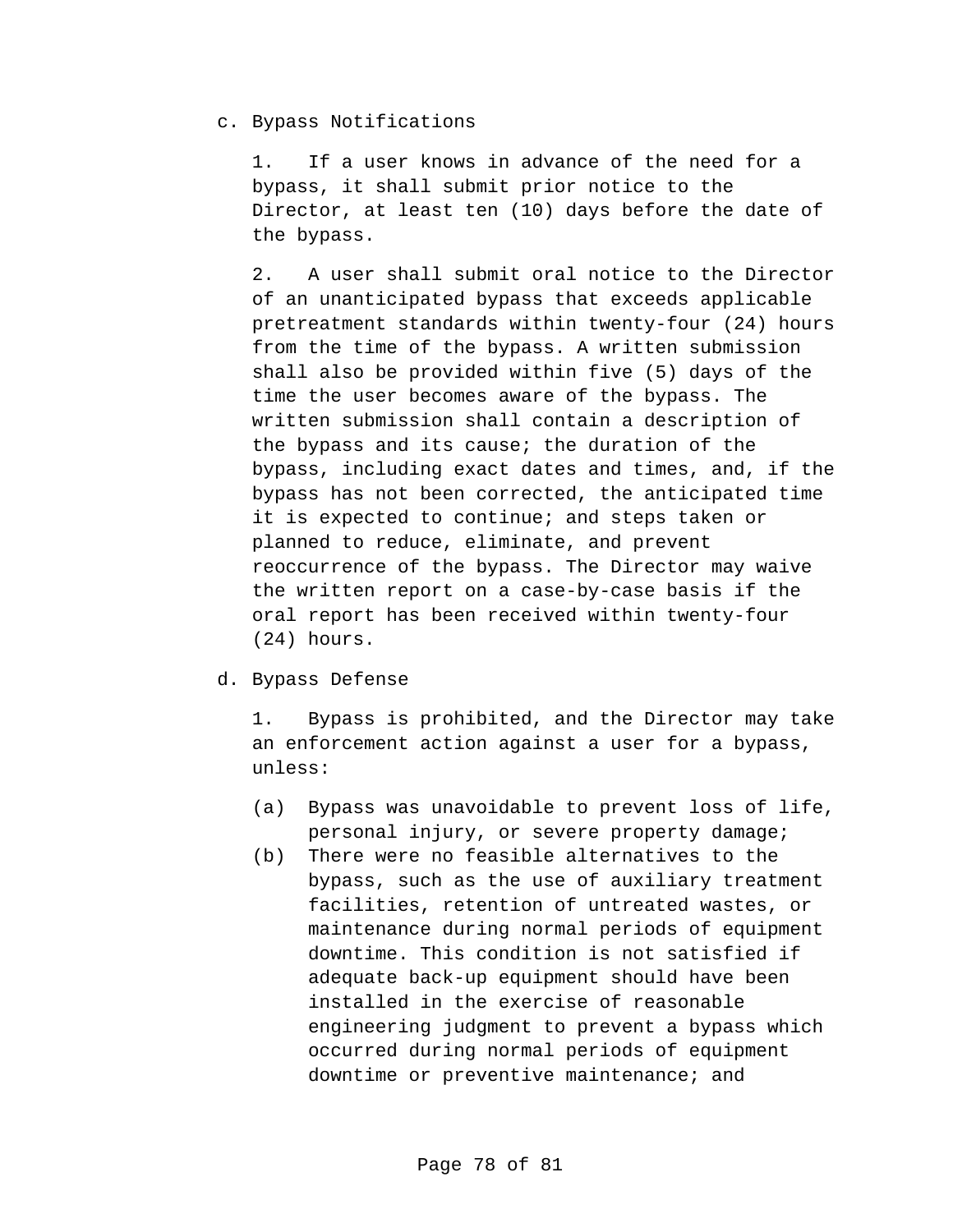## c. Bypass Notifications

1. If a user knows in advance of the need for a bypass, it shall submit prior notice to the Director, at least ten (10) days before the date of the bypass.

2. A user shall submit oral notice to the Director of an unanticipated bypass that exceeds applicable pretreatment standards within twenty-four (24) hours from the time of the bypass. A written submission shall also be provided within five (5) days of the time the user becomes aware of the bypass. The written submission shall contain a description of the bypass and its cause; the duration of the bypass, including exact dates and times, and, if the bypass has not been corrected, the anticipated time it is expected to continue; and steps taken or planned to reduce, eliminate, and prevent reoccurrence of the bypass. The Director may waive the written report on a case-by-case basis if the oral report has been received within twenty-four (24) hours.

## d. Bypass Defense

1. Bypass is prohibited, and the Director may take an enforcement action against a user for a bypass, unless:

- (a) Bypass was unavoidable to prevent loss of life, personal injury, or severe property damage;
- (b) There were no feasible alternatives to the bypass, such as the use of auxiliary treatment facilities, retention of untreated wastes, or maintenance during normal periods of equipment downtime. This condition is not satisfied if adequate back-up equipment should have been installed in the exercise of reasonable engineering judgment to prevent a bypass which occurred during normal periods of equipment downtime or preventive maintenance; and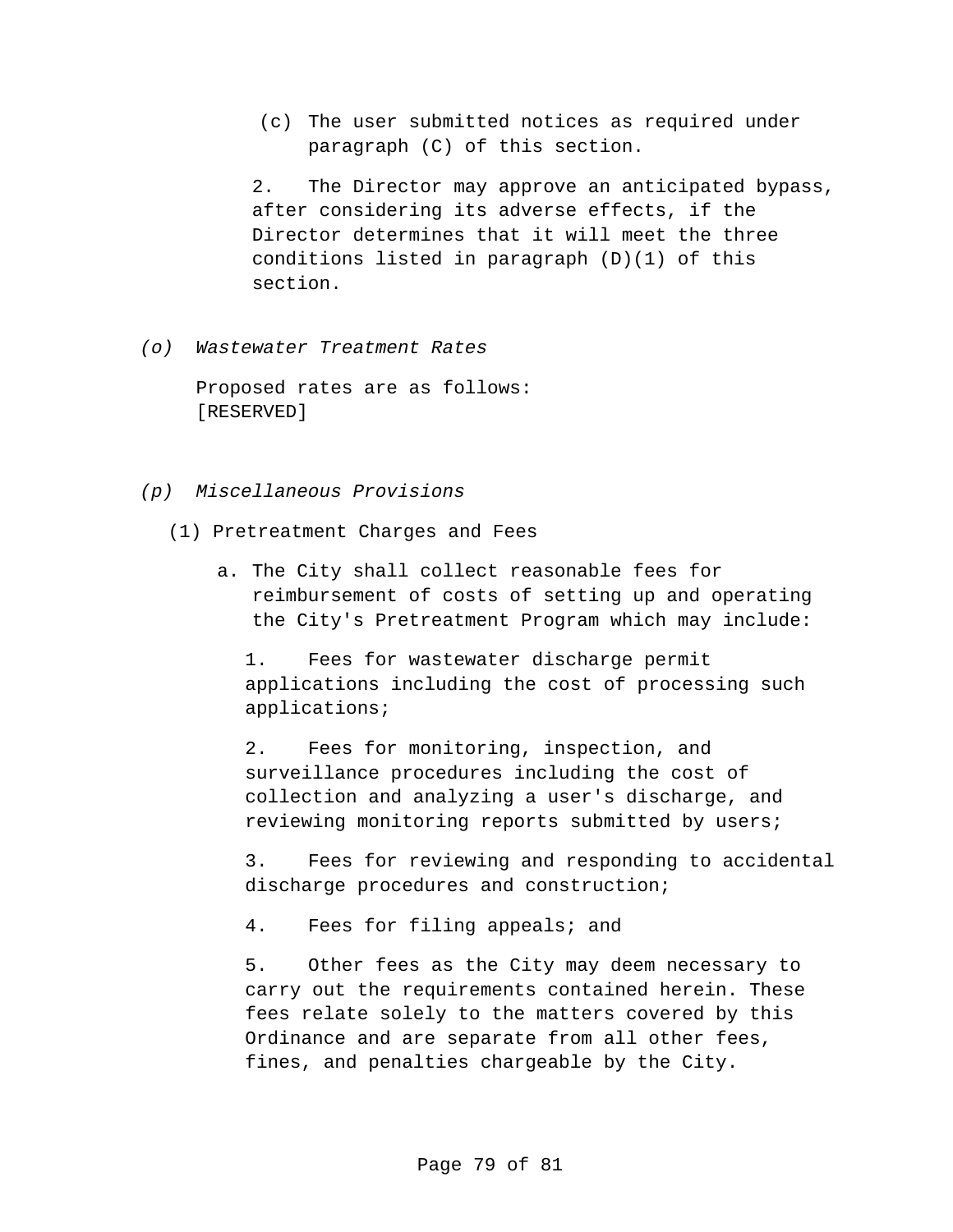(c) The user submitted notices as required under paragraph (C) of this section.

2. The Director may approve an anticipated bypass, after considering its adverse effects, if the Director determines that it will meet the three conditions listed in paragraph (D)(1) of this section.

*(o) Wastewater Treatment Rates*

Proposed rates are as follows: [RESERVED]

- *(p) Miscellaneous Provisions*
	- (1) Pretreatment Charges and Fees
		- a. The City shall collect reasonable fees for reimbursement of costs of setting up and operating the City's Pretreatment Program which may include:

1. Fees for wastewater discharge permit applications including the cost of processing such applications;

2. Fees for monitoring, inspection, and surveillance procedures including the cost of collection and analyzing a user's discharge, and reviewing monitoring reports submitted by users;

3. Fees for reviewing and responding to accidental discharge procedures and construction;

4. Fees for filing appeals; and

5. Other fees as the City may deem necessary to carry out the requirements contained herein. These fees relate solely to the matters covered by this Ordinance and are separate from all other fees, fines, and penalties chargeable by the City.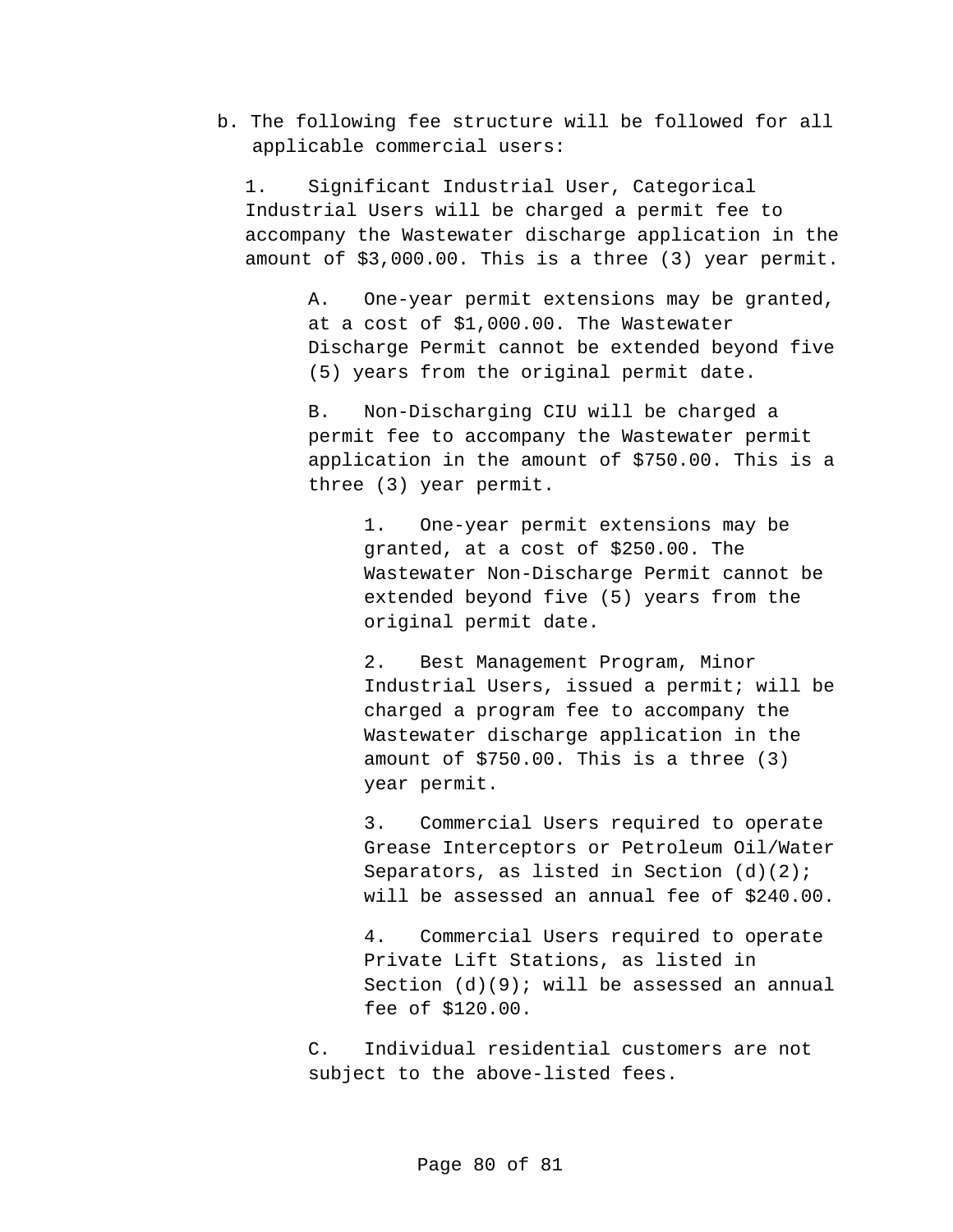b. The following fee structure will be followed for all applicable commercial users:

1. Significant Industrial User, Categorical Industrial Users will be charged a permit fee to accompany the Wastewater discharge application in the amount of \$3,000.00. This is a three (3) year permit.

> A. One-year permit extensions may be granted, at a cost of \$1,000.00. The Wastewater Discharge Permit cannot be extended beyond five (5) years from the original permit date.

> B. Non-Discharging CIU will be charged a permit fee to accompany the Wastewater permit application in the amount of \$750.00. This is a three (3) year permit.

> > 1. One-year permit extensions may be granted, at a cost of \$250.00. The Wastewater Non-Discharge Permit cannot be extended beyond five (5) years from the original permit date.

2. Best Management Program, Minor Industrial Users, issued a permit; will be charged a program fee to accompany the Wastewater discharge application in the amount of \$750.00. This is a three (3) year permit.

3. Commercial Users required to operate Grease Interceptors or Petroleum Oil/Water Separators, as listed in Section  $(d)(2)$ ; will be assessed an annual fee of \$240.00.

4. Commercial Users required to operate Private Lift Stations, as listed in Section (d)(9); will be assessed an annual fee of \$120.00.

C. Individual residential customers are not subject to the above-listed fees.